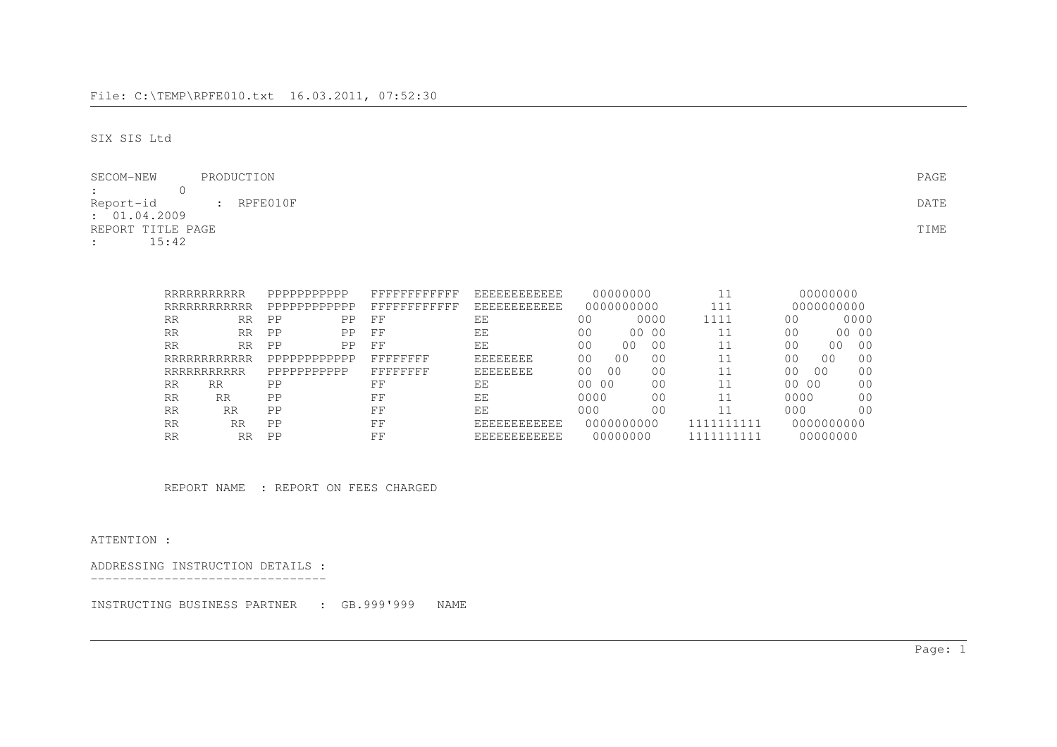SIX SIS Ltd

| SECOM-NEW<br>PRODUCTION                | PAGE |
|----------------------------------------|------|
| <b>Experience of the Community</b>     |      |
| Report-id : RPFE010F                   | DATE |
| : 01.04.2009                           |      |
| REPORT TITLE PAGE                      | TIME |
| 15:42<br>$\mathbf{1}$ and $\mathbf{1}$ |      |

|           | RRRRRRRRRRR  | PPPPPPPPPPP  | FFFFFFFFFFFF | <b>EEEEEEEEEEE</b>  | 00000000                               |             | 00000000                         |                |
|-----------|--------------|--------------|--------------|---------------------|----------------------------------------|-------------|----------------------------------|----------------|
|           | RRRRRRRRRRRR | PPPPPPPPPPPP | FFFFFFFFFFFF | <b>EEEEEEEEEEE</b>  | 0000000000                             | 111         | 0000000000                       |                |
| RR        | <b>RR</b>    | PP<br>PP     | FF           | ΕE                  | 0000<br>0 <sup>0</sup>                 | 1111        | 0 <sub>0</sub>                   | 0000           |
| <b>RR</b> | <b>RR</b>    | PP<br>PP     | FF           | ΕE                  | 0 <sup>0</sup><br>00 00                |             | 0 <sub>0</sub>                   | 00 00          |
| <b>RR</b> | <b>RR</b>    | PP<br>PP     | FF           | ΕF                  | 00<br>0 <sub>0</sub><br>00             | 11          | 0 <sub>0</sub><br>0 <sub>0</sub> | 0 <sup>0</sup> |
|           | RRRRRRRRRRRR | PPPPPPPPPPPP | FFFFFFFF     | <b>EEEEEEEE</b>     | 0 <sub>0</sub><br>00<br>0 <sub>0</sub> | 11          | 0 <sub>0</sub><br>0 <sub>0</sub> | 00             |
|           | RRRRRRRRRRR  | PPPPPPPPPPP  | FFFFFFFF     | EEEEEEEE            | 0 <sub>0</sub><br>00<br>00             | 11          | 00<br>0 <sub>0</sub>             | 00             |
| <b>RR</b> | <b>RR</b>    | PP           | FF           | ΕE                  | 0 <sub>0</sub><br>00 00                | 11          | 00000                            | 0 <sup>0</sup> |
| <b>RR</b> | <b>RR</b>    | PP           | FF           | ΕF                  | 0000<br>00                             | 11          | 0000                             | 0 <sub>0</sub> |
| <b>RR</b> | RR           | PP           | FF           | EE                  | 000<br>0 <sub>0</sub>                  | 11          | 000                              | 0 <sub>0</sub> |
| <b>RR</b> | <b>RR</b>    | PP           | FF           | <b>EEEEEEEEEEE</b>  | 0000000000                             | 111<br>1111 | 0000000000                       |                |
| <b>RR</b> | <b>RR</b>    | PP           | 모모           | <b>EEEEEEEEEEEE</b> | 00000000                               | 111         | 00000000                         |                |

REPORT NAME : REPORT ON FEES CHARGED

ATTENTION :

ADDRESSING INSTRUCTION DETAILS :--------------------------------

INSTRUCTING BUSINESS PARTNER : GB.999'999 NAME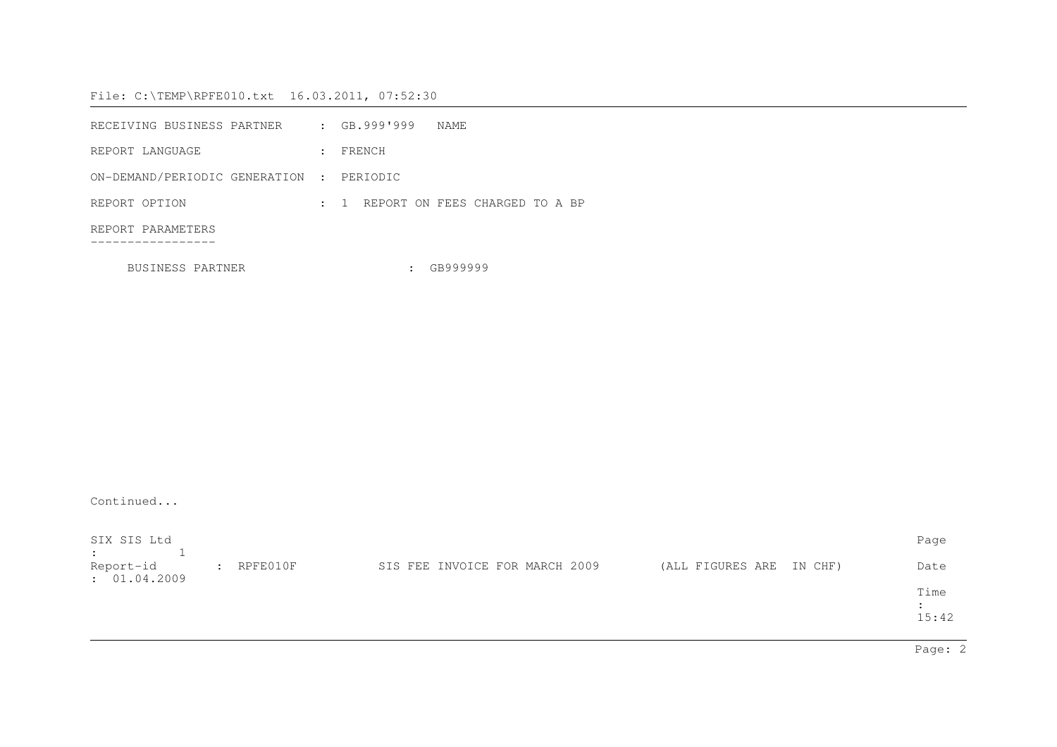| RECEIVING BUSINESS PARTNER               |  | $:$ GB.999'999 | NAME |                                    |  |  |
|------------------------------------------|--|----------------|------|------------------------------------|--|--|
| REPORT LANGUAGE                          |  | FRENCH         |      |                                    |  |  |
| ON-DEMAND/PERIODIC GENERATION : PERIODIC |  |                |      |                                    |  |  |
| REPORT OPTION                            |  |                |      | : 1 REPORT ON FEES CHARGED TO A BP |  |  |
| REPORT PARAMETERS                        |  |                |      |                                    |  |  |
|                                          |  |                |      |                                    |  |  |

BUSINESS PARTNER : GB999999

Continued...

| SIX SIS Ltd<br>$\mathbf{E}$ |              |                                |                          | Page          |
|-----------------------------|--------------|--------------------------------|--------------------------|---------------|
| Report-id<br>: 01.04.2009   | $:$ RPFE010F | SIS FEE INVOICE FOR MARCH 2009 | (ALL FIGURES ARE IN CHF) | Date          |
|                             |              |                                |                          | Time<br>15:42 |

Page: 2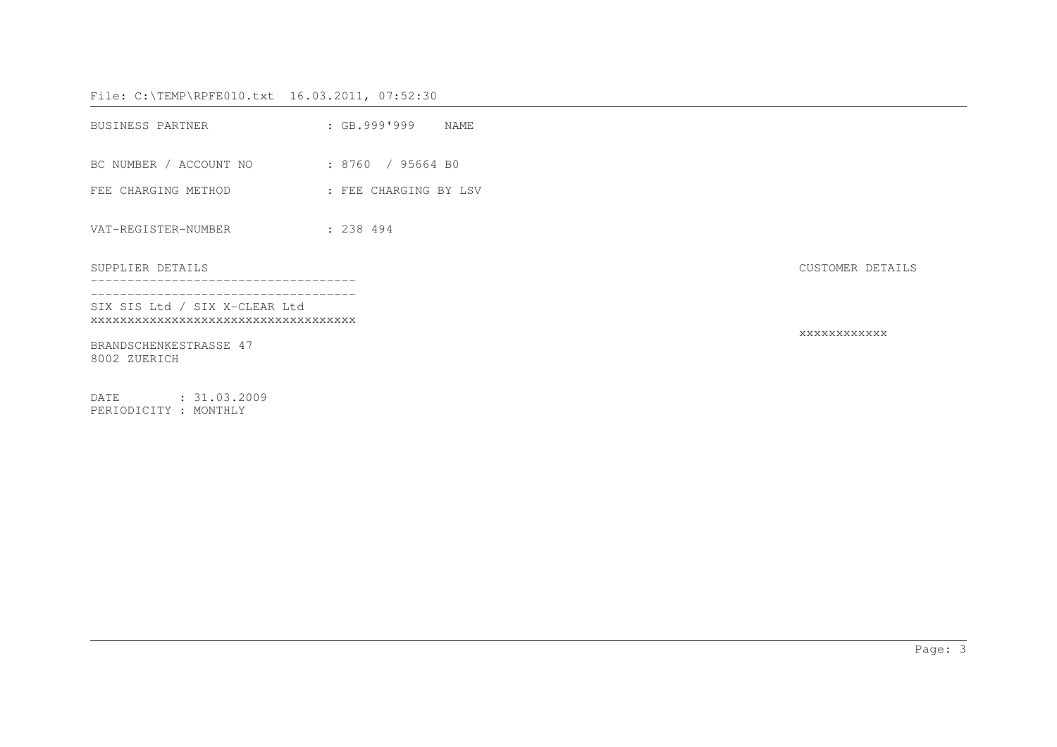| BUSINESS PARTNER                                                     | $\;$ GB.999'999<br>NAME |                  |
|----------------------------------------------------------------------|-------------------------|------------------|
| BC NUMBER / ACCOUNT NO : 8760 / 95664 BO                             |                         |                  |
| FEE CHARGING METHOD <b>FEE CHARGING BY LSV</b>                       |                         |                  |
| VAT-REGISTER-NUMBER                                                  | : 238494                |                  |
| SUPPLIER DETAILS                                                     |                         | CUSTOMER DETAILS |
| SIX SIS Ltd / SIX X-CLEAR Ltd<br>XXXXXXXXXXXXXXXXXXXXXXXXXXXXXXXXXXX |                         |                  |
| BRANDSCHENKESTRASSE 47<br>8002 ZUERICH                               |                         | XXXXXXXXXXXX     |
| DATE<br>: 31.03.2009<br>PERIODICITY : MONTHLY                        |                         |                  |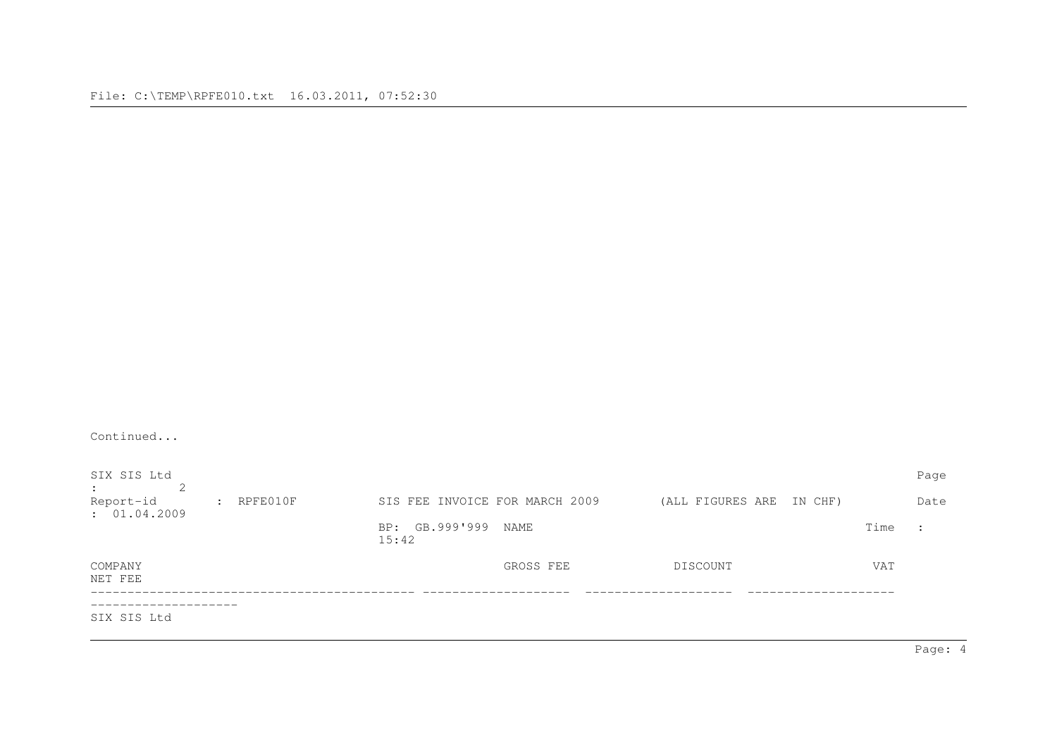| Continued                                |                                                                                                         |                                |           |                          |      |                      |
|------------------------------------------|---------------------------------------------------------------------------------------------------------|--------------------------------|-----------|--------------------------|------|----------------------|
| SIX SIS Ltd<br>2<br>$\ddot{\phantom{0}}$ |                                                                                                         |                                |           |                          |      | Page                 |
| Report-id<br>: 01.04.2009                | $\mathsf{R}$ $\mathsf{R}$ $\mathsf{P}$ $\mathsf{E}$ $\mathsf{O}$ $\mathsf{1}$ $\mathsf{O}$ $\mathsf{F}$ | SIS FEE INVOICE FOR MARCH 2009 |           | (ALL FIGURES ARE IN CHF) |      | Date                 |
|                                          |                                                                                                         | BP: GB.999'999<br>15:42        | NAME      |                          | Time | $\ddot{\phantom{0}}$ |
| COMPANY<br>NET FEE                       |                                                                                                         |                                | GROSS FEE | DISCOUNT                 | VAT  |                      |
| SIX SIS Ltd                              |                                                                                                         |                                |           |                          |      |                      |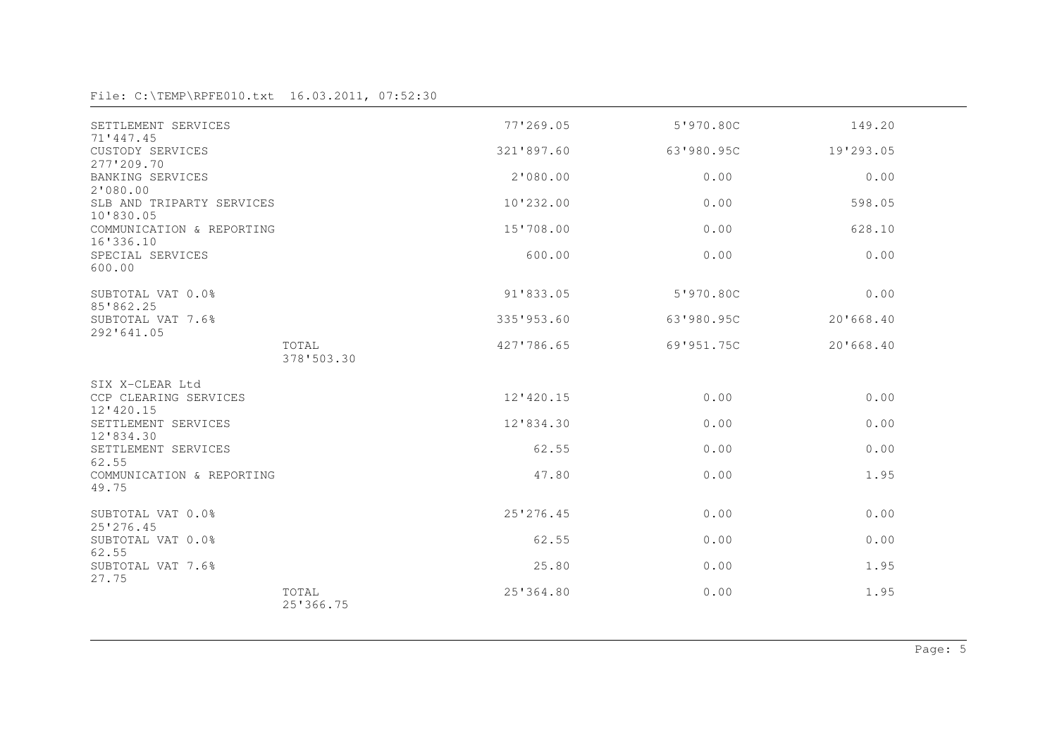| SETTLEMENT SERVICES                    |                     | 77'269.05  | 5'970.80C  | 149.20    |
|----------------------------------------|---------------------|------------|------------|-----------|
| 71'447.45<br>CUSTODY SERVICES          |                     | 321'897.60 | 63'980.95C | 19'293.05 |
| 277'209.70                             |                     |            |            |           |
| BANKING SERVICES<br>2'080.00           |                     | 2'080.00   | 0.00       | 0.00      |
| SLB AND TRIPARTY SERVICES<br>10'830.05 |                     | 10'232.00  | 0.00       | 598.05    |
| COMMUNICATION & REPORTING<br>16'336.10 |                     | 15'708.00  | 0.00       | 628.10    |
| SPECIAL SERVICES<br>600.00             |                     | 600.00     | 0.00       | 0.00      |
| SUBTOTAL VAT 0.0%<br>85'862.25         |                     | 91'833.05  | 5'970.80C  | 0.00      |
| SUBTOTAL VAT 7.6%<br>292'641.05        |                     | 335'953.60 | 63'980.95C | 20'668.40 |
|                                        | TOTAL<br>378'503.30 | 427'786.65 | 69'951.75C | 20'668.40 |
| SIX X-CLEAR Ltd                        |                     |            |            |           |
| CCP CLEARING SERVICES<br>$12'$ 420.15  |                     | 12'420.15  | 0.00       | 0.00      |
| SETTLEMENT SERVICES<br>12'834.30       |                     | 12'834.30  | 0.00       | 0.00      |
| SETTLEMENT SERVICES<br>62.55           |                     | 62.55      | 0.00       | 0.00      |
| COMMUNICATION & REPORTING<br>49.75     |                     | 47.80      | 0.00       | 1.95      |
| SUBTOTAL VAT 0.0%<br>25'276.45         |                     | 25'276.45  | 0.00       | 0.00      |
| SUBTOTAL VAT 0.0%<br>62.55             |                     | 62.55      | 0.00       | 0.00      |
| SUBTOTAL VAT 7.6%<br>27.75             |                     | 25.80      | 0.00       | 1.95      |
|                                        | TOTAL<br>25'366.75  | 25'364.80  | 0.00       | 1.95      |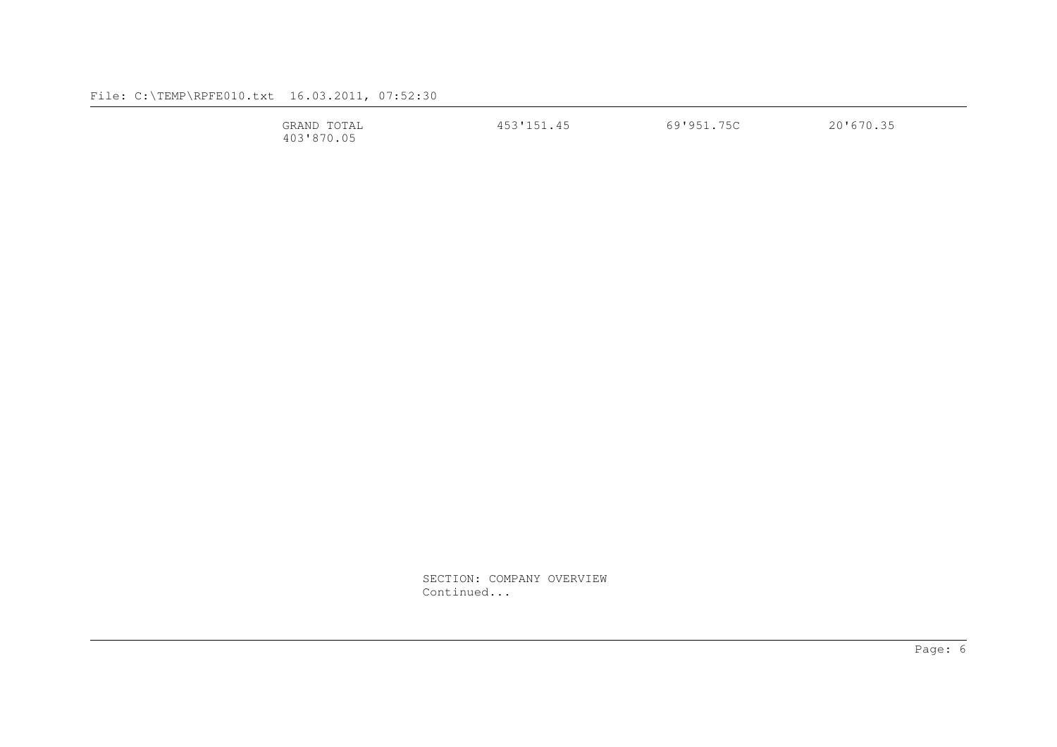| $T \cap T \cap T$<br>GRAND<br>$\Delta$ 1<br>---- | $\Gamma$ $\cap$ $\Gamma$ $\cap$ $\Gamma$ $\cap$<br>.<br>--<br>$\rightarrow$ | ワヒベ<br>$01051$<br>ี ผ<br>JV.<br>. . | $201670$<br>2 U |
|--------------------------------------------------|-----------------------------------------------------------------------------|-------------------------------------|-----------------|
| AAR DER AR<br>403<br>.                           |                                                                             |                                     |                 |

 SECTION: COMPANY OVERVIEW Continued...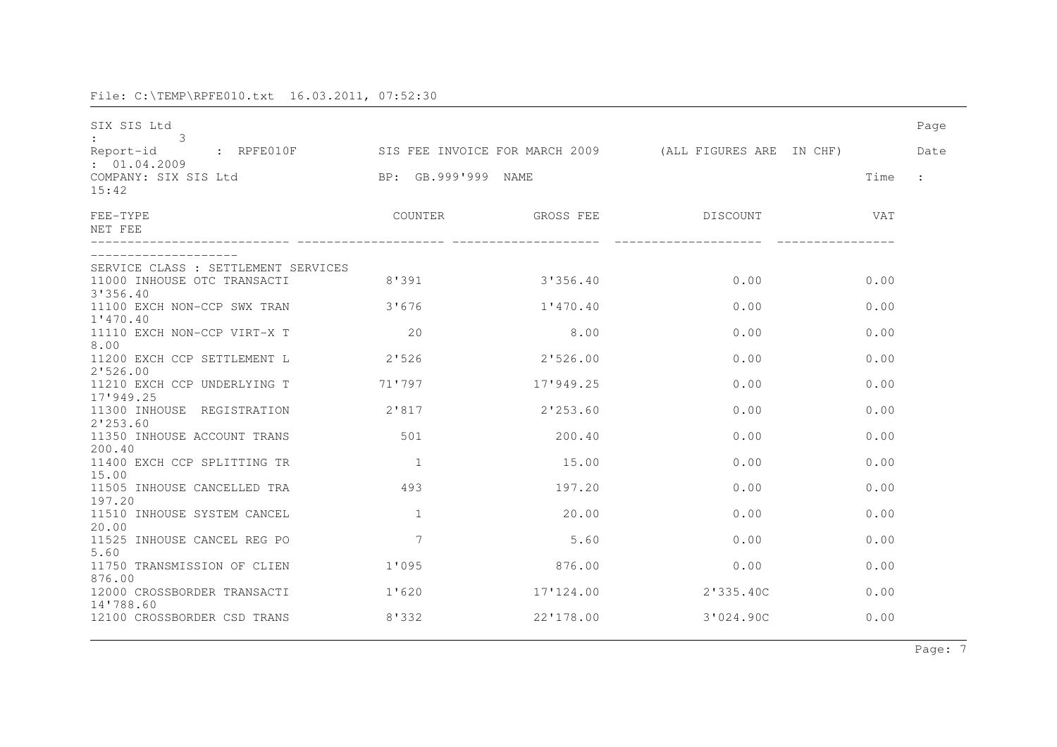| SIX SIS Ltd<br>3                                   |                |             |                                                         |            | Page                 |
|----------------------------------------------------|----------------|-------------|---------------------------------------------------------|------------|----------------------|
| Report-id : RPFE010F                               |                |             | SIS FEE INVOICE FOR MARCH 2009 (ALL FIGURES ARE IN CHF) |            | Date                 |
| : 01.04.2009<br>COMPANY: SIX SIS Ltd<br>15:42      | BP: GB.999'999 | <b>NAME</b> |                                                         | Time       | $\ddot{\phantom{a}}$ |
| FEE-TYPE<br>NET FEE                                | COUNTER        | GROSS FEE   | DISCOUNT                                                | <b>VAT</b> |                      |
| SERVICE CLASS : SETTLEMENT SERVICES                |                |             |                                                         |            |                      |
| 11000 INHOUSE OTC TRANSACTI<br>3'356.40            | 8'391          | 3'356.40    | 0.00                                                    | 0.00       |                      |
| 11100 EXCH NON-CCP SWX TRAN<br>1'470.40            | 3'676          | 1'470.40    | 0.00                                                    | 0.00       |                      |
| 11110 EXCH NON-CCP VIRT-X T<br>8.00                | 20             | 8.00        | 0.00                                                    | 0.00       |                      |
| 11200 EXCH CCP SETTLEMENT L<br>2'526.00            | 2'526          | 2'526.00    | 0.00                                                    | 0.00       |                      |
| 11210 EXCH CCP UNDERLYING T<br>17'949.25           | 71'797         | 17'949.25   | 0.00                                                    | 0.00       |                      |
| 11300 INHOUSE REGISTRATION<br>2'253.60             | 2'817          | 2'253.60    | 0.00                                                    | 0.00       |                      |
| 11350 INHOUSE ACCOUNT TRANS<br>200.40              | 501            | 200.40      | 0.00                                                    | 0.00       |                      |
| 11400 EXCH CCP SPLITTING TR<br>15.00               | $\mathbf{1}$   | 15.00       | 0.00                                                    | 0.00       |                      |
| 11505 INHOUSE CANCELLED TRA                        | 493            | 197.20      | 0.00                                                    | 0.00       |                      |
| 197.20<br>11510 INHOUSE SYSTEM CANCEL              | $\mathbf{1}$   | 20.00       | 0.00                                                    | 0.00       |                      |
| 20.00<br>11525 INHOUSE CANCEL REG PO               | 7              | 5.60        | 0.00                                                    | 0.00       |                      |
| 5.60<br>11750 TRANSMISSION OF CLIEN                | 1'095          | 876.00      | 0.00                                                    | 0.00       |                      |
| 876.00<br>12000 CROSSBORDER TRANSACTI<br>14'788.60 | 1'620          | 17'124.00   | 2'335.40C                                               | 0.00       |                      |
| 12100 CROSSBORDER CSD TRANS                        | 8'332          | 22'178.00   | 3'024.90C                                               | 0.00       |                      |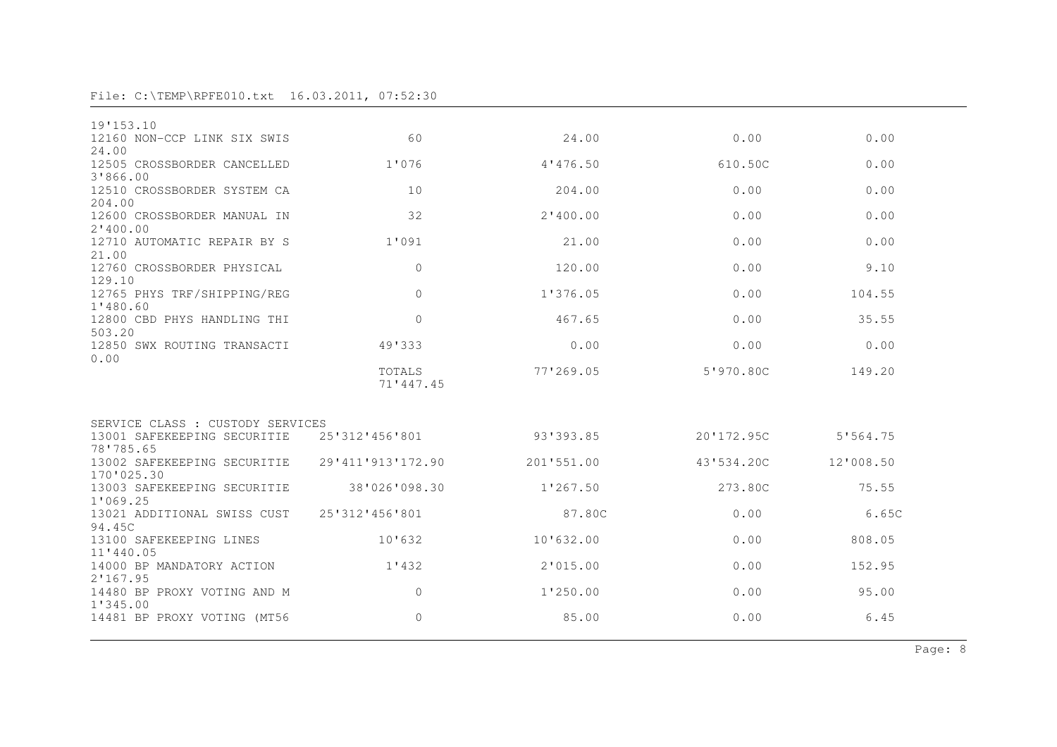| 19'153.10                                                       |                     |            |            |           |  |
|-----------------------------------------------------------------|---------------------|------------|------------|-----------|--|
| 12160 NON-CCP LINK SIX SWIS<br>24.00                            | 60                  | 24.00      | 0.00       | 0.00      |  |
| 12505 CROSSBORDER CANCELLED                                     | 1'076               | 4'476.50   | 610.50C    | 0.00      |  |
| 3'866.00                                                        |                     |            |            |           |  |
| 12510 CROSSBORDER SYSTEM CA<br>204.00                           | 10                  | 204.00     | 0.00       | 0.00      |  |
| 12600 CROSSBORDER MANUAL IN                                     | 32                  | 2'400.00   | 0.00       | 0.00      |  |
| 2'400.00<br>12710 AUTOMATIC REPAIR BY S                         | 1'091               | 21.00      | 0.00       | 0.00      |  |
| 21.00                                                           |                     |            |            |           |  |
| 12760 CROSSBORDER PHYSICAL                                      | $\mathbf{0}$        | 120.00     | 0.00       | 9.10      |  |
| 129.10<br>12765 PHYS TRF/SHIPPING/REG                           | $\Omega$            | 1'376.05   | 0.00       | 104.55    |  |
| 1'480.60                                                        |                     |            |            |           |  |
| 12800 CBD PHYS HANDLING THI                                     | $\overline{0}$      | 467.65     | 0.00       | 35.55     |  |
| 503.20<br>12850 SWX ROUTING TRANSACTI                           | 49'333              | 0.00       | 0.00       | 0.00      |  |
| 0.00                                                            |                     |            |            |           |  |
|                                                                 | TOTALS<br>71'447.45 | 77'269.05  | 5'970.80C  | 149.20    |  |
|                                                                 |                     |            |            |           |  |
|                                                                 |                     |            |            |           |  |
| SERVICE CLASS : CUSTODY SERVICES<br>13001 SAFEKEEPING SECURITIE | 25'312'456'801      | 93'393.85  | 20'172.95C | 5'564.75  |  |
| 78'785.65                                                       |                     |            |            |           |  |
| 13002 SAFEKEEPING SECURITIE<br>170'025.30                       | 29'411'913'172.90   | 201'551.00 | 43'534.20C | 12'008.50 |  |
| 13003 SAFEKEEPING SECURITIE                                     | 38'026'098.30       | 1'267.50   | 273.80C    | 75.55     |  |
| 1'069.25                                                        |                     |            |            |           |  |
| 13021 ADDITIONAL SWISS CUST<br>94.45C                           | 25'312'456'801      | 87.80C     | 0.00       | 6.65C     |  |
| 13100 SAFEKEEPING LINES                                         | 10'632              | 10'632.00  | 0.00       | 808.05    |  |
| 11'440.05<br>14000 BP MANDATORY ACTION                          | 1'432               | 2'015.00   | 0.00       | 152.95    |  |
| 2'167.95                                                        |                     |            |            |           |  |
| 14480 BP PROXY VOTING AND M                                     | $\overline{0}$      | 1'250.00   | 0.00       | 95.00     |  |
| 1'345.00<br>14481 BP PROXY VOTING (MT56                         | $\mathbf{0}$        | 85.00      | 0.00       | 6.45      |  |
|                                                                 |                     |            |            |           |  |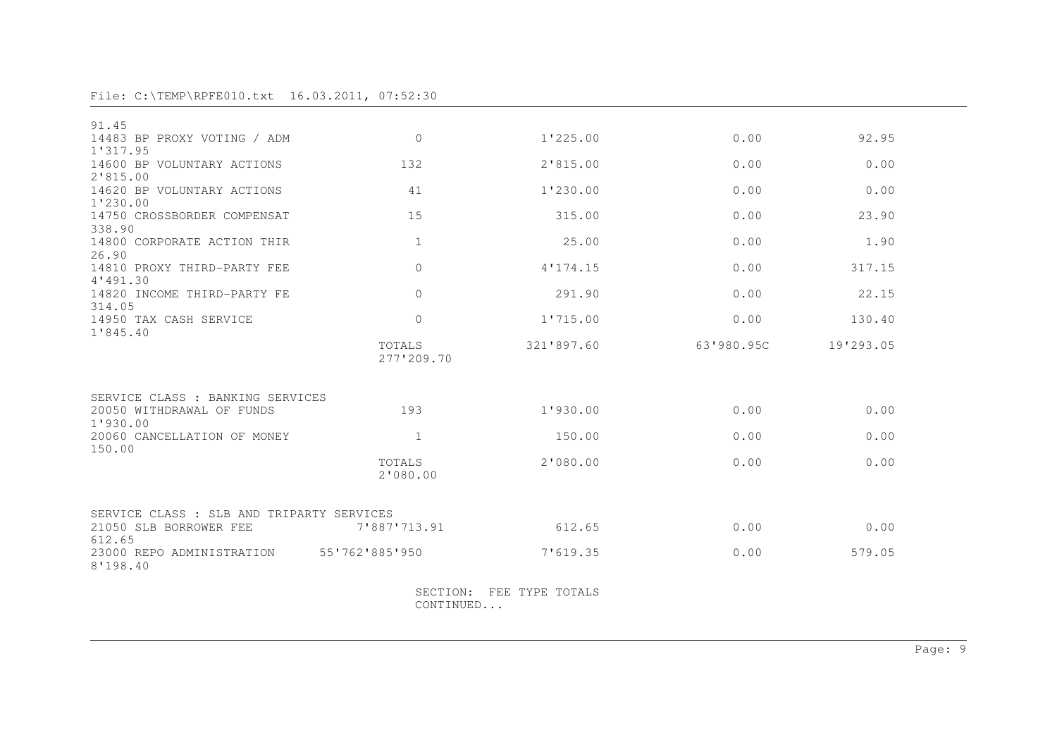| 91.45                                                |                       |                 |            |           |  |
|------------------------------------------------------|-----------------------|-----------------|------------|-----------|--|
| 14483 BP PROXY VOTING / ADM<br>1'317.95              | $\overline{0}$        | 1'225.00        | 0.00       | 92.95     |  |
| 14600 BP VOLUNTARY ACTIONS<br>2'815.00               | 132                   | 2'815.00        | 0.00       | 0.00      |  |
| 14620 BP VOLUNTARY ACTIONS<br>1'230.00               | 41                    | 1'230.00        | 0.00       | 0.00      |  |
| 14750 CROSSBORDER COMPENSAT<br>338.90                | 15                    | 315.00          | 0.00       | 23.90     |  |
| 14800 CORPORATE ACTION THIR<br>26.90                 | $\mathbf{1}$          | 25.00           | 0.00       | 1.90      |  |
| 14810 PROXY THIRD-PARTY FEE<br>4'491.30              | $\overline{0}$        | 4'174.15        | 0.00       | 317.15    |  |
| 14820 INCOME THIRD-PARTY FE<br>314.05                | $\Omega$              | 291.90          | 0.00       | 22.15     |  |
| 14950 TAX CASH SERVICE<br>1'845.40                   | $\overline{0}$        | 1'715.00        | 0.00       | 130.40    |  |
|                                                      | TOTALS<br>277'209.70  | 321'897.60      | 63'980.95C | 19'293.05 |  |
| SERVICE CLASS : BANKING SERVICES                     |                       |                 |            |           |  |
| 20050 WITHDRAWAL OF FUNDS<br>1'930.00                | 193                   | 1'930.00        | 0.00       | 0.00      |  |
| 20060 CANCELLATION OF MONEY<br>150.00                | $\mathbf{1}$          | 150.00          | 0.00       | 0.00      |  |
|                                                      | TOTALS<br>2'080.00    | 2'080.00        | 0.00       | 0.00      |  |
| SERVICE CLASS : SLB AND TRIPARTY SERVICES            |                       |                 |            |           |  |
| 21050 SLB BORROWER FEE<br>612.65                     | 7'887'713.91          | 612.65          | 0.00       | 0.00      |  |
| 23000 REPO ADMINISTRATION 55'762'885'950<br>8'198.40 |                       | 7'619.35        | 0.00       | 579.05    |  |
|                                                      | SECTION:<br>CONTINUED | FEE TYPE TOTALS |            |           |  |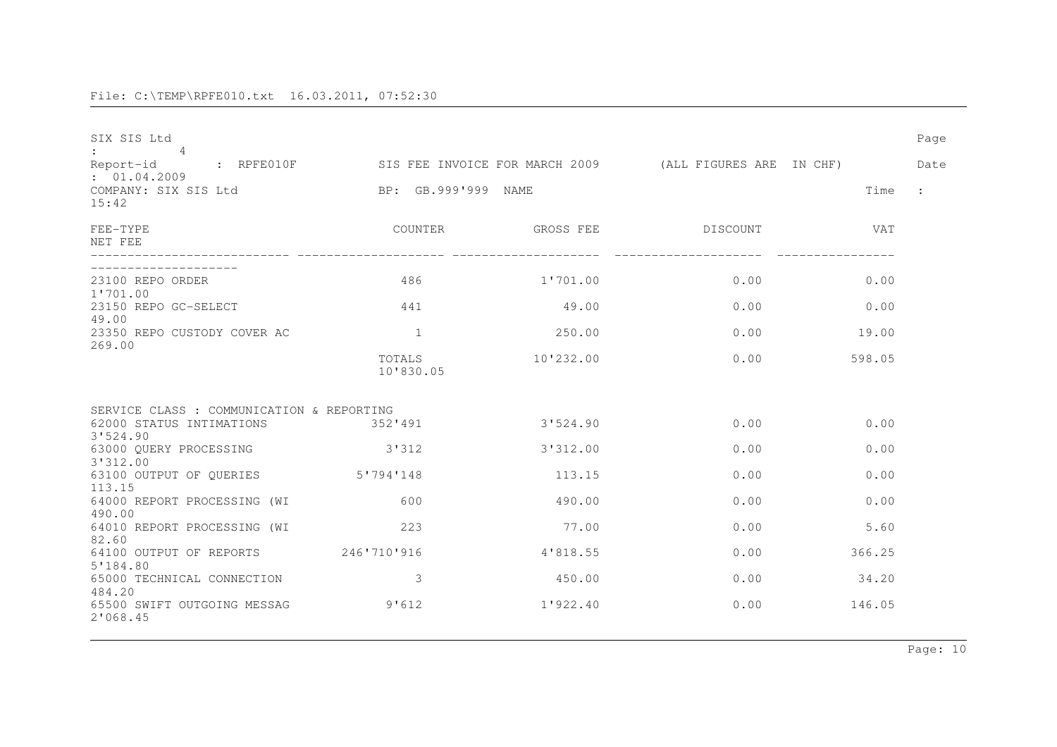| SIX SIS Ltd<br>$\overline{4}$                   |                     |           |                                                                                       |        | Page      |
|-------------------------------------------------|---------------------|-----------|---------------------------------------------------------------------------------------|--------|-----------|
| Report-id                                       |                     |           | : RPFE010F           SIS FEE INVOICE FOR MARCH 2009         (ALL FIGURES ARE  IN CHF) |        | Date      |
| : 01.04.2009<br>COMPANY: SIX SIS Ltd<br>15:42   | BP: GB.999'999 NAME |           |                                                                                       | Time   | $\cdot$ : |
| FEE-TYPE<br>NET FEE                             |                     |           | COUNTER GROSS FEE DISCOUNT                                                            | VAT    |           |
| 23100 REPO ORDER                                | 486                 | 1'701.00  | 0.00                                                                                  | 0.00   |           |
| 1'701.00<br>23150 REPO GC-SELECT<br>49.00       | 441                 | 49.00     | 0.00                                                                                  | 0.00   |           |
| 23350 REPO CUSTODY COVER AC<br>269.00           | $\mathbf{1}$        | 250.00    | 0.00                                                                                  | 19.00  |           |
|                                                 | TOTALS<br>10'830.05 | 10'232.00 | 0.00                                                                                  | 598.05 |           |
| SERVICE CLASS : COMMUNICATION & REPORTING       |                     |           |                                                                                       |        |           |
| 62000 STATUS INTIMATIONS<br>3'524.90            | 352'491             | 3'524.90  | 0.00                                                                                  | 0.00   |           |
| 63000 QUERY PROCESSING<br>3'312.00              | 3'312               | 3'312.00  | 0.00                                                                                  | 0.00   |           |
| 63100 OUTPUT OF QUERIES 5'794'148<br>113.15     |                     | 113.15    | 0.00                                                                                  | 0.00   |           |
| 64000 REPORT PROCESSING (WI<br>490.00           | 600                 | 490.00    | 0.00                                                                                  | 0.00   |           |
| 64010 REPORT PROCESSING (WI<br>82.60            | 2.2.3               | 77.00     | 0.00                                                                                  | 5.60   |           |
| 64100 OUTPUT OF REPORTS 246'710'916<br>5'184.80 |                     | 4'818.55  | 0.00                                                                                  | 366.25 |           |
| 65000 TECHNICAL CONNECTION<br>484.20            | 3                   | 450.00    | 0.00                                                                                  | 34.20  |           |
| 65500 SWIFT OUTGOING MESSAG<br>2'068.45         | 9'612               | 1'922.40  | 0.00                                                                                  | 146.05 |           |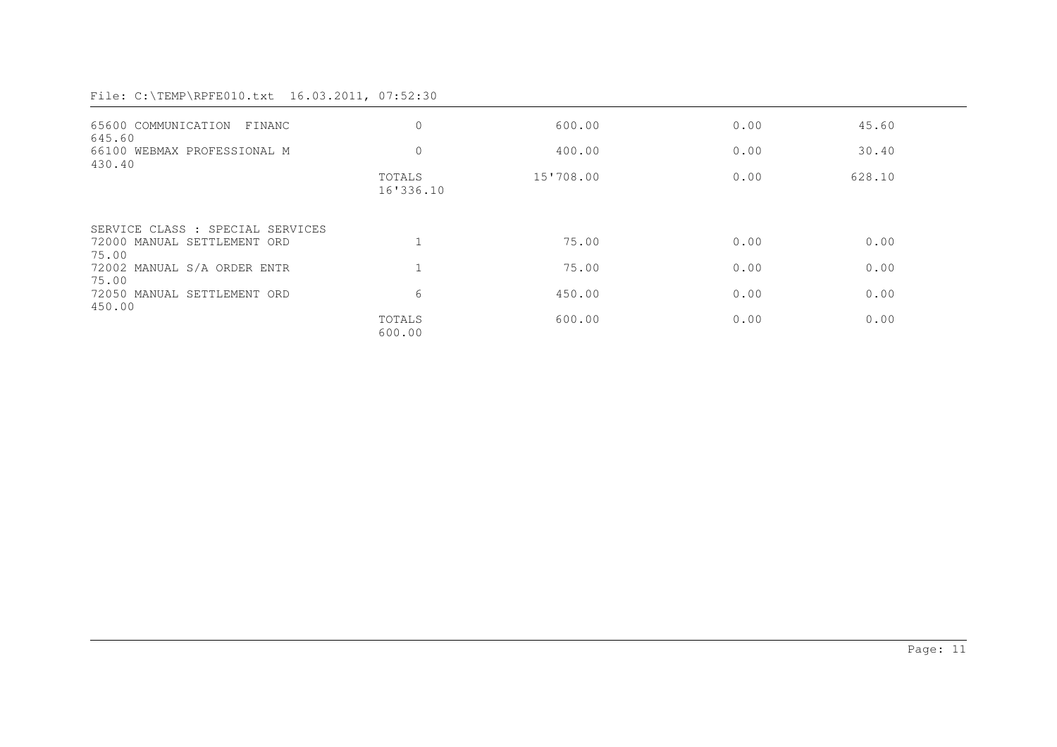| 65600 COMMUNICATION FINANC<br>645.60  | $\mathbf{0}$        | 600.00    | 0.00 | 45.60  |
|---------------------------------------|---------------------|-----------|------|--------|
| 66100 WEBMAX PROFESSIONAL M<br>430.40 | $\mathbf{0}$        | 400.00    | 0.00 | 30.40  |
|                                       | TOTALS<br>16'336.10 | 15'708.00 | 0.00 | 628.10 |
| SERVICE CLASS : SPECIAL SERVICES      |                     |           |      |        |
| 72000 MANUAL SETTLEMENT ORD<br>75.00  |                     | 75.00     | 0.00 | 0.00   |
| 72002 MANUAL S/A ORDER ENTR<br>75.00  |                     | 75.00     | 0.00 | 0.00   |
| 72050 MANUAL SETTLEMENT ORD<br>450.00 | 6                   | 450.00    | 0.00 | 0.00   |
|                                       | TOTALS<br>600.00    | 600.00    | 0.00 | 0.00   |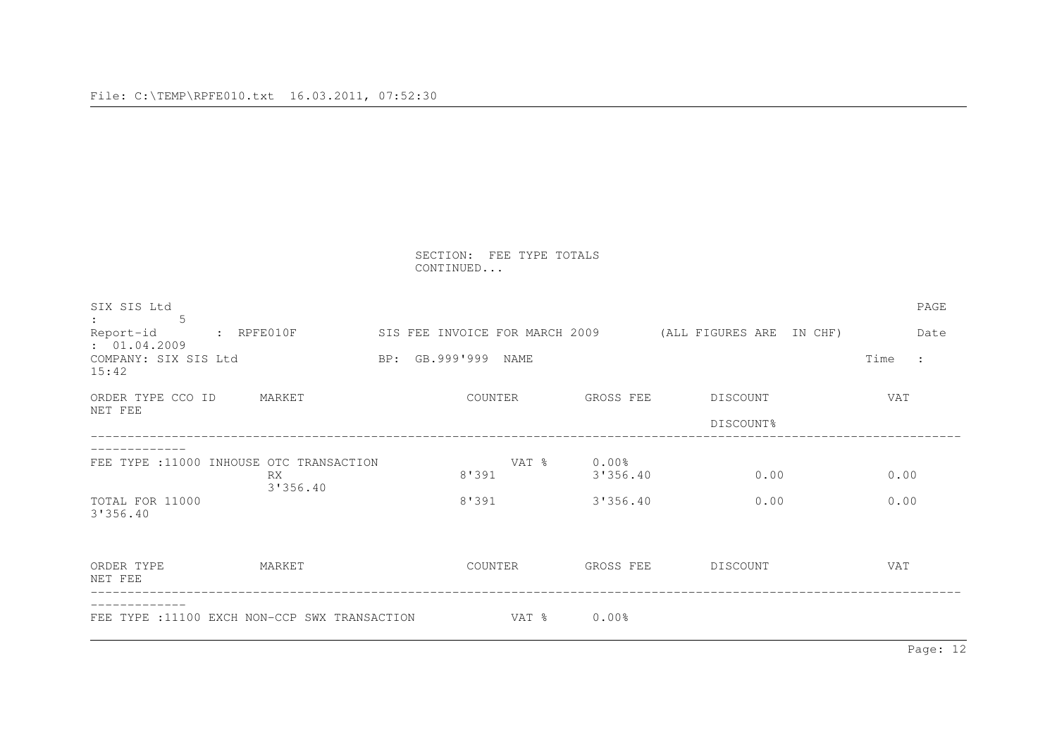SECTION: FEE TYPE TOTALS CONTINUED...

| SIX SIS Ltd<br>.5<br>Report-id<br>: 01.04.2009<br>COMPANY: SIX SIS Ltd<br>15:42 | $:$ RPFE010F   | BP: GB.999'999 NAME | SIS FEE INVOICE FOR MARCH 2009 |                                  | (ALL FIGURES ARE      | IN CHF) | Time         | PAGE<br>Date<br>$\cdot$ : |
|---------------------------------------------------------------------------------|----------------|---------------------|--------------------------------|----------------------------------|-----------------------|---------|--------------|---------------------------|
| ORDER TYPE CCO ID<br>NET FEE                                                    | MARKET         | COUNTER             |                                | GROSS FEE                        | DISCOUNT<br>DISCOUNT% |         | VAT          |                           |
| FEE TYPE : 11000 INHOUSE OTC TRANSACTION<br>TOTAL FOR 11000<br>3'356.40         | RX<br>3'356.40 | 8'391<br>8'391      | VAT %                          | $0.00\%$<br>3'356.40<br>3'356.40 | 0.00<br>0.00          |         | 0.00<br>0.00 |                           |
| ORDER TYPE<br>NET FEE                                                           | MARKET         | COUNTER             |                                | GROSS FEE                        | DISCOUNT              |         | VAT          |                           |
| FEE TYPE : 11100 EXCH NON-CCP SWX TRANSACTION                                   |                |                     | VAT %                          | $0.00\%$                         |                       |         |              |                           |

Page: 12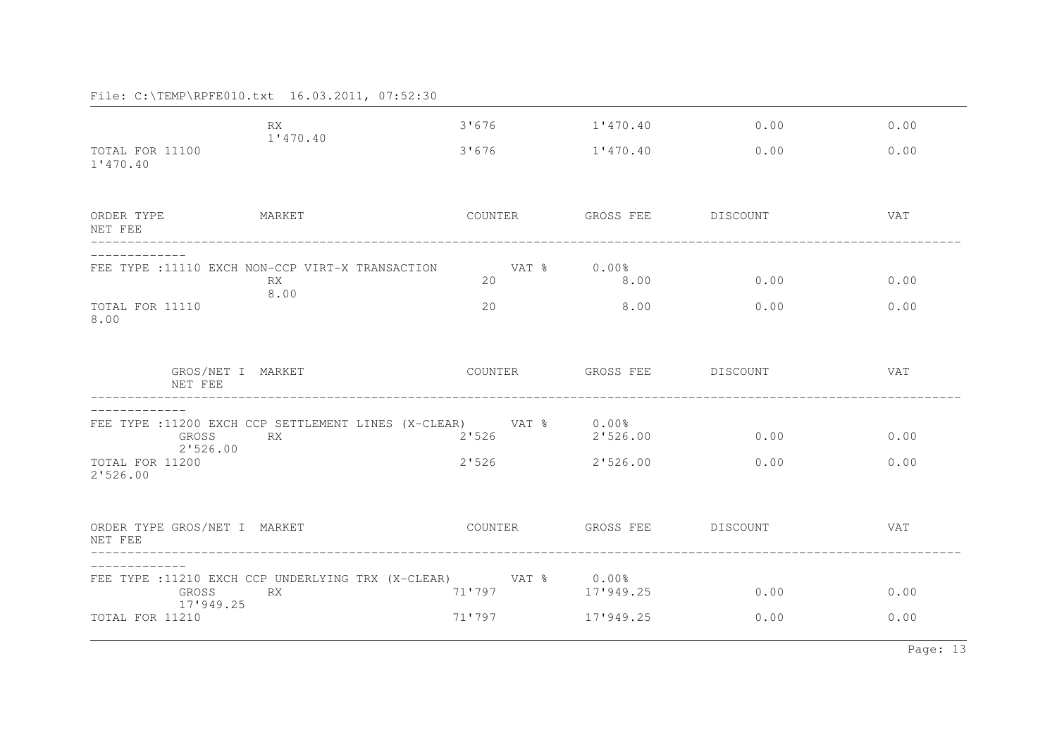|                                         | RX<br>1'470.40                                                  | 3'676       | 1'470.40           | 0.00     | 0.00       |
|-----------------------------------------|-----------------------------------------------------------------|-------------|--------------------|----------|------------|
| TOTAL FOR 11100<br>1'470.40             |                                                                 | 3'676       | 1'470.40           | 0.00     | 0.00       |
| ORDER TYPE<br>NET FEE                   | MARKET                                                          | COUNTER     | GROSS FEE          | DISCOUNT | VAT        |
|                                         | FEE TYPE : 11110 EXCH NON-CCP VIRT-X TRANSACTION                | VAT % 0.00% |                    |          |            |
|                                         | RX.<br>8.00                                                     | 20          | 8.00               | 0.00     | 0.00       |
| TOTAL FOR 11110<br>8.00                 |                                                                 | 20          | 8.00               | 0.00     | 0.00       |
| NET FEE                                 | GROS/NET I MARKET                                               | COUNTER     | GROSS FEE DISCOUNT |          | VAT        |
|                                         | FEE TYPE :11200 EXCH CCP SETTLEMENT LINES (X-CLEAR) VAT % 0.00% |             |                    |          |            |
| GROSS<br>2'526.00                       | <b>RX</b>                                                       | 2'526       | 2'526.00           | 0.00     | 0.00       |
| TOTAL FOR 11200<br>2'526.00             |                                                                 | 2'526       | 2'526.00           | 0.00     | 0.00       |
| ORDER TYPE GROS/NET I MARKET<br>NET FEE |                                                                 | COUNTER     | GROSS FEE DISCOUNT |          | <b>VAT</b> |
|                                         | FEE TYPE :11210 EXCH CCP UNDERLYING TRX (X-CLEAR) VAT % 0.00%   |             |                    |          |            |
| GROSS<br>17'949.25                      | <b>RX</b>                                                       | 71'797      | 17'949.25          | 0.00     | 0.00       |
| TOTAL FOR 11210                         |                                                                 | 71'797      | 17'949.25          | 0.00     | 0.00       |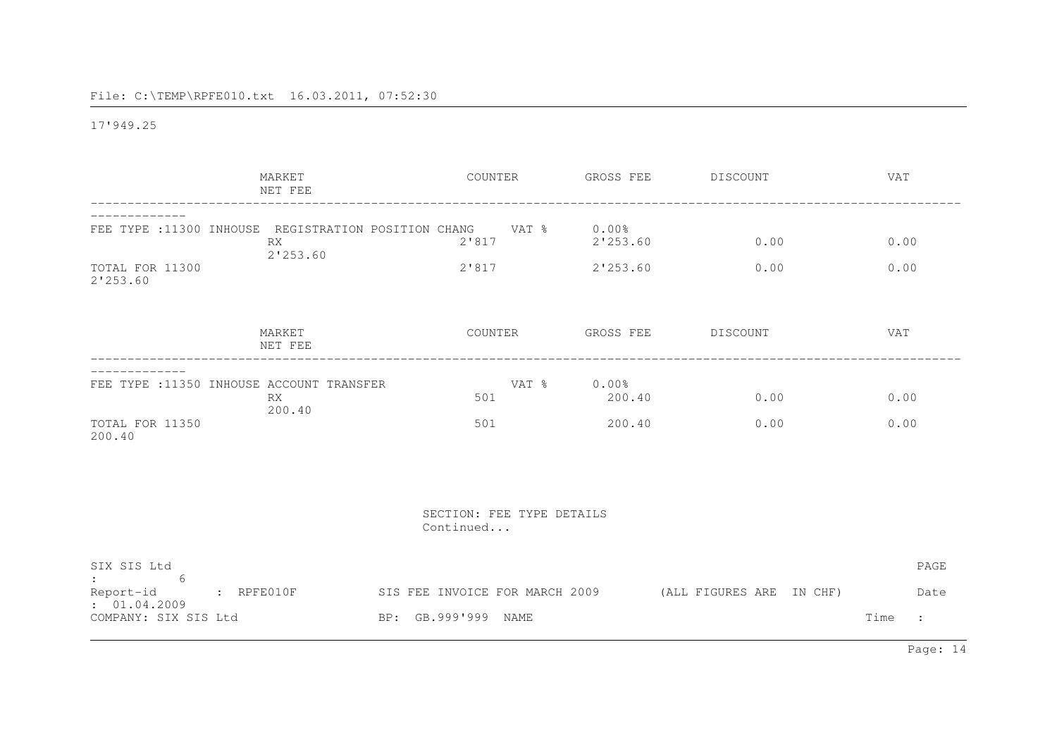17'949.25

|                                                                        | MARKET<br>NET FEE                                                     | COUNTER                                               | GROSS FEE                        | DISCOUNT                 | <b>VAT</b>                             |
|------------------------------------------------------------------------|-----------------------------------------------------------------------|-------------------------------------------------------|----------------------------------|--------------------------|----------------------------------------|
| TOTAL FOR 11300<br>2'253.60                                            | FEE TYPE :11300 INHOUSE REGISTRATION POSITION CHANG<br>RX<br>2'253.60 | VAT %<br>2'817<br>2'817                               | $0.00\%$<br>2'253.60<br>2'253.60 | 0.00<br>0.00             | 0.00<br>0.00                           |
|                                                                        | MARKET<br>NET FEE                                                     | COUNTER                                               | GROSS FEE                        | DISCOUNT                 | VAT                                    |
| TOTAL FOR 11350<br>200.40                                              | FEE TYPE : 11350 INHOUSE ACCOUNT TRANSFER<br><b>RX</b><br>200.40      | VAT %<br>501<br>501                                   | $0.00\%$<br>200.40<br>200.40     | 0.00<br>0.00             | 0.00<br>0.00                           |
|                                                                        |                                                                       | SECTION: FEE TYPE DETAILS<br>Continued                |                                  |                          |                                        |
| SIX SIS Ltd<br>-6<br>Report-id<br>: 01.04.2009<br>COMPANY: SIX SIS Ltd | $R$ $R$ $P$ $F$ $E$ $0$ $1$ $0$ $F$                                   | SIS FEE INVOICE FOR MARCH 2009<br>BP: GB.999'999 NAME |                                  | (ALL FIGURES ARE IN CHF) | PAGE<br>Date<br>Time<br>$\ddot{\cdot}$ |

Page: 14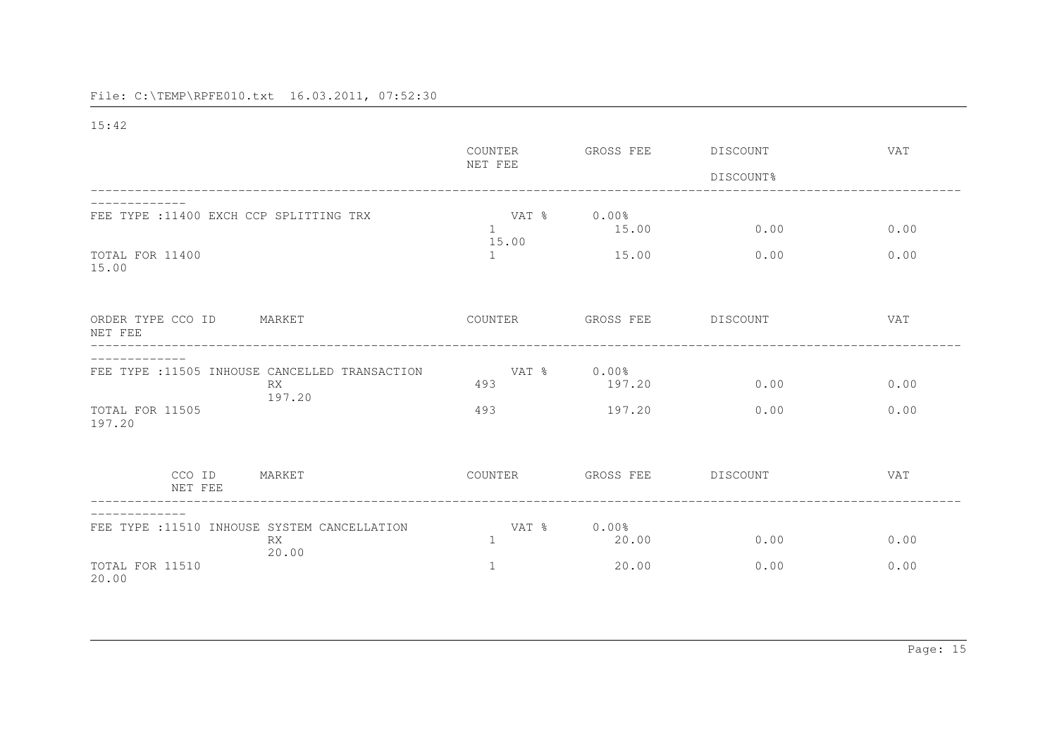15:42

|                                                                       | COUNTER               | GROSS FEE          | DISCOUNT  | <b>VAT</b> |
|-----------------------------------------------------------------------|-----------------------|--------------------|-----------|------------|
|                                                                       | NET FEE               |                    | DISCOUNT% |            |
|                                                                       |                       |                    |           |            |
| FEE TYPE : 11400 EXCH CCP SPLITTING TRX                               | VAT %<br>1<br>15.00   | $0.00\%$<br>15.00  | 0.00      | 0.00       |
| TOTAL FOR 11400<br>15.00                                              | 1                     | 15.00              | 0.00      | 0.00       |
| ORDER TYPE CCO ID<br>MARKET                                           | COUNTER               | GROSS FEE          | DISCOUNT  | VAT        |
| NET FEE                                                               |                       |                    |           |            |
|                                                                       |                       |                    |           |            |
| FEE TYPE : 11505 INHOUSE CANCELLED TRANSACTION<br><b>RX</b><br>197.20 | VAT %<br>493          | $0.00\%$<br>197.20 | 0.00      | 0.00       |
| TOTAL FOR 11505<br>197.20                                             | 493                   | 197.20             | 0.00      | 0.00       |
|                                                                       |                       |                    |           |            |
| CCO ID<br>MARKET<br>NET FEE                                           | COUNTER               | GROSS FEE          | DISCOUNT  | <b>VAT</b> |
|                                                                       |                       |                    |           |            |
| FEE TYPE : 11510 INHOUSE SYSTEM CANCELLATION<br>RX<br>20.00           | VAT %<br>$\mathbf{1}$ | $0.00\%$<br>20.00  | 0.00      | 0.00       |
| TOTAL FOR 11510<br>20.00                                              | 1                     | 20.00              | 0.00      | 0.00       |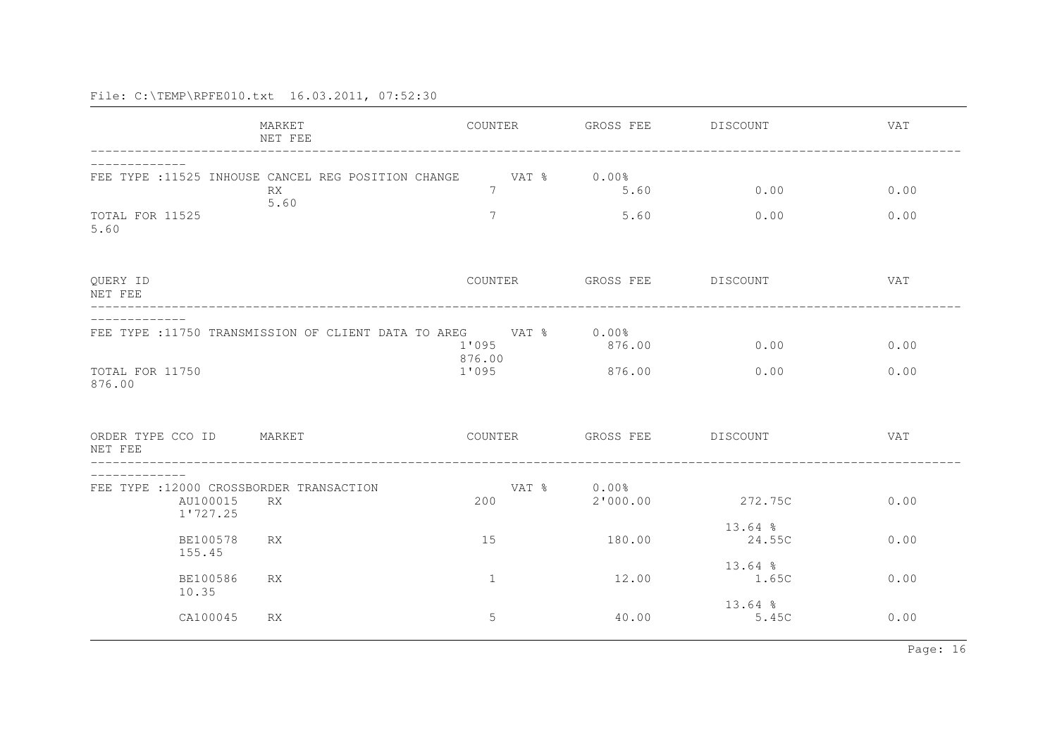|                                                                  | MARKET<br>NET FEE                                          | COUNTER                                                                  | GROSS FEE DISCOUNT         |                     | <b>VAT</b> |
|------------------------------------------------------------------|------------------------------------------------------------|--------------------------------------------------------------------------|----------------------------|---------------------|------------|
|                                                                  | FEE TYPE : 11525 INHOUSE CANCEL REG POSITION CHANGE<br>RX. | $7\phantom{.0}$                                                          | VAT % 0.00%<br>5.60        | 0.00                | 0.00       |
| TOTAL FOR 11525<br>5.60                                          | 5.60                                                       | $7\phantom{.0}$                                                          | 5.60                       | 0.00                | 0.00       |
| QUERY ID<br>NET FEE                                              |                                                            | COUNTER                                                                  | GROSS FEE DISCOUNT         |                     | <b>VAT</b> |
|                                                                  |                                                            | FEE TYPE :11750 TRANSMISSION OF CLIENT DATA TO AREG VAT % 0.00%<br>1'095 | 876.00                     | 0.00                | 0.00       |
| TOTAL FOR 11750<br>876.00                                        |                                                            | 876.00<br>1'095                                                          | 876.00                     | 0.00                | 0.00       |
| ORDER TYPE CCO ID<br>NET FEE                                     | MARKET                                                     |                                                                          | COUNTER GROSS FEE DISCOUNT |                     | VAT        |
| FEE TYPE : 12000 CROSSBORDER TRANSACTION<br>AU100015<br>1'727.25 | <b>RX</b>                                                  | 200                                                                      | VAT % 0.00%<br>2'000.00    | 272.75C             | 0.00       |
| BE100578<br>155.45                                               | <b>RX</b>                                                  | 15                                                                       | 180.00                     | $13.64$ %<br>24.55C | 0.00       |
| <b>BE100586</b><br>10.35                                         | RX.                                                        | $\mathbf{1}$                                                             | 12.00                      | $13.64$ %<br>1.65C  | 0.00       |
| CA100045                                                         | RX.                                                        | 5                                                                        | 40.00                      | $13.64$ %<br>5.45C  | 0.00       |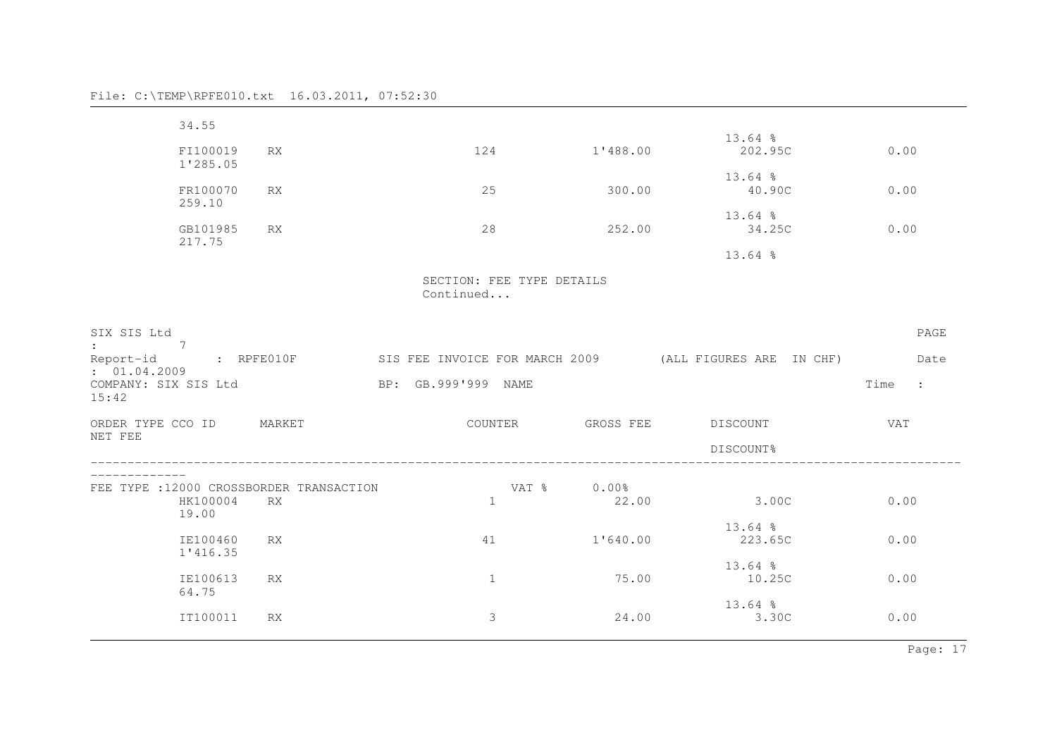| 34.55                                                                               |           |                                        |             |                                                                              |              |
|-------------------------------------------------------------------------------------|-----------|----------------------------------------|-------------|------------------------------------------------------------------------------|--------------|
| FI100019                                                                            | <b>RX</b> | 124                                    | 1'488.00    | $13.64$ %<br>202.95C                                                         | 0.00         |
| 1'285.05<br>FR100070                                                                | RX        | 25                                     | 300.00      | $13.64$ %<br>40.90C                                                          | 0.00         |
| 259.10                                                                              |           |                                        |             | $13.64$ %                                                                    |              |
| GB101985<br>217.75                                                                  | <b>RX</b> | 28                                     | 252.00      | 34.25C<br>$13.64$ %                                                          | 0.00         |
|                                                                                     |           |                                        |             |                                                                              |              |
|                                                                                     |           | SECTION: FEE TYPE DETAILS<br>Continued |             |                                                                              |              |
| SIX SIS Ltd<br>$\overline{7}$<br>$\mathbf{1}$ , and $\mathbf{1}$ , and $\mathbf{1}$ |           |                                        |             | Report-id : RPFE010F SIS FEE INVOICE FOR MARCH 2009 (ALL FIGURES ARE IN CHF) | PAGE<br>Date |
| : 01.04.2009<br>COMPANY: SIX SIS Ltd                                                |           | BP: GB.999'999 NAME                    |             |                                                                              | Time :       |
|                                                                                     |           |                                        |             |                                                                              |              |
| 15:42<br>ORDER TYPE CCO ID MARKET                                                   |           |                                        |             | COUNTER GROSS FEE DISCOUNT                                                   | <b>VAT</b>   |
| NET FEE                                                                             |           |                                        |             | DISCOUNT%                                                                    |              |
| -------------                                                                       |           |                                        | VAT % 0.00% |                                                                              |              |
| FEE TYPE : 12000 CROSSBORDER TRANSACTION<br>HK100004<br>19.00                       | <b>RX</b> | $\mathbf{1}$                           | 22.00       | 3.00C                                                                        | 0.00         |
| IE100460<br>1'416.35                                                                | <b>RX</b> | 41                                     | 1'640.00    | $13.64$ %<br>223.65C                                                         | 0.00         |
| IE100613<br>64.75                                                                   | <b>RX</b> | $\mathbf{1}$                           | 75.00       | $13.64$ %<br>10.25C                                                          | 0.00         |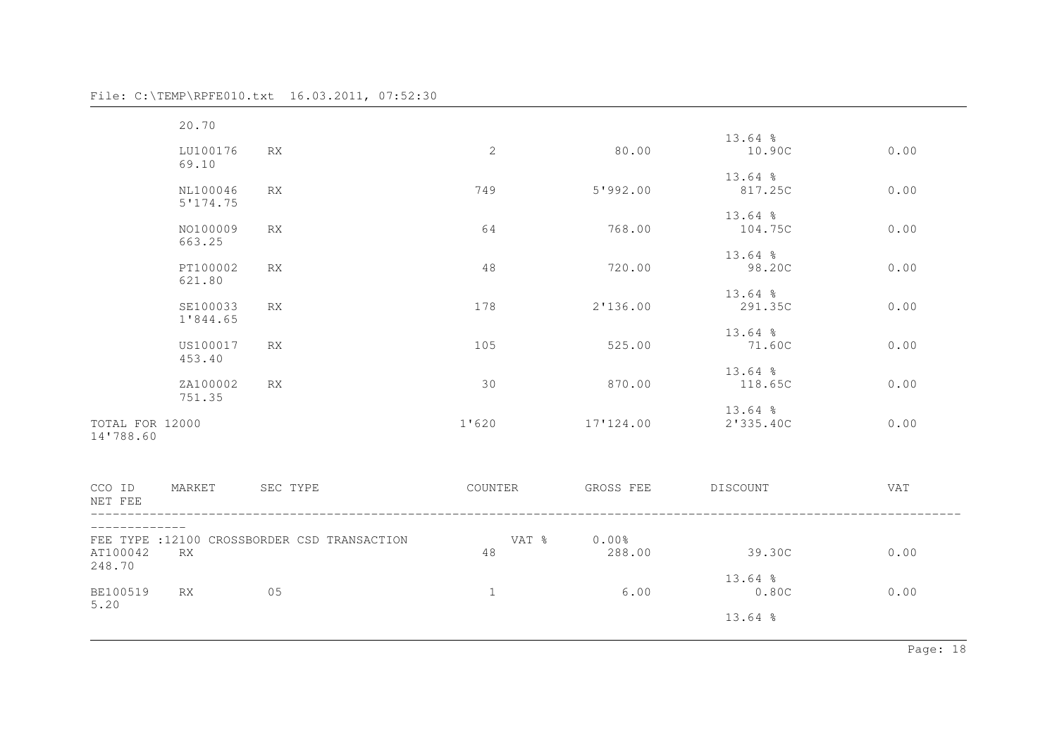|  |  | File: C:\TEMP\RPFE010.txt | 16.03.2011, 07:52:30 |  |
|--|--|---------------------------|----------------------|--|
|--|--|---------------------------|----------------------|--|

|                              | 20.70                |                                              |              |                    |                        |            |
|------------------------------|----------------------|----------------------------------------------|--------------|--------------------|------------------------|------------|
|                              | LU100176<br>69.10    | RX                                           | 2            | 80.00              | $13.64$ %<br>10.90C    | 0.00       |
|                              | NL100046<br>5'174.75 | RX                                           | 749          | 5'992.00           | $13.64$ %<br>817.25C   | 0.00       |
|                              | NO100009<br>663.25   | <b>RX</b>                                    | 64           | 768.00             | $13.64$ %<br>104.75C   | 0.00       |
|                              | PT100002<br>621.80   | RX                                           | 48           | 720.00             | $13.64$ %<br>98.20C    | 0.00       |
|                              | SE100033<br>1'844.65 | <b>RX</b>                                    | 178          | 2'136.00           | 13.64 %<br>291.35C     | 0.00       |
|                              | US100017<br>453.40   | RX                                           | 105          | 525.00             | $13.64$ %<br>71.60C    | 0.00       |
|                              | ZA100002<br>751.35   | RX                                           | 30           | 870.00             | 13.64 %<br>118.65C     | 0.00       |
| TOTAL FOR 12000<br>14'788.60 |                      |                                              | 1'620        | 17'124.00          | $13.64$ %<br>2'335.40C | 0.00       |
| CCO ID<br>NET FEE            | MARKET               | SEC TYPE                                     | COUNTER      | GROSS FEE DISCOUNT |                        | <b>VAT</b> |
| AT100042<br>248.70           | <b>RX</b>            | FEE TYPE : 12100 CROSSBORDER CSD TRANSACTION | VAT %<br>48  | $0.00\%$<br>288.00 | 39.30C                 | 0.00       |
| BE100519<br>5.20             | RX                   | 05                                           | $\mathbf{1}$ | 6.00               | $13.64$ %<br>0.80C     | 0.00       |
|                              |                      |                                              |              |                    | $13.64$ %              |            |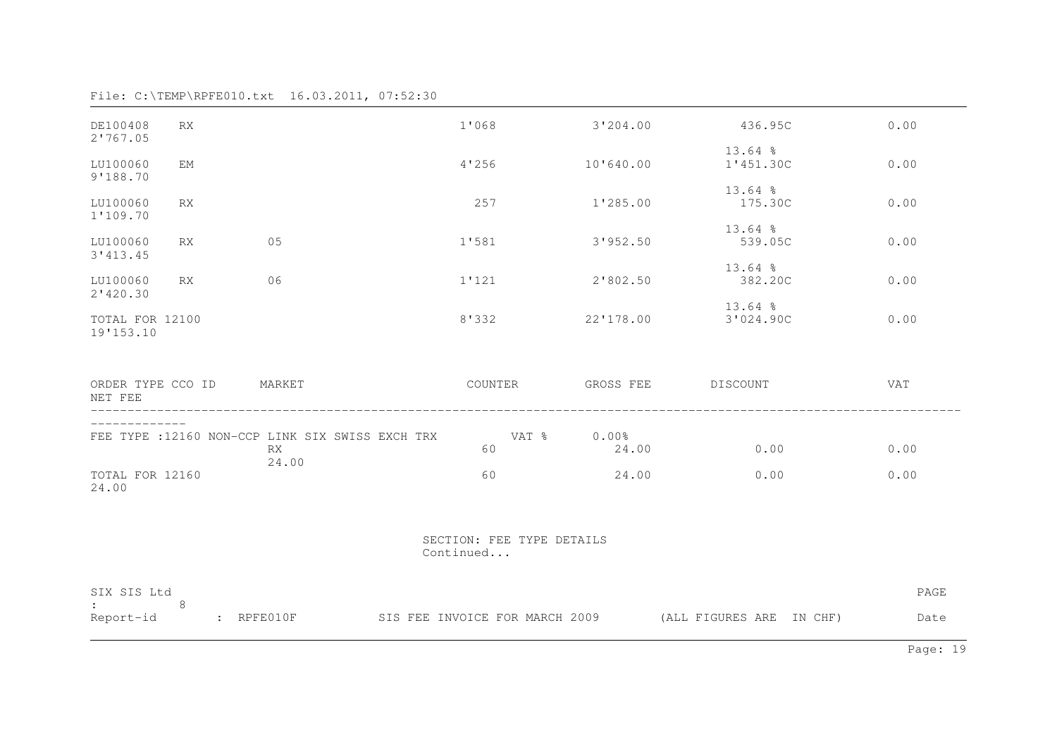| DE100408<br>2'767.05                     | <b>RX</b>                                                                                                    |                                                        | 1'068                                  | 3'204.00          | 436.95C                  | 0.00 |
|------------------------------------------|--------------------------------------------------------------------------------------------------------------|--------------------------------------------------------|----------------------------------------|-------------------|--------------------------|------|
| LU100060<br>9'188.70                     | EM                                                                                                           |                                                        | 4'256                                  | 10'640.00         | $13.64$ %<br>1'451.30C   | 0.00 |
| LU100060                                 | RX                                                                                                           |                                                        | 257                                    | 1'285.00          | $13.64$ %<br>175.30C     | 0.00 |
| 1'109.70<br>LU100060                     | RX                                                                                                           | 05                                                     | 1'581                                  | 3'952.50          | $13.64$ %<br>539.05C     | 0.00 |
| 3'413.45<br>LU100060                     | RX                                                                                                           | 06                                                     | 1'121                                  | 2'802.50          | $13.64$ %<br>382.20C     | 0.00 |
| 2'420.30<br>TOTAL FOR 12100<br>19'153.10 |                                                                                                              |                                                        | 8'332                                  | 22'178.00         | $13.64$ %<br>3'024.90C   | 0.00 |
| ORDER TYPE CCO ID<br>NET FEE             |                                                                                                              | MARKET                                                 | COUNTER                                | GROSS FEE         | DISCOUNT                 | VAT  |
|                                          |                                                                                                              | FEE TYPE : 12160 NON-CCP LINK SIX SWISS EXCH TRX<br>RX | VAT %<br>60                            | $0.00\%$<br>24.00 | 0.00                     | 0.00 |
| TOTAL FOR 12160<br>24.00                 |                                                                                                              | 24.00                                                  | 60                                     | 24.00             | 0.00                     | 0.00 |
|                                          |                                                                                                              |                                                        | SECTION: FEE TYPE DETAILS<br>Continued |                   |                          |      |
| SIX SIS Ltd                              | 8                                                                                                            |                                                        |                                        |                   |                          | PAGE |
| Report-id                                | $\mathsf{R}$ $\mathsf{R}$ $\mathsf{P} \mathsf{F} \mathsf{E}$ $\mathsf{O} \mathsf{1}$ $\mathsf{O} \mathsf{F}$ |                                                        | SIS FEE INVOICE FOR MARCH 2009         |                   | (ALL FIGURES ARE IN CHF) | Date |

Page: 19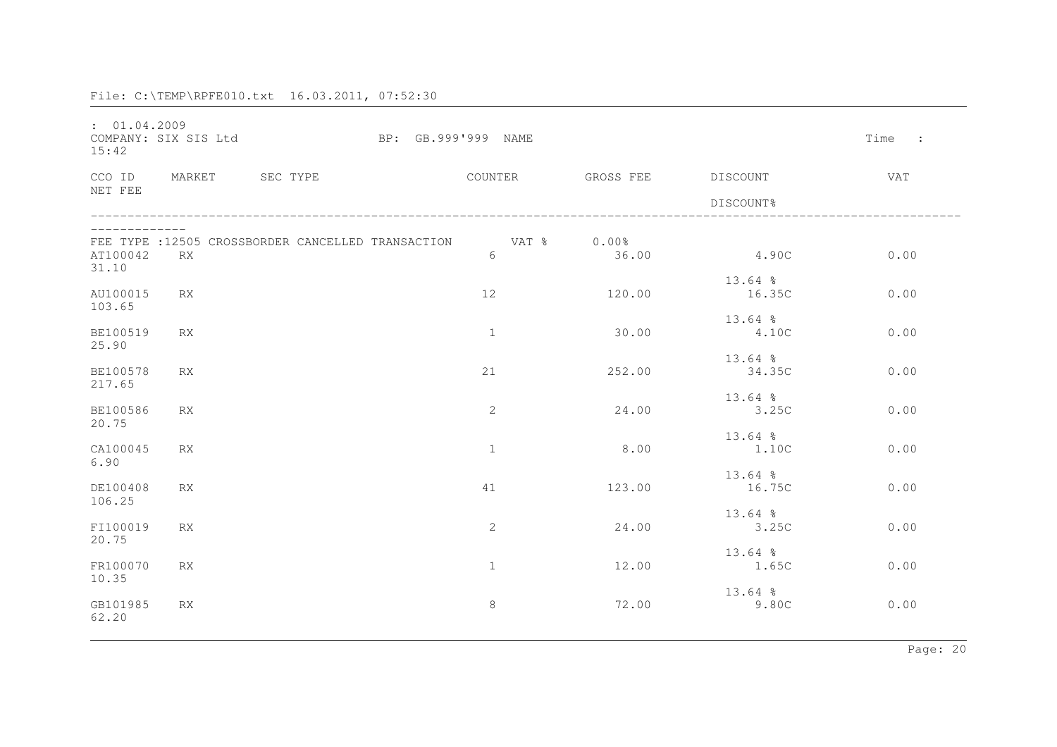| : 01.04.2009<br>15:42    | COMPANY: SIX SIS Ltd |                                                   | BP: GB.999'999 NAME |                  |                    |                     | Time<br>$\sim$ 1. |
|--------------------------|----------------------|---------------------------------------------------|---------------------|------------------|--------------------|---------------------|-------------------|
| CCO ID                   | MARKET               | SEC TYPE                                          |                     | COUNTER          | GROSS FEE DISCOUNT |                     | VAT               |
| NET FEE                  |                      |                                                   |                     |                  |                    | DISCOUNT%           |                   |
| AT100042<br>31.10        | <b>RX</b>            | FEE TYPE :12505 CROSSBORDER CANCELLED TRANSACTION |                     | VAT % 0.00%<br>6 | 36.00              | 4.90C               | 0.00              |
| AU100015<br>103.65       | <b>RX</b>            |                                                   |                     | 12               | 120.00             | $13.64$ %<br>16.35C | 0.00              |
| BE100519<br>25.90        | RX                   |                                                   |                     | $\mathbf{1}$     | 30.00              | $13.64$ %<br>4.10C  | 0.00              |
| BE100578<br>217.65       | RX                   |                                                   |                     | 21               | 252.00             | $13.64$ %<br>34.35C | 0.00              |
| <b>BE100586</b><br>20.75 | <b>RX</b>            |                                                   |                     | $\mathbf{2}$     | 24.00              | $13.64$ %<br>3.25C  | 0.00              |
| CA100045<br>6.90         | <b>RX</b>            |                                                   |                     | $\mathbf{1}$     | 8.00               | $13.64$ %<br>1.100  | 0.00              |
| DE100408<br>106.25       | <b>RX</b>            |                                                   |                     | 41               | 123.00             | $13.64$ %<br>16.75C | 0.00              |
| FI100019<br>20.75        | <b>RX</b>            |                                                   |                     | 2                | 24.00              | $13.64$ %<br>3.25C  | 0.00              |
| FR100070<br>10.35        | RX                   |                                                   |                     | $\mathbf{1}$     | 12.00              | $13.64$ %<br>1.65C  | 0.00              |
| GB101985<br>62.20        | RX                   |                                                   |                     | $\,8\,$          | 72.00              | $13.64$ %<br>9.80C  | 0.00              |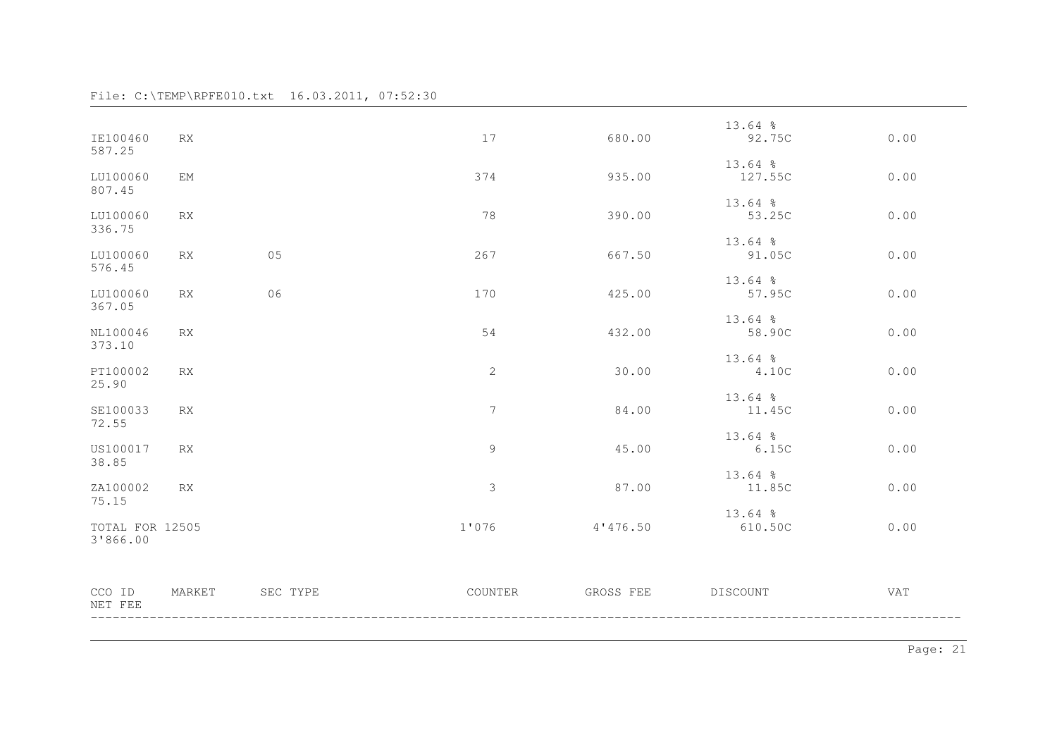| IE100460                    | RX        |          | 17          | 680.00    | $13.64$ %<br>92.75C | 0.00 |
|-----------------------------|-----------|----------|-------------|-----------|---------------------|------|
| 587.25                      |           |          |             |           | $13.64$ %           |      |
| LU100060<br>807.45          | ΕM        |          | 374         | 935.00    | 127.55C             | 0.00 |
| LU100060                    | <b>RX</b> |          | 78          | 390.00    | $13.64$ %<br>53.25C | 0.00 |
| 336.75                      |           |          |             |           | $13.64$ %           |      |
| LU100060<br>576.45          | <b>RX</b> | 05       | 267         | 667.50    | 91.05C              | 0.00 |
| LU100060<br>367.05          | <b>RX</b> | 06       | 170         | 425.00    | $13.64$ %<br>57.95C | 0.00 |
|                             |           |          |             |           | $13.64$ %           |      |
| NL100046<br>373.10          | RX        |          | 54          | 432.00    | 58.90C              | 0.00 |
| PT100002<br>25.90           | <b>RX</b> |          | 2           | 30.00     | $13.64$ %<br>4.10C  | 0.00 |
| SE100033<br>72.55           | RX        |          | 7           | 84.00     | $13.64$ %<br>11.45C | 0.00 |
| US100017                    | RX        |          | $\mathsf 9$ | 45.00     | $13.64$ %<br>6.15C  | 0.00 |
| 38.85<br>ZA100002           | <b>RX</b> |          | $\mathsf 3$ | 87.00     | 13.64 %<br>11.85C   | 0.00 |
| 75.15                       |           |          |             |           | $13.64$ %           |      |
| TOTAL FOR 12505<br>3'866.00 |           |          | 1'076       | 4'476.50  | 610.50C             | 0.00 |
| CCO ID<br>NET FEE           | MARKET    | SEC TYPE | COUNTER     | GROSS FEE | DISCOUNT            | VAT  |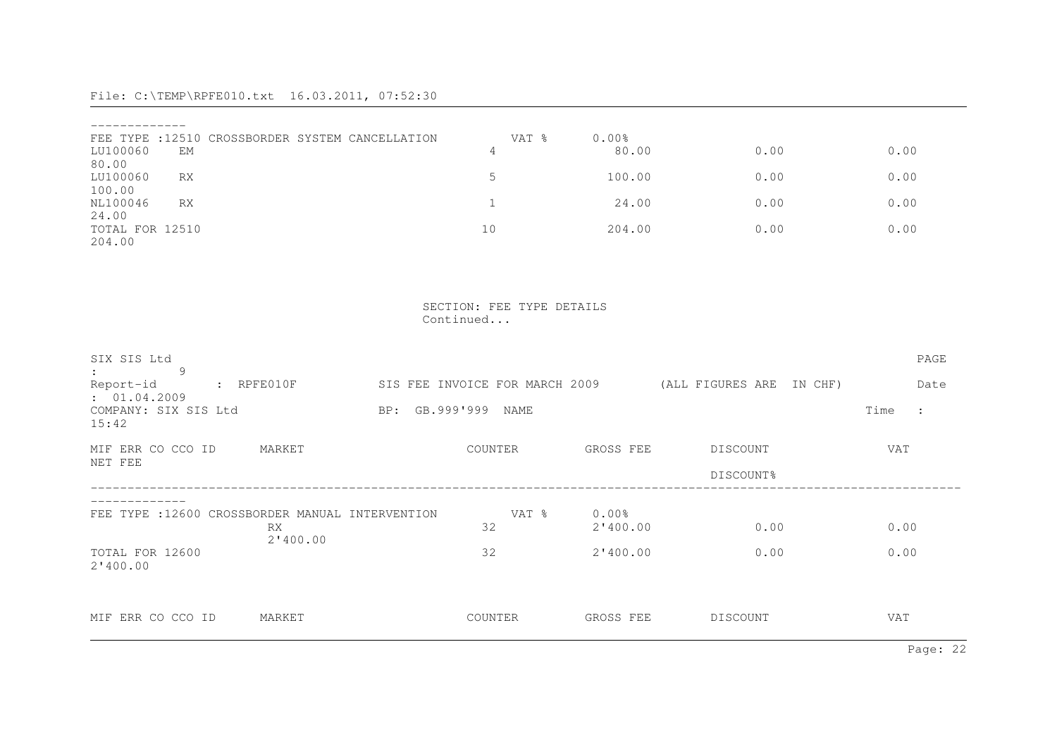|                 | FEE TYPE : 12510 CROSSBORDER SYSTEM CANCELLATION | VAT % | 0.00%  |      |      |
|-----------------|--------------------------------------------------|-------|--------|------|------|
| LU100060        | EМ                                               | 4     | 80.00  | 0.00 | 0.00 |
| 80.00           |                                                  |       |        |      |      |
| LU100060        | RX                                               |       | 100.00 | 0.00 | 0.00 |
| 100.00          |                                                  |       |        |      |      |
| NL100046        | <b>RX</b>                                        |       | 24.00  | 0.00 | 0.00 |
| 24.00           |                                                  |       |        |      |      |
| TOTAL FOR 12510 |                                                  | 10    | 204.00 | 0.00 | 0.00 |
| 204.00          |                                                  |       |        |      |      |

 SECTION: FEE TYPE DETAILS Continued...

| SIX SIS Ltd<br>9                                                                                                       |                 |                     |                                |           |                          |      | PAGE                 |
|------------------------------------------------------------------------------------------------------------------------|-----------------|---------------------|--------------------------------|-----------|--------------------------|------|----------------------|
| Report-id<br>$\mathsf{R} \mathsf{P} \mathsf{F} \mathsf{E} \mathsf{O} \mathsf{1} \mathsf{0} \mathsf{F}$<br>: 01.04.2009 |                 |                     | SIS FEE INVOICE FOR MARCH 2009 |           | (ALL FIGURES ARE IN CHF) |      | Date                 |
| COMPANY: SIX SIS Ltd<br>15:42                                                                                          |                 | BP: GB.999'999 NAME |                                |           |                          | Time | $\ddot{\phantom{a}}$ |
| MIF ERR CO CCO ID<br>NET FEE                                                                                           | MARKET          |                     | COUNTER                        | GROSS FEE | DISCOUNT                 | VAT  |                      |
|                                                                                                                        |                 |                     |                                |           | DISCOUNT%                |      |                      |
| FEE TYPE : 12600 CROSSBORDER MANUAL INTERVENTION                                                                       |                 |                     | VAT %                          | $0.00\%$  |                          |      |                      |
|                                                                                                                        | RX.<br>2'400.00 |                     | 32                             | 2'400.00  | 0.00                     | 0.00 |                      |
| TOTAL FOR 12600<br>2'400.00                                                                                            |                 |                     | 32                             | 2'400.00  | 0.00                     | 0.00 |                      |
| MIF ERR CO CCO ID                                                                                                      | MARKET          |                     | COUNTER                        | GROSS FEE | DISCOUNT                 | VAT  |                      |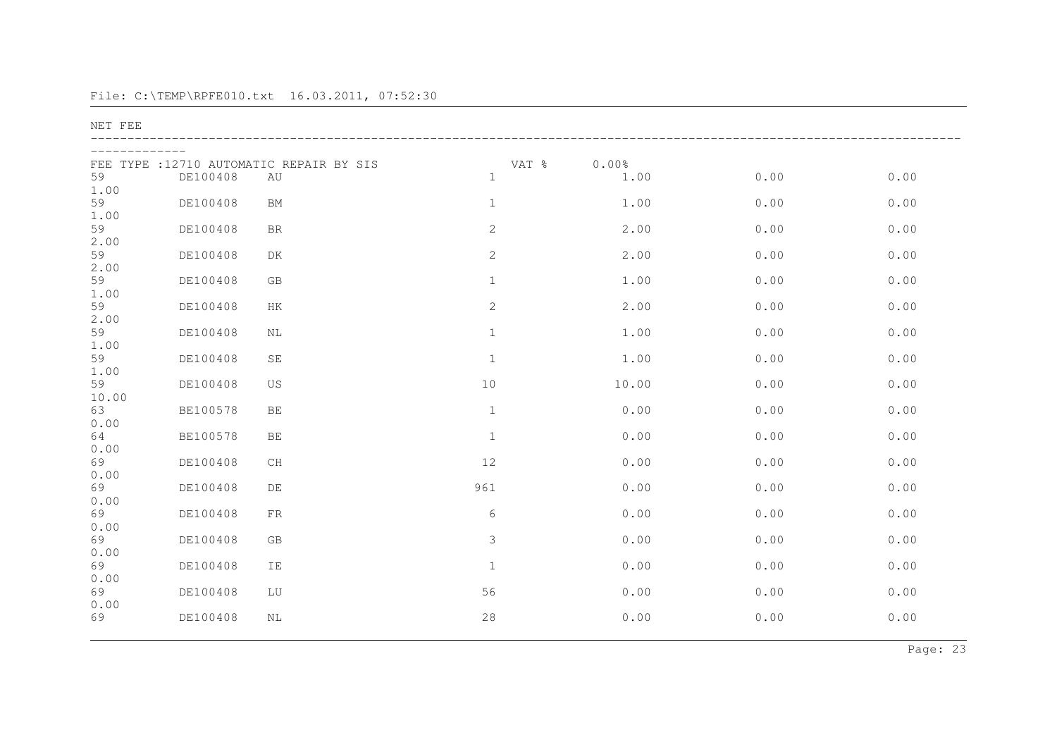NET FEE

| FEE<br>59   | DE100408 | TYPE : 12710 AUTOMATIC REPAIR BY SIS<br>AU | VAT %<br>$\mathbf{1}$ | 0.00%<br>1.00 | 0.00 | $0.00$ |
|-------------|----------|--------------------------------------------|-----------------------|---------------|------|--------|
| 1.00        |          |                                            |                       |               |      |        |
| 59<br>1.00  | DE100408 | <b>BM</b>                                  | $1\,$                 | 1.00          | 0.00 | 0.00   |
| 59<br>2.00  | DE100408 | <b>BR</b>                                  | 2                     | 2.00          | 0.00 | 0.00   |
| 59<br>2.00  | DE100408 | DK                                         | $\mathbf{2}$          | 2.00          | 0.00 | 0.00   |
| 59<br>1.00  | DE100408 | GB                                         | $1\,$                 | 1.00          | 0.00 | 0.00   |
| 59<br>2.00  | DE100408 | HK                                         | $\mathbf{2}$          | 2.00          | 0.00 | 0.00   |
| 59          | DE100408 | NL                                         | $\mathbf{1}$          | 1.00          | 0.00 | 0.00   |
| 1.00<br>59  | DE100408 | $\operatorname{SE}$                        | $\,1\,$               | 1.00          | 0.00 | 0.00   |
| 1.00<br>59  | DE100408 | US                                         | $10$                  | 10.00         | 0.00 | 0.00   |
| 10.00<br>63 | BE100578 | $\rm BE$                                   | $\mathbf{1}$          | 0.00          | 0.00 | 0.00   |
| 0.00<br>64  | BE100578 | BE                                         | $\mathbf{1}$          | 0.00          | 0.00 | 0.00   |
| 0.00<br>69  | DE100408 | CH                                         | $12$                  | 0.00          | 0.00 | 0.00   |
| 0.00<br>69  | DE100408 | DE                                         | 961                   | 0.00          | 0.00 | 0.00   |
| 0.00<br>69  | DE100408 | FR                                         | 6                     | 0.00          | 0.00 | 0.00   |
| 0.00<br>69  | DE100408 | GB                                         | 3                     | 0.00          | 0.00 | 0.00   |
| 0.00<br>69  | DE100408 | IE                                         | $\mathbf{1}$          | 0.00          | 0.00 | 0.00   |
| 0.00<br>69  | DE100408 | LU                                         | 56                    | 0.00          | 0.00 | 0.00   |
| 0.00<br>69  | DE100408 | NL                                         | 28                    | 0.00          | 0.00 | 0.00   |
|             |          |                                            |                       |               |      |        |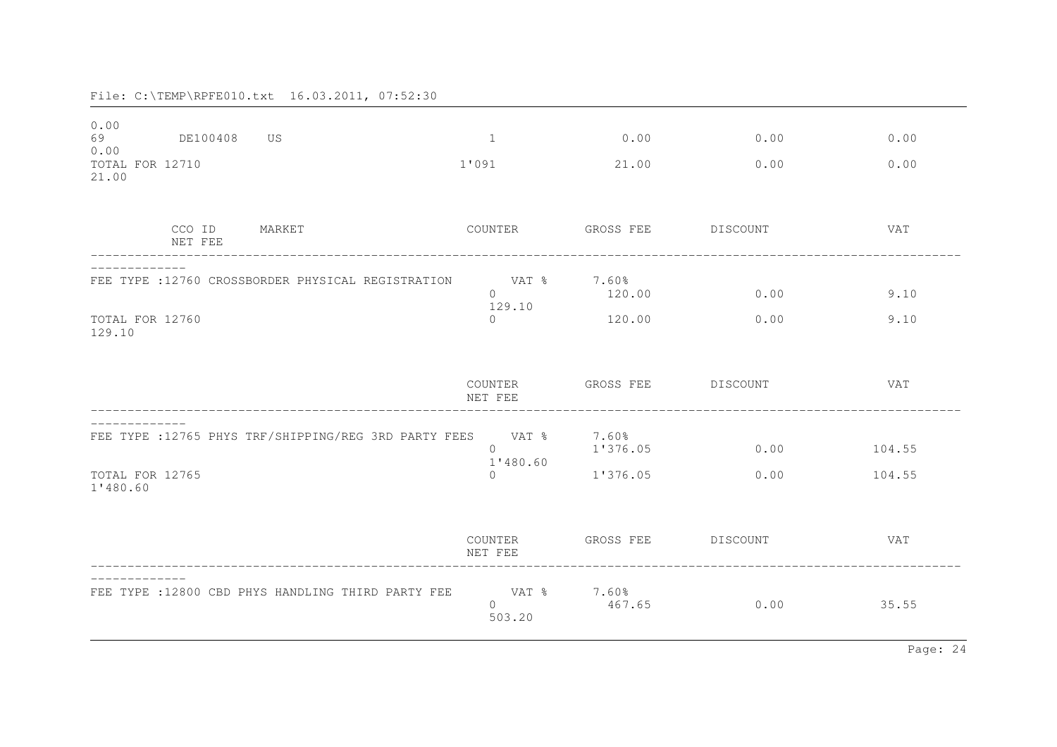| 0.00<br>69<br>0.00<br>TOTAL FOR 12710<br>21.00 | DE100408          | US US                                                       | 1<br>1'091                                          | 0.00<br>21.00                 | 0.00<br>0.00 | 0.00<br>0.00     |
|------------------------------------------------|-------------------|-------------------------------------------------------------|-----------------------------------------------------|-------------------------------|--------------|------------------|
|                                                | CCO ID<br>NET FEE | MARKET                                                      | COUNTER                                             | GROSS FEE DISCOUNT            |              | VAT              |
| TOTAL FOR 12760<br>129.10                      |                   | FEE TYPE : 12760 CROSSBORDER PHYSICAL REGISTRATION          | VAT % 7.60%<br>$\Omega$<br>129.10<br>$\overline{0}$ | 120.00<br>120.00              | 0.00<br>0.00 | 9.10<br>9.10     |
|                                                |                   |                                                             | COUNTER<br>NET FEE                                  | GROSS FEE DISCOUNT            |              | VAT              |
| TOTAL FOR 12765<br>1'480.60                    |                   | FEE TYPE : 12765 PHYS TRF/SHIPPING/REG 3RD PARTY FEES VAT % | $\Omega$<br>1'480.60<br>$\Omega$                    | 7.60%<br>1'376.05<br>1'376.05 | 0.00<br>0.00 | 104.55<br>104.55 |
|                                                |                   |                                                             | COUNTER<br>NET FEE                                  | GROSS FEE DISCOUNT            |              | VAT              |
|                                                |                   | FEE TYPE : 12800 CBD PHYS HANDLING THIRD PARTY FEE          | <b>Example 18</b><br>$\Omega$<br>503.20             | 7.60%<br>467.65               | 0.00         | 35.55            |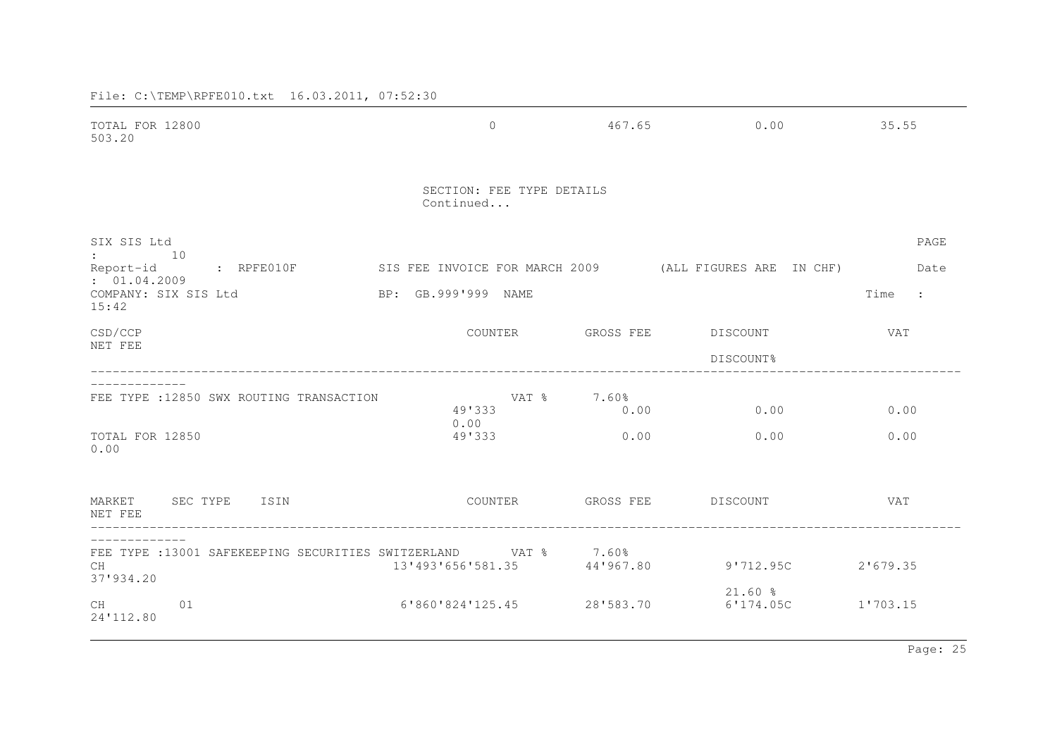| TOTAL FOR 12800<br>503.20                                                                                                        | $\overline{0}$                         | 467.65              | 0.00                   | 35.55             |
|----------------------------------------------------------------------------------------------------------------------------------|----------------------------------------|---------------------|------------------------|-------------------|
|                                                                                                                                  | SECTION: FEE TYPE DETAILS<br>Continued |                     |                        |                   |
| SIX SIS Ltd<br>$\colon$ 10<br>: RPFE010F           SIS FEE INVOICE FOR MARCH 2009         (ALL FIGURES ARE  IN CHF)<br>Report-id |                                        |                     |                        | PAGE<br>Date      |
| : 01.04.2009<br>COMPANY: SIX SIS Ltd<br>15:42                                                                                    | BP: GB.999'999 NAME                    |                     |                        | Time<br>$\sim$ 1. |
| CSD/CCP<br>NET FEE                                                                                                               | COUNTER                                | GROSS FEE           | DISCOUNT<br>DISCOUNT%  | VAT               |
| FEE TYPE : 12850 SWX ROUTING TRANSACTION                                                                                         | 49'333                                 | VAT % 7.60%<br>0.00 | 0.00                   | 0.00              |
| TOTAL FOR 12850<br>0.00                                                                                                          | 0.00<br>49'333                         | 0.00                | 0.00                   | 0.00              |
| MARKET SEC TYPE<br>ISIN<br>NET FEE                                                                                               | COUNTER                                |                     | GROSS FEE DISCOUNT     | VAT               |
| FEE TYPE : 13001 SAFEKEEPING SECURITIES SWITZERLAND VAT % 7.60%<br>CH<br>37'934.20                                               | 13'493'656'581.35                      | 44'967.80           | $9'712.95C$ 2'679.35   |                   |
| 01<br>CH<br>24'112.80                                                                                                            | 6'860'824'125.45                       | 28'583.70           | $21.60$ %<br>6'174.05C | 1'703.15          |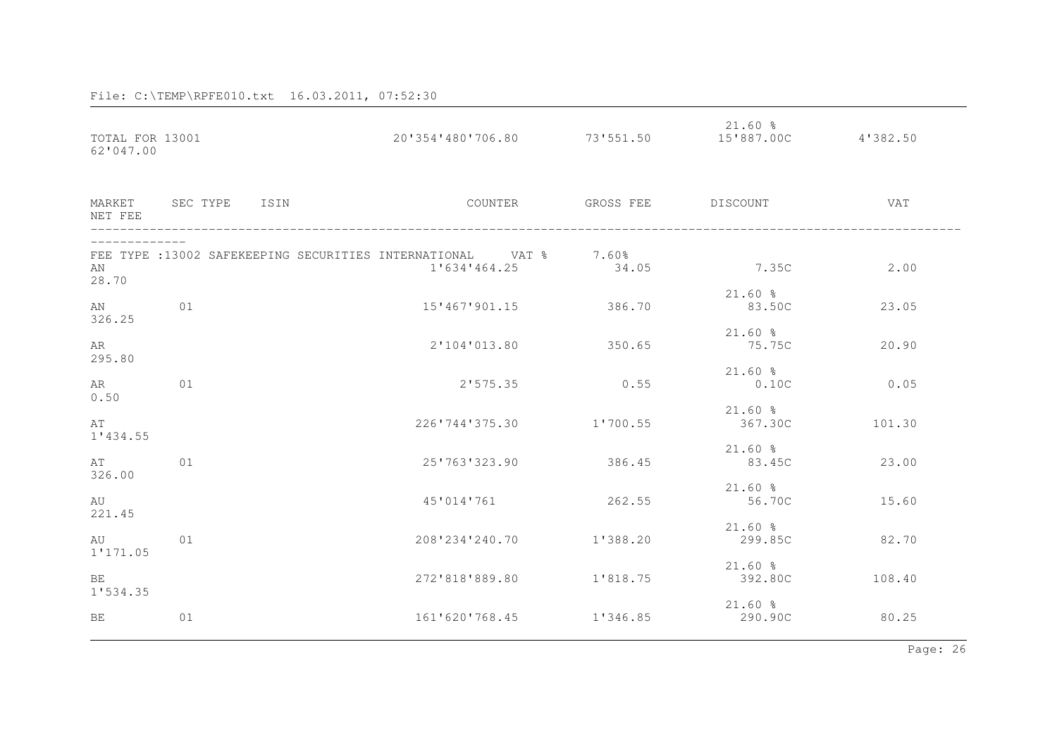| TOTAL FOR 13001<br>62'047.00 |                      | 20'354'480'706.80                                                                   | 73'551.50          | $21.60$ %<br>15'887.00C 4'382.50 |        |
|------------------------------|----------------------|-------------------------------------------------------------------------------------|--------------------|----------------------------------|--------|
| NET FEE                      | MARKET SEC TYPE ISIN | COUNTER                                                                             | GROSS FEE DISCOUNT |                                  | VAT    |
| AN<br>28.70                  |                      | FEE TYPE : 13002 SAFEKEEPING SECURITIES INTERNATIONAL VAT $8$ 7.60%<br>1'634'464.25 | 34.05              | 7.35C                            | 2.00   |
| AN<br>326.25                 | 01                   | 15'467'901.15                                                                       | 386.70             | $21.60$ %<br>83.50C              | 23.05  |
| AR<br>295.80                 |                      | 2'104'013.80                                                                        | 350.65             | $21.60$ %<br>75.75C              | 20.90  |
| AR<br>0.50                   | 01                   | 2'575.35                                                                            | 0.55               | $21.60$ %<br>0.10C               | 0.05   |
| AT<br>1'434.55               |                      | 226'744'375.30                                                                      | 1'700.55           | $21.60$ %<br>367.30C             | 101.30 |
| AT<br>326.00                 | 01                   | 25'763'323.90                                                                       | 386.45             | $21.60$ %<br>83.45C              | 23.00  |
| AU<br>221.45                 |                      | 45'014'761                                                                          | 262.55             | $21.60$ %<br>56.70C              | 15.60  |
| au<br>1'171.05               | 01                   | 208'234'240.70                                                                      | 1'388.20           | $21.60$ %<br>299.85C             | 82.70  |
| BE                           |                      | 272'818'889.80                                                                      | 1'818.75           | $21.60$ %<br>392.80C             | 108.40 |
| 1'534.35<br>BE               | 01                   | 161'620'768.45                                                                      | 1'346.85           | $21.60$ %<br>290.90C             | 80.25  |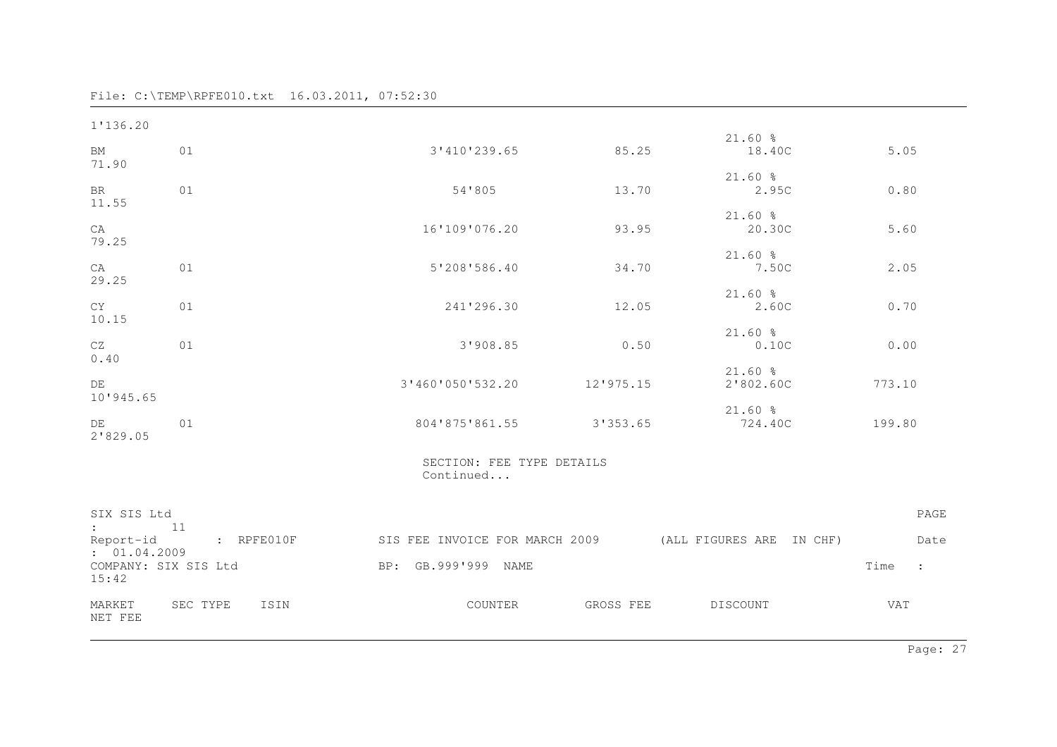| 1'136.20                                      |                                                                              |                                        |                    |                        |              |
|-----------------------------------------------|------------------------------------------------------------------------------|----------------------------------------|--------------------|------------------------|--------------|
| BM<br>71.90                                   | 01                                                                           | 3'410'239.65                           | 85.25              | $21.60$ %<br>18.40C    | 5.05         |
| <b>BR</b><br>11.55                            | 01                                                                           | 54'805                                 | 13.70              | $21.60$ %<br>2.95C     | 0.80         |
| CA<br>79.25                                   |                                                                              | 16'109'076.20                          | 93.95              | $21.60$ %<br>20.30C    | 5.60         |
| CA<br>29.25                                   | 01                                                                           | 5'208'586.40                           | 34.70              | $21.60$ %<br>7.50C     | 2.05         |
| <b>CY</b><br>10.15                            | 01                                                                           | 241'296.30                             | 12.05              | $21.60$ %<br>2.60C     | 0.70         |
| CZ<br>0.40                                    | 01                                                                           | 3'908.85                               | 0.50               | $21.60$ %<br>0.10C     | 0.00         |
| DE<br>10'945.65                               |                                                                              | 3'460'050'532.20 12'975.15             |                    | $21.60$ %<br>2'802.60C | 773.10       |
| $DE$ and $DE$<br>2'829.05                     | 01                                                                           | 804'875'861.55 3'353.65                |                    | $21.60$ %<br>724.40C   | 199.80       |
|                                               |                                                                              | SECTION: FEE TYPE DETAILS<br>Continued |                    |                        |              |
| SIX SIS Ltd<br>$\mathbf{11}$                  | Report-id : RPFE010F SIS FEE INVOICE FOR MARCH 2009 (ALL FIGURES ARE IN CHF) |                                        |                    |                        | PAGE<br>Date |
| : 01.04.2009<br>COMPANY: SIX SIS Ltd<br>15:42 |                                                                              | BP: GB.999'999 NAME                    |                    |                        | Time :       |
| MARKET<br>NET FEE                             | SEC TYPE ISIN                                                                | COUNTER                                | GROSS FEE DISCOUNT |                        | <b>VAT</b>   |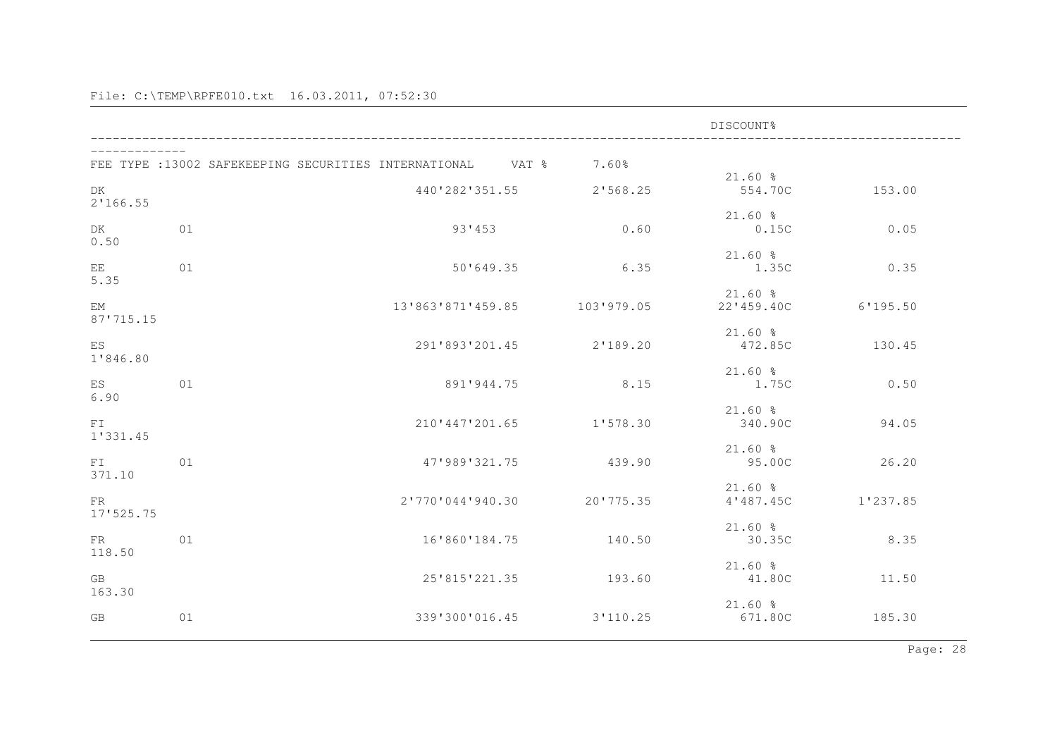|                  |    |                                                             |            | DISCOUNT%                |          |
|------------------|----|-------------------------------------------------------------|------------|--------------------------|----------|
|                  |    | FEE TYPE : 13002 SAFEKEEPING SECURITIES INTERNATIONAL VAT % | 7.60%      | $21.60$ %                |          |
| DK<br>2'166.55   |    | 440'282'351.55                                              | 2'568.25   | 554.70C                  | 153.00   |
| DK<br>0.50       | 01 | 93'453                                                      | 0.60       | $21.60$ %<br>0.15C       | 0.05     |
| EE.<br>5.35      | 01 | 50'649.35                                                   | 6.35       | $21.60$ %<br>1.350       | 0.35     |
| EM<br>87'715.15  |    | 13'863'871'459.85                                           | 103'979.05 | $21.60$ %<br>22'459.40C  | 6'195.50 |
| ES<br>1'846.80   |    | 291'893'201.45                                              | 2'189.20   | $21.60$ %<br>472.85C     | 130.45   |
| ES<br>6.90       | 01 | 891'944.75                                                  | 8.15       | $21.60$ %<br>1.75C       | 0.50     |
| FT<br>1'331.45   |    | 210'447'201.65                                              | 1'578.30   | $21.60$ %<br>340.90C     | 94.05    |
| FI<br>371.10     | 01 | 47'989'321.75                                               | 439.90     | $21.60$ %<br>95.00C      | 26.20    |
| FR.<br>17'525.75 |    | 2'770'044'940.30                                            | 20'775.35  | $21.60$ $%$<br>4'487.45C | 1'237.85 |
| FR<br>118.50     | 01 | 16'860'184.75                                               | 140.50     | $21.60$ %<br>30.35C      | 8.35     |
| GB<br>163.30     |    | 25'815'221.35                                               | 193.60     | $21.60$ %<br>41.80C      | 11.50    |
| GB               | 01 | 339'300'016.45                                              | 3'110.25   | $21.60$ %<br>671.80C     | 185.30   |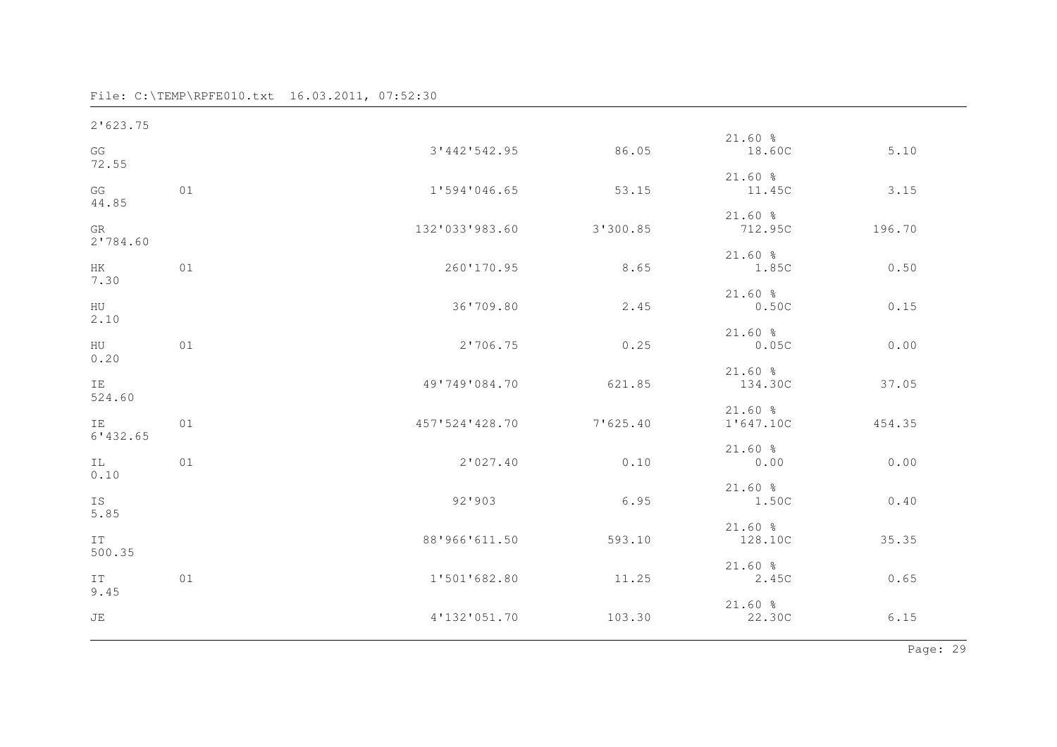| 2'623.75       |    |                |          |                        |        |
|----------------|----|----------------|----------|------------------------|--------|
| GG<br>72.55    |    | 3'442'542.95   | 86.05    | 21.60%<br>18.60C       | 5.10   |
| GG<br>44.85    | 01 | 1'594'046.65   | 53.15    | $21.60$ %<br>11.45C    | 3.15   |
| GR<br>2'784.60 |    | 132'033'983.60 | 3'300.85 | $21.60$ %<br>712.95C   | 196.70 |
| HK<br>7.30     | 01 | 260'170.95     | 8.65     | $21.60$ %<br>1.85C     | 0.50   |
| HU<br>2.10     |    | 36'709.80      | 2.45     | $21.60$ %<br>0.50C     | 0.15   |
| HU<br>0.20     | 01 | 2'706.75       | 0.25     | 21.60%<br>0.05C        | 0.00   |
| IE<br>524.60   |    | 49'749'084.70  | 621.85   | 21.60%<br>134.30C      | 37.05  |
| IE<br>6'132.65 | 01 | 457'524'428.70 | 7'625.40 | $21.60$ %<br>1'647.10C | 454.35 |
| IL.<br>0.10    | 01 | 2'027.40       | 0.10     | 21.60%<br>0.00         | 0.00   |
| IS<br>5.85     |    | 92'903         | 6.95     | $21.60$ %<br>1.50C     | 0.40   |
| IT             |    | 88'966'611.50  | 593.10   | 21.60%<br>128.10C      | 35.35  |
| 500.35<br>IT   | 01 | 1'501'682.80   | 11.25    | $21.60$ %<br>2.45C     | 0.65   |
| 9.45<br>JE     |    | 4'132'051.70   | 103.30   | 21.60%<br>22.30C       | 6.15   |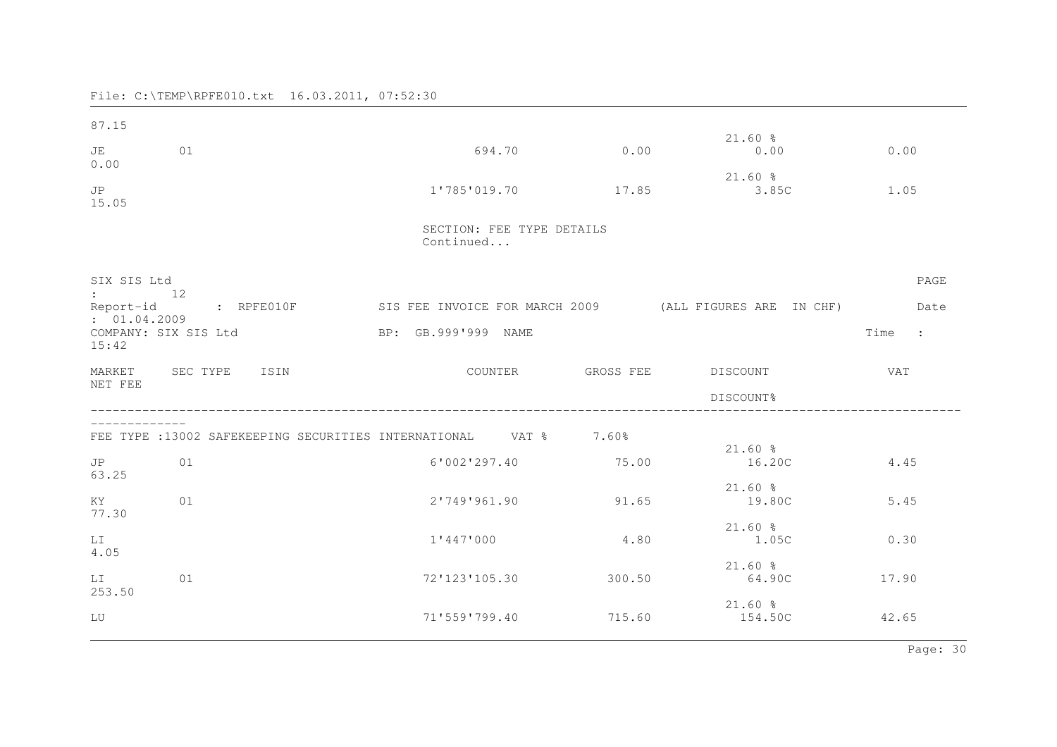| 87.15<br>JE<br>01                                                                       |                                                                  | 694.70                                 | 0.00      | $21.60$ %<br>0.00                                       | 0.00                                 |
|-----------------------------------------------------------------------------------------|------------------------------------------------------------------|----------------------------------------|-----------|---------------------------------------------------------|--------------------------------------|
| 0.00<br>JP<br>15.05                                                                     |                                                                  | 1'785'019.70                           | 17.85     | $21.60$ %<br>3.85C                                      | 1.05                                 |
|                                                                                         |                                                                  | SECTION: FEE TYPE DETAILS<br>Continued |           |                                                         |                                      |
| SIX SIS Ltd<br>$\cdot$ 12<br>Report-id<br>: 01.04.2009<br>COMPANY: SIX SIS Ltd<br>15:42 | : RPFE010F                                                       | BP: GB.999'999 NAME                    |           | SIS FEE INVOICE FOR MARCH 2009 (ALL FIGURES ARE IN CHF) | PAGE<br>Date<br>Time<br>$\mathbf{r}$ |
| MARKET SEC TYPE<br>NET FEE                                                              | ISIN                                                             | COUNTER                                | GROSS FEE | DISCOUNT<br>DISCOUNT%                                   | <b>VAT</b>                           |
|                                                                                         | FEE TYPE :13002 SAFEKEEPING SECURITIES INTERNATIONAL VAT % 7.60% |                                        |           | $21.60$ %                                               |                                      |
| JP<br>01<br>63.25                                                                       |                                                                  | 6'002'297.40                           | 75.00     | 16.20C                                                  | 4.45                                 |
| 01<br>KY.<br>77.30                                                                      |                                                                  | 2'749'961.90                           | 91.65     | $21.60$ %<br>19.80C                                     | 5.45                                 |
| LI<br>4.05                                                                              |                                                                  | 1'447'000                              | 4.80      | $21.60$ %<br>1.05C                                      | 0.30                                 |
| 01<br>LI<br>253.50                                                                      |                                                                  | 72'123'105.30                          | 300.50    | $21.60$ %<br>64.90C                                     | 17.90                                |
| LU                                                                                      |                                                                  | 71'559'799.40                          | 715.60    | $21.60$ %<br>154.50C                                    | 42.65                                |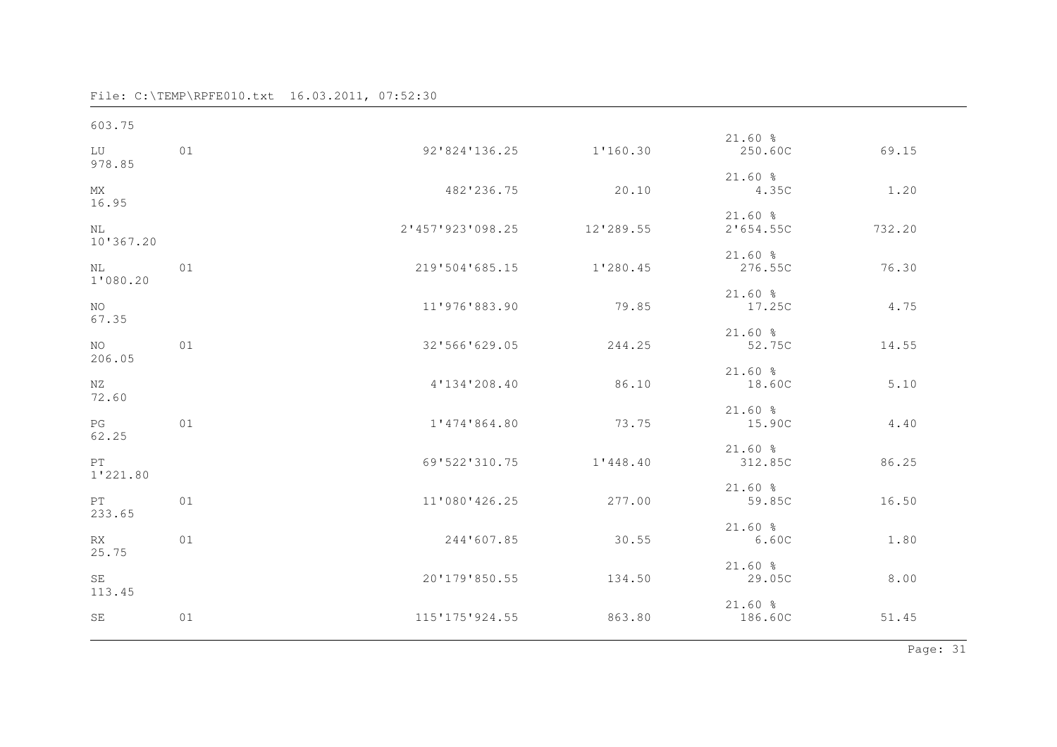| 01 |                |           | 250.60C                                                | 69.15  |
|----|----------------|-----------|--------------------------------------------------------|--------|
|    | 482'236.75     | 20.10     | $21.60$ %<br>4.35C                                     | 1.20   |
|    |                | 12'289.55 | $21.60$ %<br>2'654.55C                                 | 732.20 |
| 01 | 219'504'685.15 |           | $21.60$ %<br>276.55C                                   | 76.30  |
|    | 11'976'883.90  | 79.85     | $21.60$ %<br>17.25C                                    | 4.75   |
| 01 | 32'566'629.05  | 244.25    | $21.60$ %<br>52.75C                                    | 14.55  |
|    | 4'134'208.40   | 86.10     | $21.60$ %<br>18.60C                                    | 5.10   |
| 01 | 1'474'864.80   | 73.75     | $21.60$ %<br>15.90C                                    | 4.40   |
|    | 69'522'310.75  | 1'448.40  | $21.60$ %<br>312.85C                                   | 86.25  |
| 01 | 11'080'426.25  | 277.00    | $21.60$ %<br>59.85C                                    | 16.50  |
| 01 | 244'607.85     | 30.55     | $21.60$ %<br>6.60C                                     | 1.80   |
|    | 20'179'850.55  | 134.50    | $21.60$ %<br>29.05C                                    | 8.00   |
| 01 | 115'175'924.55 | 863.80    | 21.60%<br>186.60C                                      | 51.45  |
|    |                |           | 92'824'136.25 1'160.30<br>2'457'923'098.25<br>1'280.45 | 21.60% |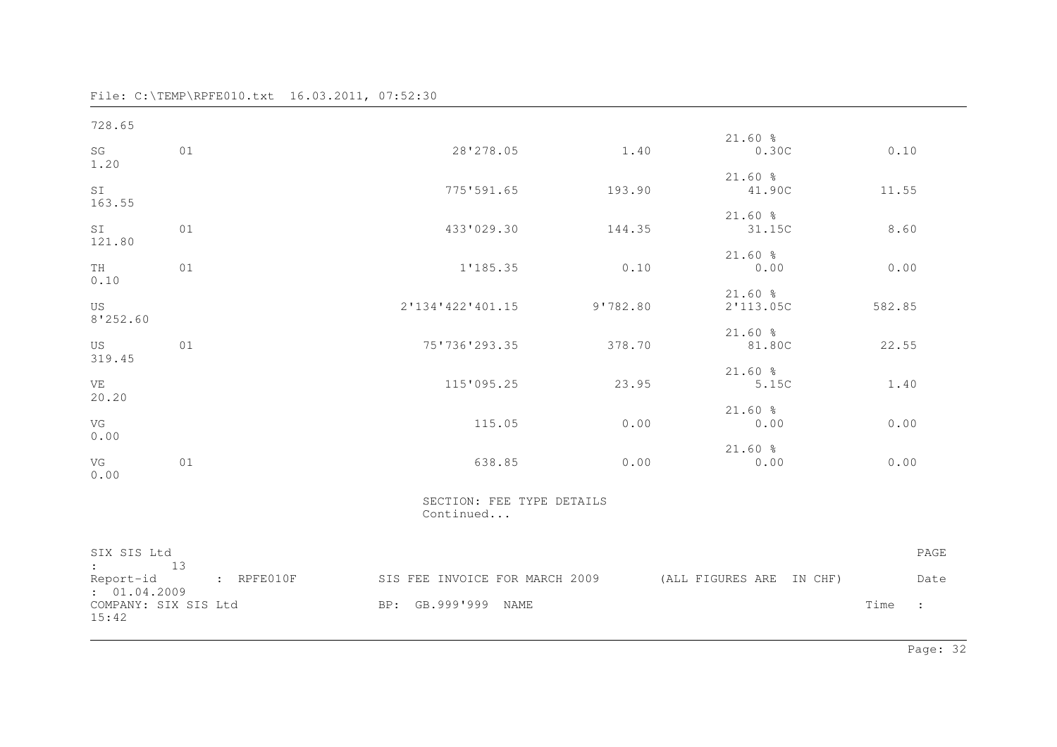File: C:\TEMP\RPFE010.txt 16.03.2011, 07:52:30

| 728.65                        |            |                                                         |          |                        |                              |
|-------------------------------|------------|---------------------------------------------------------|----------|------------------------|------------------------------|
| SG<br>1.20                    | 01         | 28'278.05                                               | 1.40     | $21.60$ %<br>0.30C     | 0.10                         |
| SI<br>163.55                  |            | 775'591.65                                              | 193.90   | $21.60$ %<br>41.90C    | 11.55                        |
| SI<br>121.80                  | 01         | 433'029.30                                              | 144.35   | $21.60$ %<br>31.15C    | 8.60                         |
| TH<br>0.10                    | 01         | 1'185.35                                                | 0.10     | 21.60%<br>0.00         | 0.00                         |
| US<br>8'252.60                |            | 2'134'422'401.15                                        | 9'782.80 | $21.60$ %<br>2'113.05C | 582.85                       |
| US<br>319.45                  | 01         | 75'736'293.35                                           | 378.70   | 21.60%<br>81.80C       | 22.55                        |
| VE<br>20.20                   |            | 115'095.25                                              | 23.95    | $21.60$ %<br>5.15C     | 1.40                         |
| VG<br>0.00                    |            | 115.05                                                  | 0.00     | $21.60$ %<br>0.00      | 0.00                         |
| VG<br>0.00                    | 01         | 638.85                                                  | 0.00     | $21.60$ %<br>0.00      | 0.00                         |
|                               |            | SECTION: FEE TYPE DETAILS<br>Continued                  |          |                        |                              |
| SIX SIS Ltd<br>$\colon$ 13    |            |                                                         |          |                        | PAGE                         |
| Report-id<br>: 01.04.2009     | : RPFE010F | SIS FEE INVOICE FOR MARCH 2009 (ALL FIGURES ARE IN CHF) |          |                        | Date                         |
| COMPANY: SIX SIS Ltd<br>15:42 |            | BP: GB.999'999 NAME                                     |          |                        | Time<br>$\ddot{\phantom{a}}$ |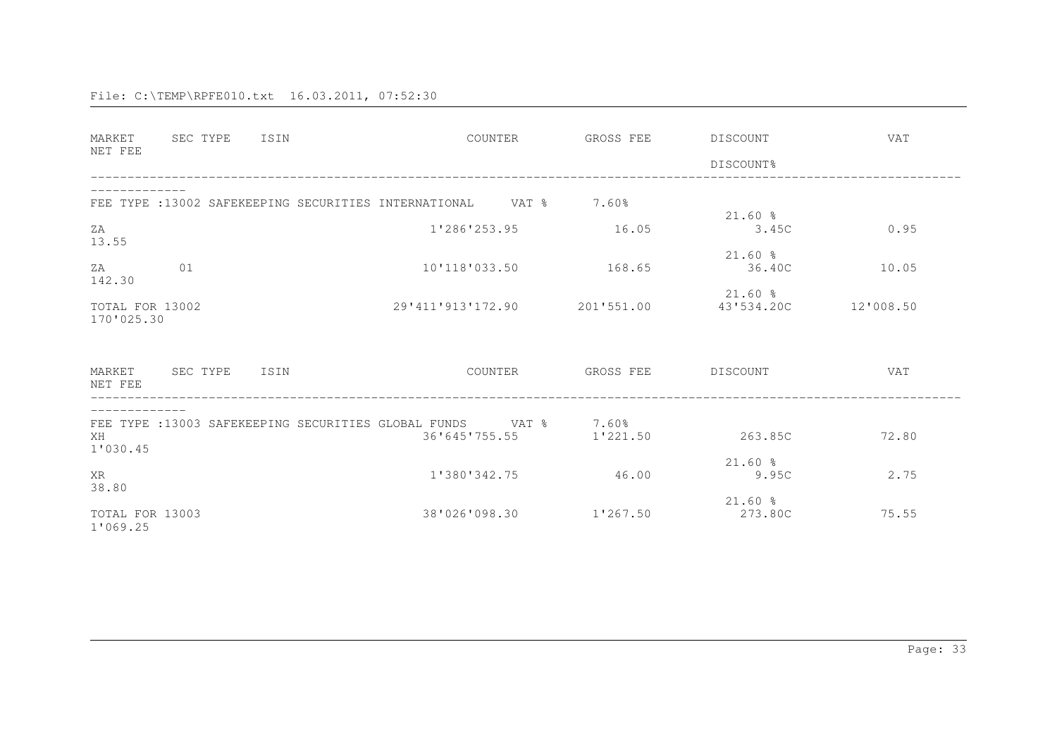| MARKET<br>NET FEE             | SEC TYPE | ISIN |                                                                                  | COUNTER | GROSS FEE  | DISCOUNT<br>DISCOUNT%   | <b>VAT</b> |
|-------------------------------|----------|------|----------------------------------------------------------------------------------|---------|------------|-------------------------|------------|
|                               |          |      | FEE TYPE : 13002 SAFEKEEPING SECURITIES INTERNATIONAL VAT % 7.60%                |         |            | $21.60$ %               |            |
| ZA<br>13.55                   |          |      | 1'286'253.95                                                                     |         | 16.05      | 3.45C                   | 0.95       |
| ZA<br>142.30                  | 01       |      | 10'118'033.50                                                                    |         | 168.65     | $21.60$ %<br>36.40C     | 10.05      |
| TOTAL FOR 13002<br>170'025.30 |          |      | 29'411'913'172.90                                                                |         | 201'551.00 | $21.60$ %<br>43'534.20C | 12'008.50  |
| MARKET<br>NET FEE             | SEC TYPE | ISIN |                                                                                  | COUNTER | GROSS FEE  | DISCOUNT                | VAT        |
| XH<br>1'030.45                |          |      | FEE TYPE :13003 SAFEKEEPING SECURITIES GLOBAL FUNDS VAT % 7.60%<br>36'645'755.55 |         | 1'221.50   | 263.85C                 | 72.80      |
| XR<br>38.80                   |          |      | 1'380'342.75                                                                     |         | 46.00      | $21.60$ %<br>9.95C      | 2.75       |
| TOTAL FOR 13003<br>1'069.25   |          |      | 38'026'098.30                                                                    |         | 1'267.50   | $21.60$ %<br>273.80C    | 75.55      |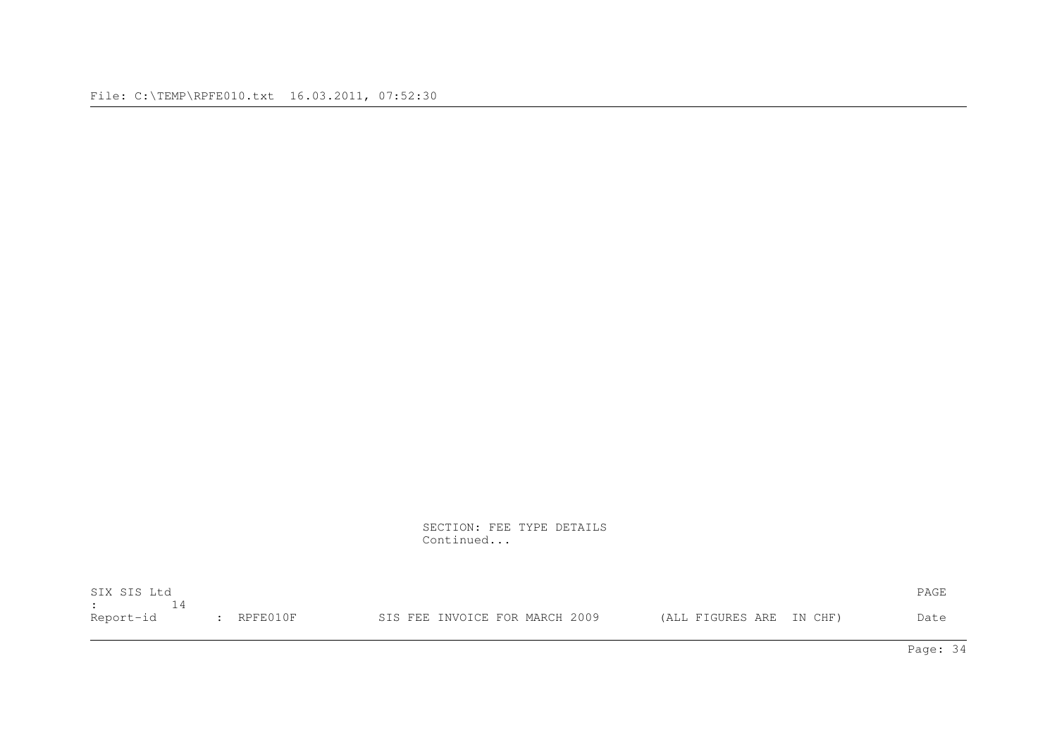SECTION: FEE TYPE DETAILS Continued...

| SIX SIS Ltd                        |              |                                |                          | PAGE |
|------------------------------------|--------------|--------------------------------|--------------------------|------|
| <b>Experience of the Community</b> |              |                                |                          |      |
| Report-id                          | $:$ RPFE010F | SIS FEE INVOICE FOR MARCH 2009 | (ALL FIGURES ARE IN CHF) | Date |

Page: 34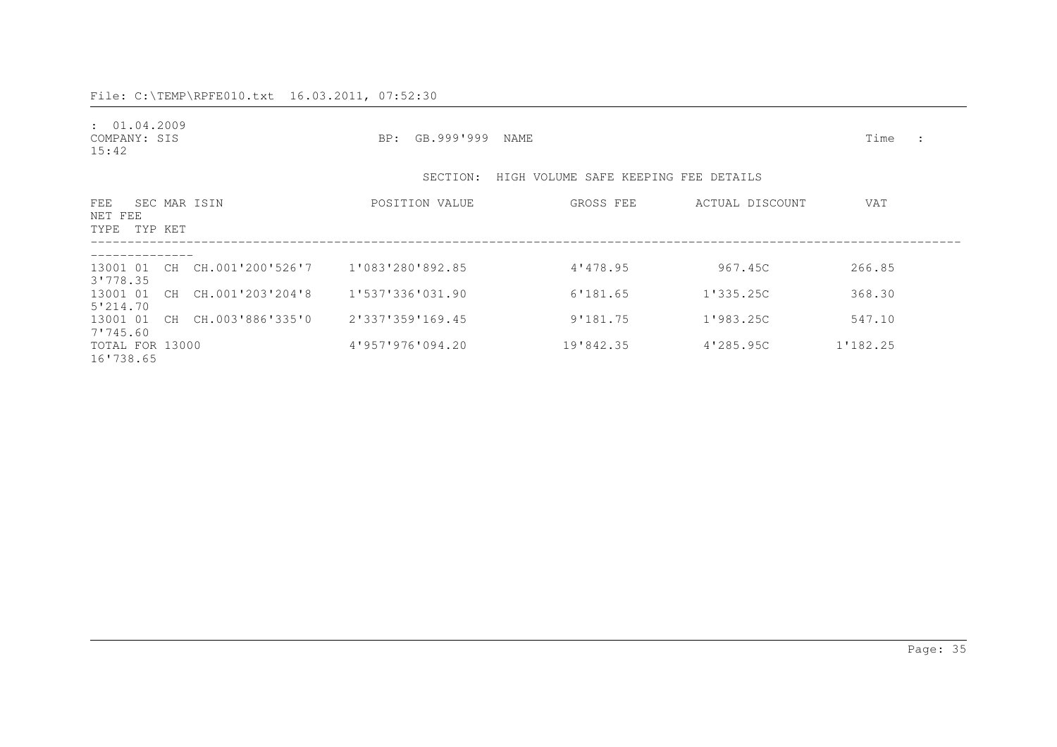| : 01.04.2009<br>COMPANY: SIS<br>15:42 |                              | BP: GB.999'999 NAME                           |                                      |                 | Time     |  |
|---------------------------------------|------------------------------|-----------------------------------------------|--------------------------------------|-----------------|----------|--|
|                                       |                              | SECTION:                                      | HIGH VOLUME SAFE KEEPING FEE DETAILS |                 |          |  |
| FEE<br>NET FEE<br>TYPE TYP KET        | SEC MAR ISIN                 | POSITION VALUE                                | GROSS FEE                            | ACTUAL DISCOUNT | VAT      |  |
| 3'778.35                              |                              | 13001 01 CH CH.001'200'526'7 1'083'280'892.85 | 4'478.95                             | 967.45C         | 266.85   |  |
| 5'214.70                              | 13001 01 CH CH.001'203'204'8 | 1'537'336'031.90                              | 6'181.65                             | 1'335.25C       | 368.30   |  |
| 7'745.60                              | 13001 01 CH CH.003'886'335'0 | 2'337'359'169.45                              | 9'181.75                             | 1'983.25C       | 547.10   |  |
| TOTAL FOR 13000<br>16'738.65          |                              | 4'957'976'094.20                              | 19'842.35                            | 4'285.95C       | 1'182.25 |  |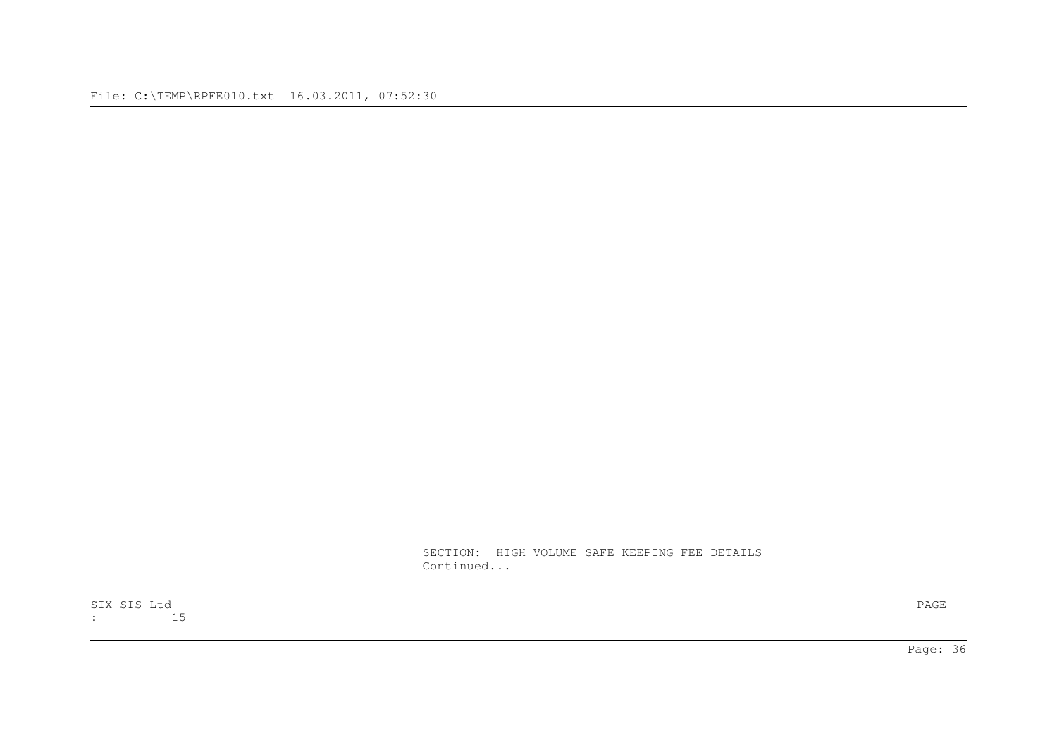SECTION: HIGH VOLUME SAFE KEEPING FEE DETAILS Continued...

SIX SIS Ltd PAGE : 15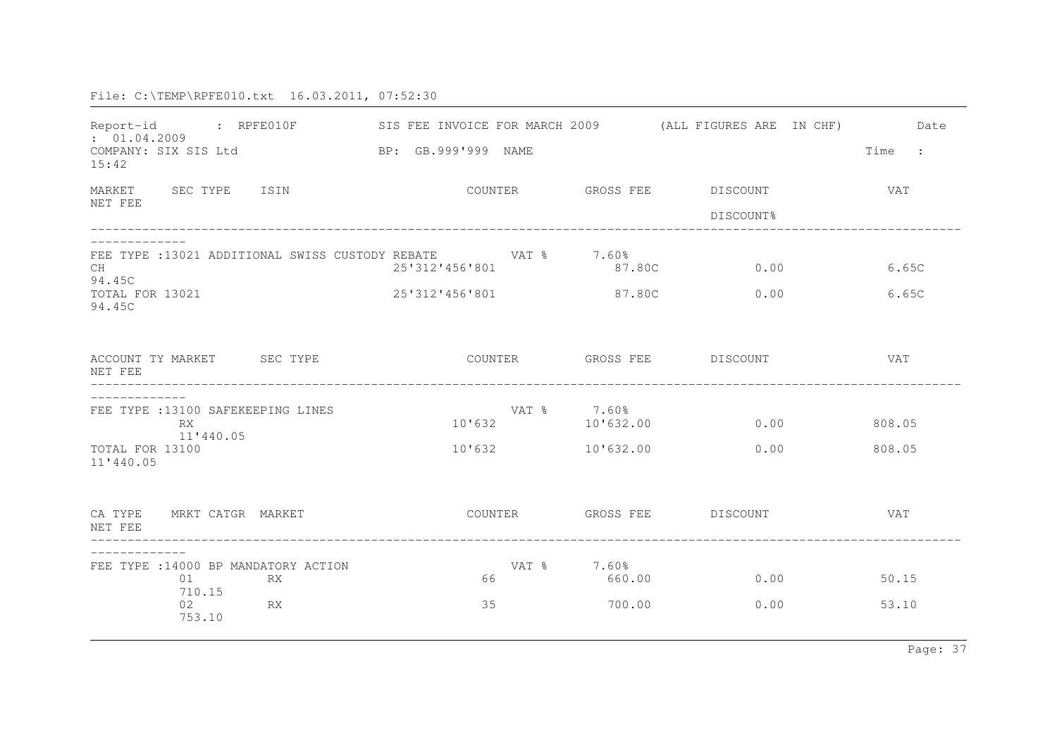| : 01.04.2009<br>COMPANY: SIX SIS Ltd<br>15:42                                                |           | Report-id : RPFE010F SIS FEE INVOICE FOR MARCH 2009 (ALL FIGURES ARE IN CHF)<br>BP: GB.999'999 NAME |                                       |                                         | Date<br>Time<br>$\sim$ 1. |
|----------------------------------------------------------------------------------------------|-----------|-----------------------------------------------------------------------------------------------------|---------------------------------------|-----------------------------------------|---------------------------|
| MARKET SEC TYPE ISIN<br>NET FEE                                                              |           |                                                                                                     |                                       | COUNTER GROSS FEE DISCOUNT<br>DISCOUNT% | <b>VAT</b>                |
| CH<br>94.45C<br>TOTAL FOR 13021<br>94.45C                                                    |           | FEE TYPE : 13021 ADDITIONAL SWISS CUSTODY REBATE VAT % 7.60%<br>25'312'456'801<br>25'312'456'801    | 87.80C<br>87.80C                      | 0.00<br>0.00                            | 6.65C<br>6.65C            |
| ACCOUNT TY MARKET SEC TYPE<br>NET FEE                                                        |           |                                                                                                     |                                       | COUNTER GROSS FEE DISCOUNT              | <b>VAT</b>                |
| FEE TYPE : 13100 SAFEKEEPING LINES<br><b>RX</b><br>11'440.05<br>TOTAL FOR 13100<br>11'440.05 |           | 10'632<br>10'632                                                                                    | VAT % 7.60%<br>10'632.00<br>10'632.00 | 0.00<br>0.00                            | 808.05<br>808.05          |
| CA TYPE<br>MRKT CATGR MARKET<br>NET FEE                                                      |           | COUNTER                                                                                             |                                       | GROSS FEE DISCOUNT                      | <b>VAT</b>                |
| FEE TYPE : 14000 BP MANDATORY ACTION<br>01<br>710.15<br>02<br>753.10                         | RX<br>RX. | 66<br>35                                                                                            | VAT % 7.60%<br>660.00<br>700.00       | 0.00<br>0.00                            | 50.15<br>53.10            |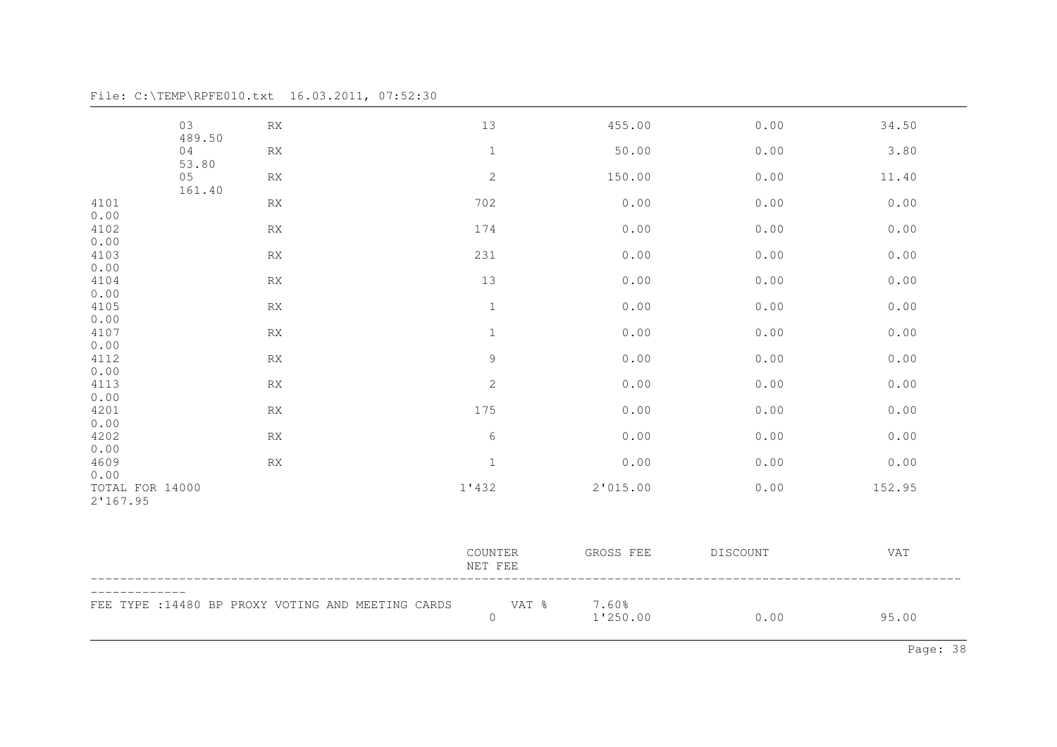03 RX 13 455.00 0.00 34.50 489.5004 RX 1 50.00 0.00 3.80 53.80 05 RX 2 150.00 0.00 11.40 161.404101 RX 702 0.00 0.00 0.00 0.004102 4102 RX 174 0.00 0.00 0.00 0.004103 4103 RX 231 0.00 0.00 0.00 0.004104 4104 RX 13 0.00 0.00 0.00 0.004105 RX 0.00 0.00 0.00 0.00 0.00 0.004107 RX 1 0.00 0.00 0.00 0.00 0.004112 4112 RX 9 0.00 0.00 0.00 0.004113 RX 2 0.00 0.00 0.00 0.00 0.004201 4201 RX 175 0.00 0.00 0.00 0.004202 RX 6 0.00 0.00 0.00 0.00 0.004609 RX 1 0.00 0.00 0.00 0.00 0.00TOTAL FOR 14000 1'432 2'015.00 0.00 152.95 2'167.95COUNTER GROSS FEE DISCOUNT VAT NET FEE-------------FEE TYPE :14480 BP PROXY VOTING AND MEETING CARDS VAT % 7.60% 0 1'250.00 0.00 95.00

File: C:\TEMP\RPFE010.txt 16.03.2011, 07:52:30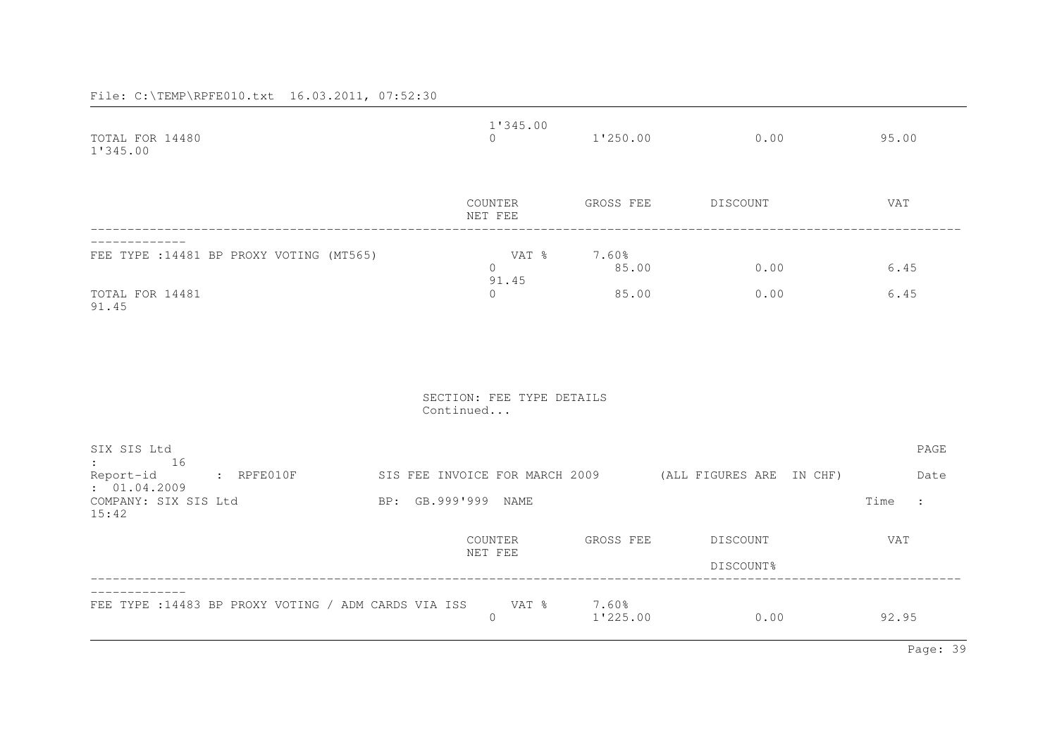| TOTAL FOR 14480<br>1'345.00                                                                                                   | $\cap$              | 1'345.00                   | $1'250.00$ 0.00 95.00 |                     |
|-------------------------------------------------------------------------------------------------------------------------------|---------------------|----------------------------|-----------------------|---------------------|
|                                                                                                                               | NET FEE             | COUNTER GROSS FEE DISCOUNT |                       | VAT                 |
| FEE TYPE : 14481 BP PROXY VOTING (MT565)                                                                                      | $\Omega$<br>91.45   | VAT % 7.60%<br>85.00       | 0.00                  | 6.45                |
| TOTAL FOR 14481<br>91.45                                                                                                      | $\Omega$            | 85.00                      | 0.00                  | 6.45                |
|                                                                                                                               | Continued           | SECTION: FEE TYPE DETAILS  |                       |                     |
| SIX SIS Ltd<br>$\colon$ 16                                                                                                    |                     |                            |                       | PAGE                |
| Report-id : RPFE010F SIS FEE INVOICE FOR MARCH 2009 (ALL FIGURES ARE IN CHF)<br>: 01.04.2009<br>COMPANY: SIX SIS Ltd<br>15:42 | BP: GB.999'999 NAME |                            |                       | Date Date<br>Time : |
|                                                                                                                               | NET FEE             | COUNTER GROSS FEE DISCOUNT | DISCOUNT%             | VAT                 |
| FEE TYPE : 14483 BP PROXY VOTING / ADM CARDS VIA ISS                                                                          | $\circ$             | VAT % 7.60%<br>1'225.00    | 0.00                  | 92.95               |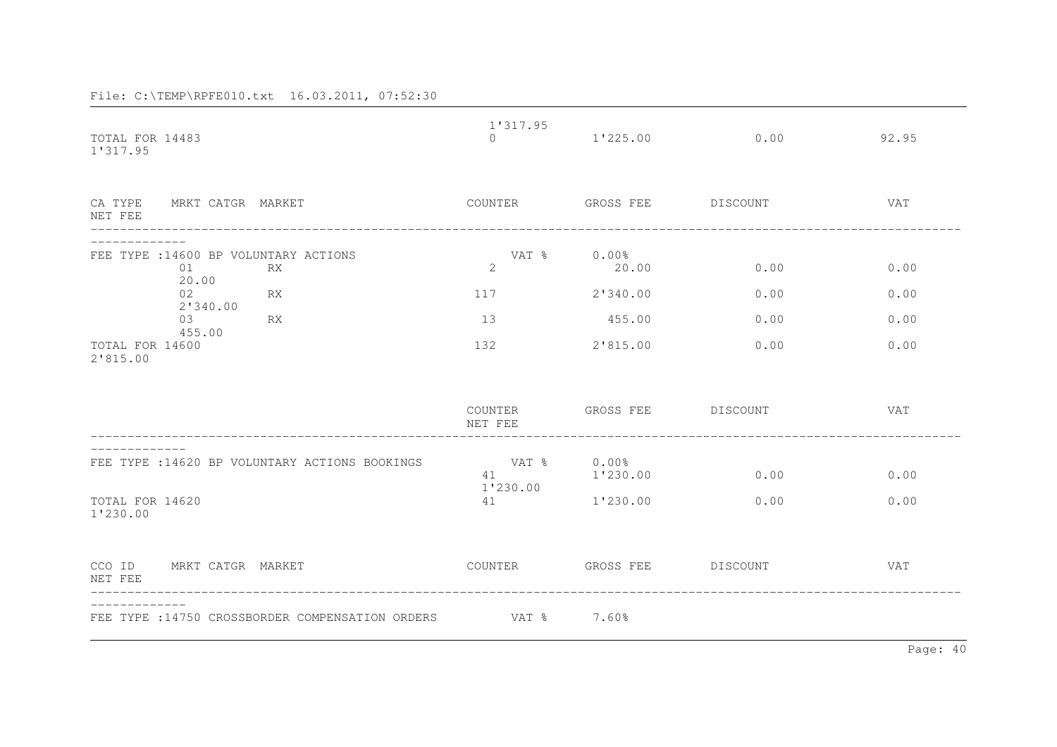| TOTAL FOR 14483                                          | 1'317.95<br>$\Omega$ | 1'225.00             | 0.00     | 92.95      |
|----------------------------------------------------------|----------------------|----------------------|----------|------------|
| 1'317.95                                                 |                      |                      |          |            |
| CA TYPE<br>MRKT CATGR MARKET<br>NET FEE                  | COUNTER              | GROSS FEE            | DISCOUNT | VAT        |
| FEE TYPE : 14600 BP VOLUNTARY ACTIONS<br>01<br><b>RX</b> | VAT %<br>2           | 0.00%<br>20.00       | 0.00     | 0.00       |
| 20.00<br>02<br>RX                                        | 117                  | 2'340.00             | 0.00     | 0.00       |
| 2'340.00<br><b>RX</b><br>03                              | 13                   | 455.00               | 0.00     | 0.00       |
| 455.00<br>TOTAL FOR 14600<br>2'815.00                    | 132                  | 2'815.00             | 0.00     | 0.00       |
|                                                          | COUNTER<br>NET FEE   | GROSS FEE            | DISCOUNT | VAT        |
| FEE TYPE : 14620 BP VOLUNTARY ACTIONS BOOKINGS           | VAT %<br>41          | $0.00\%$<br>1'230.00 | 0.00     | 0.00       |
| TOTAL FOR 14620<br>1'230.00                              | 1'230.00<br>41       | 1'230.00             | 0.00     | 0.00       |
| MRKT CATGR MARKET<br>CCO ID<br>NET FEE                   | COUNTER              | GROSS FEE            | DISCOUNT | <b>VAT</b> |
| FEE TYPE : 14750 CROSSBORDER COMPENSATION ORDERS         | VAT %                | 7.60%                |          |            |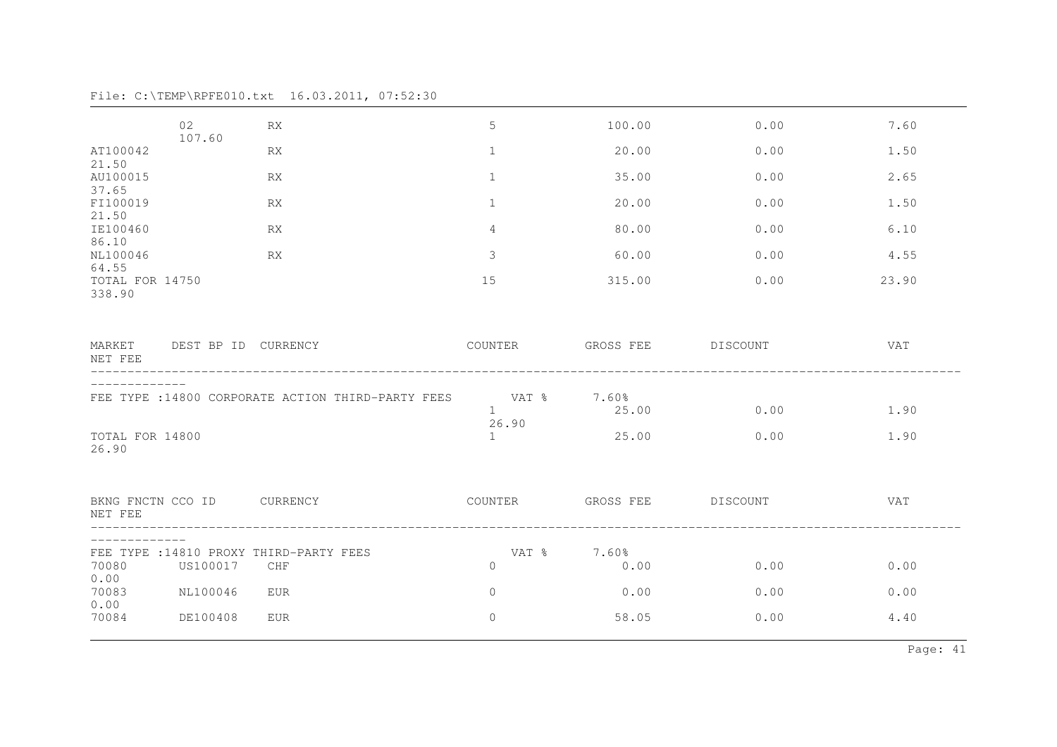|  |  | File: C:\TEMP\RPFE010.txt  16.03.2011, 07:52:30 |  |  |
|--|--|-------------------------------------------------|--|--|
|--|--|-------------------------------------------------|--|--|

| 02                | <b>RX</b>  | 5                                                                                                                                              | 100.00                  | 0.00                         | 7.60                                             |
|-------------------|------------|------------------------------------------------------------------------------------------------------------------------------------------------|-------------------------|------------------------------|--------------------------------------------------|
| 107.60            | <b>RX</b>  | $\mathbf{1}$                                                                                                                                   | 20.00                   | 0.00                         | 1.50                                             |
|                   | <b>RX</b>  | $\mathbf{1}$                                                                                                                                   | 35.00                   | 0.00                         | 2.65                                             |
|                   | <b>RX</b>  | $\mathbf{1}$                                                                                                                                   | 20.00                   | 0.00                         | 1.50                                             |
|                   | <b>RX</b>  | $\overline{4}$                                                                                                                                 | 80.00                   | 0.00                         | 6.10                                             |
|                   | RX         | $\mathsf 3$                                                                                                                                    | 60.00                   | 0.00                         | 4.55                                             |
| TOTAL FOR 14750   |            | 15                                                                                                                                             | 315.00                  | 0.00                         | 23.90                                            |
|                   |            | COUNTER                                                                                                                                        |                         |                              | VAT                                              |
|                   |            | 1                                                                                                                                              | 25.00                   | 0.00                         | 1.90                                             |
| TOTAL FOR 14800   |            | $\mathbf{1}$                                                                                                                                   | 25.00                   | 0.00                         | 1.90                                             |
| BKNG FNCTN CCO ID |            | COUNTER                                                                                                                                        |                         |                              | VAT                                              |
|                   |            | VAT %                                                                                                                                          |                         |                              |                                                  |
|                   |            |                                                                                                                                                |                         |                              | 0.00                                             |
| NL100046          | <b>EUR</b> | $\circ$                                                                                                                                        | 0.00                    | 0.00                         | 0.00                                             |
| DE100408          | <b>EUR</b> | $\circ$                                                                                                                                        | 58.05                   | 0.00                         | 4.40                                             |
|                   | US100017   | MARKET DEST BP ID CURRENCY<br>FEE TYPE : 14800 CORPORATE ACTION THIRD-PARTY FEES<br>CURRENCY<br>FEE TYPE : 14810 PROXY THIRD-PARTY FEES<br>CHF | 26.90<br>$\overline{0}$ | VAT % 7.60%<br>7.60%<br>0.00 | GROSS FEE DISCOUNT<br>GROSS FEE DISCOUNT<br>0.00 |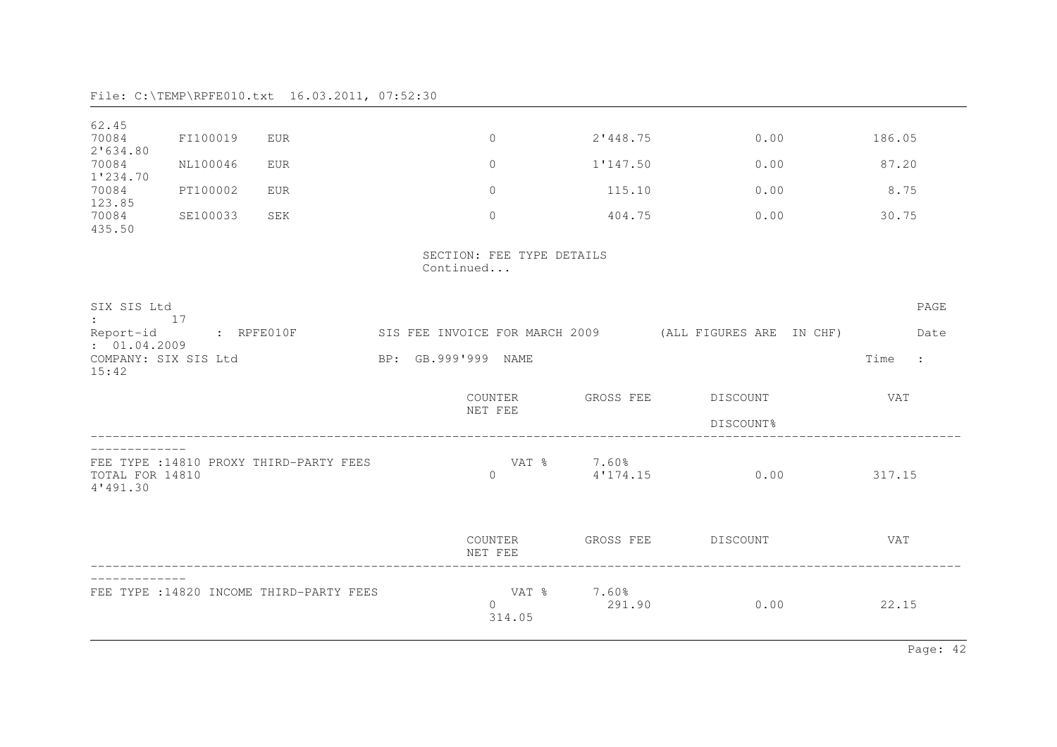| 62.45                         |          |                                          |                                        |                 |                   |                                                                                  |            |              |
|-------------------------------|----------|------------------------------------------|----------------------------------------|-----------------|-------------------|----------------------------------------------------------------------------------|------------|--------------|
| 70084<br>2'634.80             | FI100019 | <b>EUR</b>                               | $\overline{0}$                         |                 | 2'448.75          | 0.00                                                                             | 186.05     |              |
| 70084<br>1'234.70             | NL100046 | <b>EUR</b>                               | $\mathbf{0}$                           |                 | 1'147.50          | 0.00                                                                             | 87.20      |              |
| 70084<br>123.85               | PT100002 | <b>EUR</b>                               | $\Omega$                               |                 | 115.10            | 0.00                                                                             | 8.75       |              |
| 70084<br>435.50               | SE100033 | SEK                                      | $\Omega$                               |                 | 404.75            | 0.00                                                                             | 30.75      |              |
|                               |          |                                          | SECTION: FEE TYPE DETAILS<br>Continued |                 |                   |                                                                                  |            |              |
| SIX SIS Ltd<br>$\cdot$ 17     |          |                                          |                                        |                 |                   |                                                                                  |            | PAGE         |
| Report-id<br>: 01.04.2009     |          |                                          |                                        |                 |                   | : RPFE010F         SIS FEE INVOICE FOR MARCH 2009       (ALL FIGURES ARE IN CHF) |            | Date         |
| COMPANY: SIX SIS Ltd<br>15:42 |          |                                          | BP: GB.999'999 NAME                    |                 |                   |                                                                                  | Time       | $\mathbf{r}$ |
|                               |          |                                          |                                        | COUNTER         | GROSS FEE         | DISCOUNT                                                                         | <b>VAT</b> |              |
|                               |          |                                          | NET FEE                                |                 |                   | DISCOUNT%                                                                        |            |              |
| TOTAL FOR 14810<br>4'491.30   |          | FEE TYPE : 14810 PROXY THIRD-PARTY FEES  | $\mathbf{0}$                           | VAT %           | 7.60%<br>4'174.15 | 0.00                                                                             | 317.15     |              |
|                               |          |                                          | COUNTER<br>NET FEE                     |                 |                   | GROSS FEE DISCOUNT                                                               | <b>VAT</b> |              |
|                               |          | FEE TYPE : 14820 INCOME THIRD-PARTY FEES | $\Omega$                               | VAT %<br>314.05 | 7.60%<br>291.90   | 0.00                                                                             | 22.15      |              |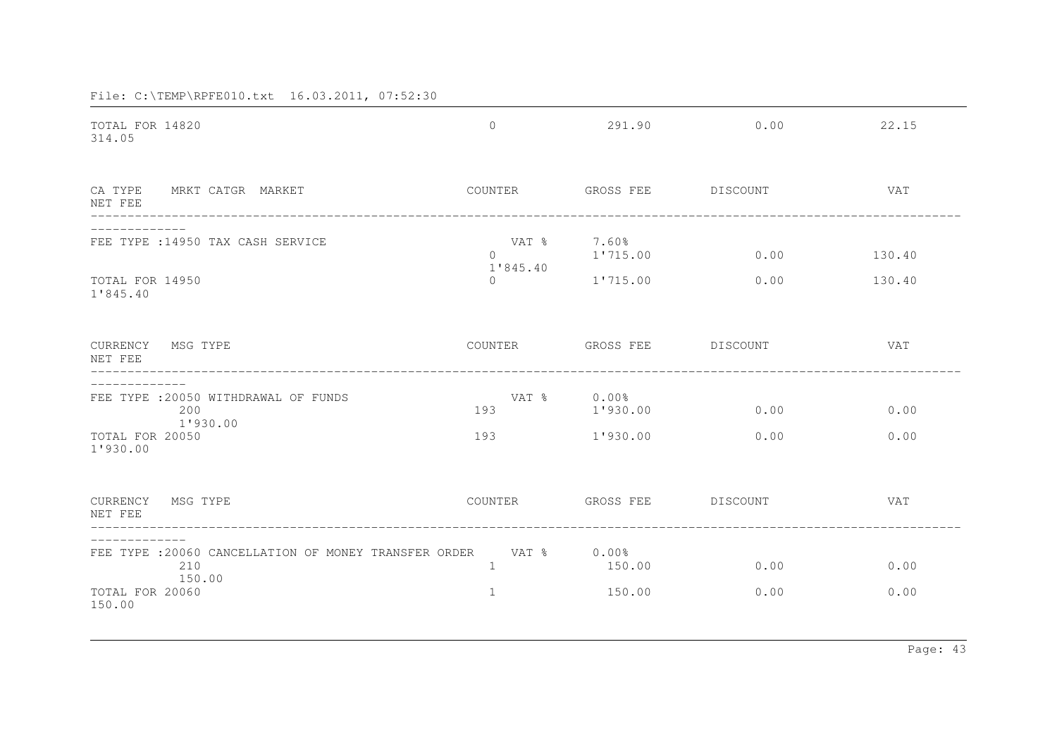| TOTAL FOR 14820<br>314.05                                                                                      | $\overline{0}$                          | 291.90                           | 0.00         | 22.15            |
|----------------------------------------------------------------------------------------------------------------|-----------------------------------------|----------------------------------|--------------|------------------|
| CA TYPE<br>MRKT CATGR MARKET<br>NET FEE                                                                        | COUNTER                                 | GROSS FEE                        | DISCOUNT     | <b>VAT</b>       |
| FEE TYPE : 14950 TAX CASH SERVICE<br>TOTAL FOR 14950<br>1'845.40                                               | VAT %<br>$\cap$<br>1'845.40<br>$\Omega$ | 7.60%<br>1'715.00<br>1'715.00    | 0.00<br>0.00 | 130.40<br>130.40 |
| CURRENCY MSG TYPE<br>NET FEE                                                                                   |                                         | COUNTER GROSS FEE DISCOUNT       |              | <b>VAT</b>       |
| FEE TYPE : 20050 WITHDRAWAL OF FUNDS<br>200<br>1'930.00<br>TOTAL FOR 20050<br>1'930.00                         | VAT %<br>193<br>193                     | $0.00\%$<br>1'930.00<br>1'930.00 | 0.00<br>0.00 | 0.00<br>0.00     |
| CURRENCY MSG TYPE<br>NET FEE                                                                                   | COUNTER                                 | GROSS FEE DISCOUNT               |              | VAT              |
| FEE TYPE :20060 CANCELLATION OF MONEY TRANSFER ORDER VAT % 0.00%<br>210<br>150.00<br>TOTAL FOR 20060<br>150.00 | $\mathbf{1}$<br>$\mathbf{1}$            | 150.00<br>150.00                 | 0.00<br>0.00 | 0.00<br>0.00     |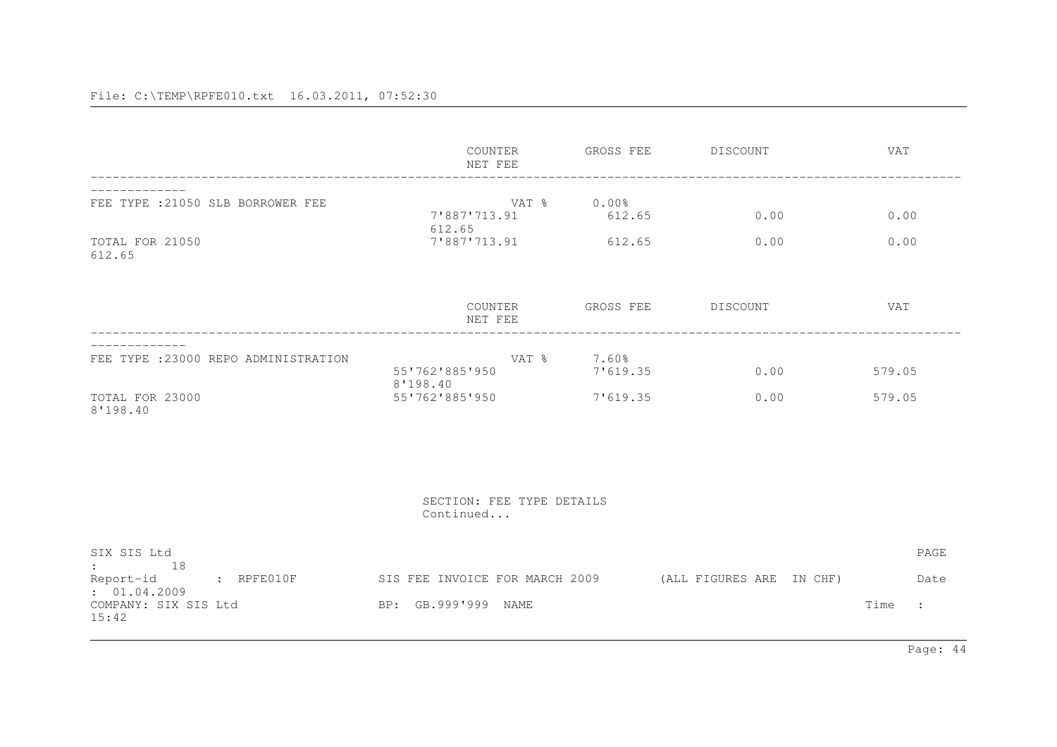|                                                                                                                               |                                      | COUNTER<br>NET FEE                           | GROSS FEE                           | DISCOUNT                                                | <b>VAT</b>                                   |
|-------------------------------------------------------------------------------------------------------------------------------|--------------------------------------|----------------------------------------------|-------------------------------------|---------------------------------------------------------|----------------------------------------------|
| FEE TYPE : 21050 SLB BORROWER FEE<br>TOTAL FOR 21050<br>612.65                                                                |                                      | 7'887'713.91<br>612.65<br>7'887'713.91       | VAT % 0.00%<br>612.65<br>612.65     | 0.00<br>0.00                                            | 0.00<br>0.00                                 |
|                                                                                                                               |                                      | COUNTER<br>NET FEE                           |                                     | GROSS FEE DISCOUNT                                      | VAT                                          |
| TOTAL FOR 23000<br>8'198.40                                                                                                   | FEE TYPE : 23000 REPO ADMINISTRATION | 55'762'885'950<br>8'198.40<br>55'762'885'950 | VAT % 7.60%<br>7'619.35<br>7'619.35 | 0.00<br>0.00                                            | 579.05<br>579.05                             |
|                                                                                                                               |                                      | SECTION: FEE TYPE DETAILS<br>Continued       |                                     |                                                         |                                              |
| SIX SIS Ltd<br>$\mathbf{r}$ and the state of $\mathbf{r}$<br>18<br>Report-id<br>: 01.04.2009<br>COMPANY: SIX SIS Ltd<br>15:42 | $R$ $R$ $P$ $F$ $E$ $0$ $1$ $0$ $F$  | BP: GB.999'999 NAME                          |                                     | SIS FEE INVOICE FOR MARCH 2009 (ALL FIGURES ARE IN CHF) | PAGE<br>Date<br>Time<br>$\ddot{\phantom{0}}$ |

Page: 44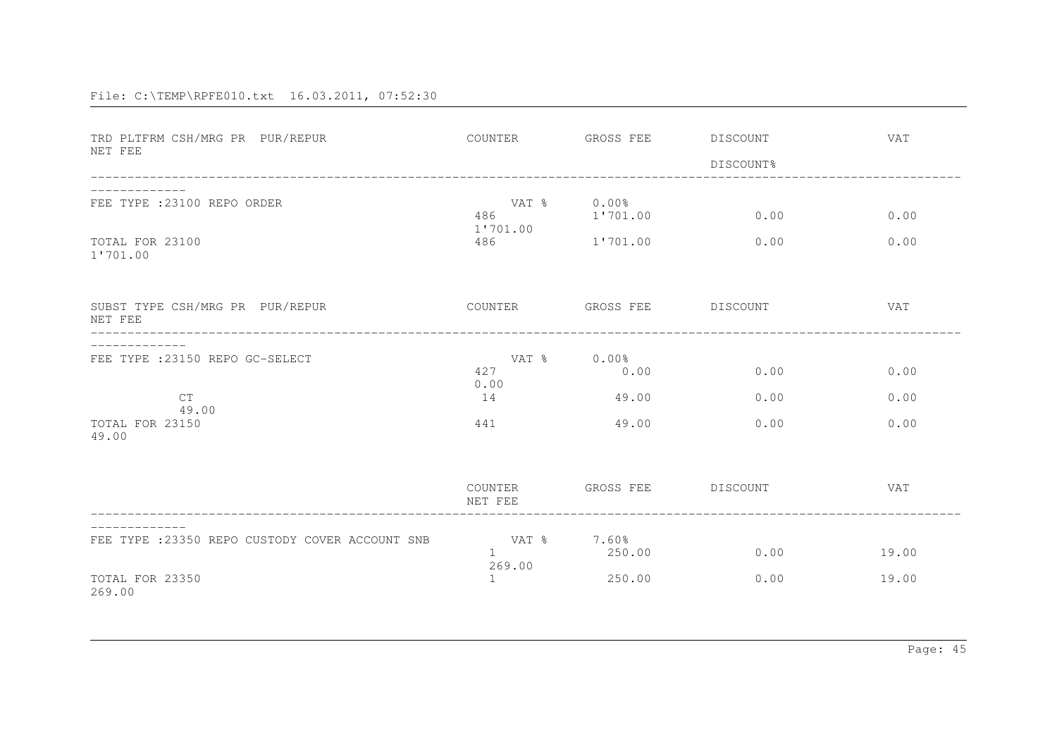| TRD PLTFRM CSH/MRG PR PUR/REPUR<br>NET FEE                                        | COUNTER                   | GROSS FEE DISCOUNT                    | DISCOUNT%            | <b>VAT</b>           |
|-----------------------------------------------------------------------------------|---------------------------|---------------------------------------|----------------------|----------------------|
| FEE TYPE : 23100 REPO ORDER<br>TOTAL FOR 23100<br>1'701.00                        | 486<br>1'701.00<br>486    | VAT % 0.00%<br>1'701.00<br>1'701.00   | 0.00<br>0.00         | 0.00<br>0.00         |
| SUBST TYPE CSH/MRG PR PUR/REPUR<br>NET FEE                                        |                           | COUNTER GROSS FEE DISCOUNT            |                      | <b>VAT</b>           |
| FEE TYPE : 23150 REPO GC-SELECT<br><b>CT</b><br>49.00<br>TOTAL FOR 23150<br>49.00 | 427<br>0.00<br>14<br>441  | VAT % 0.00%<br>0.00<br>49.00<br>49.00 | 0.00<br>0.00<br>0.00 | 0.00<br>0.00<br>0.00 |
|                                                                                   | COUNTER<br>NET FEE        | GROSS FEE DISCOUNT                    |                      | <b>VAT</b>           |
| FEE TYPE : 23350 REPO CUSTODY COVER ACCOUNT SNB<br>TOTAL FOR 23350<br>269.00      | VAT %<br>1<br>269.00<br>1 | 7.60%<br>250.00<br>250.00             | 0.00<br>0.00         | 19.00<br>19.00       |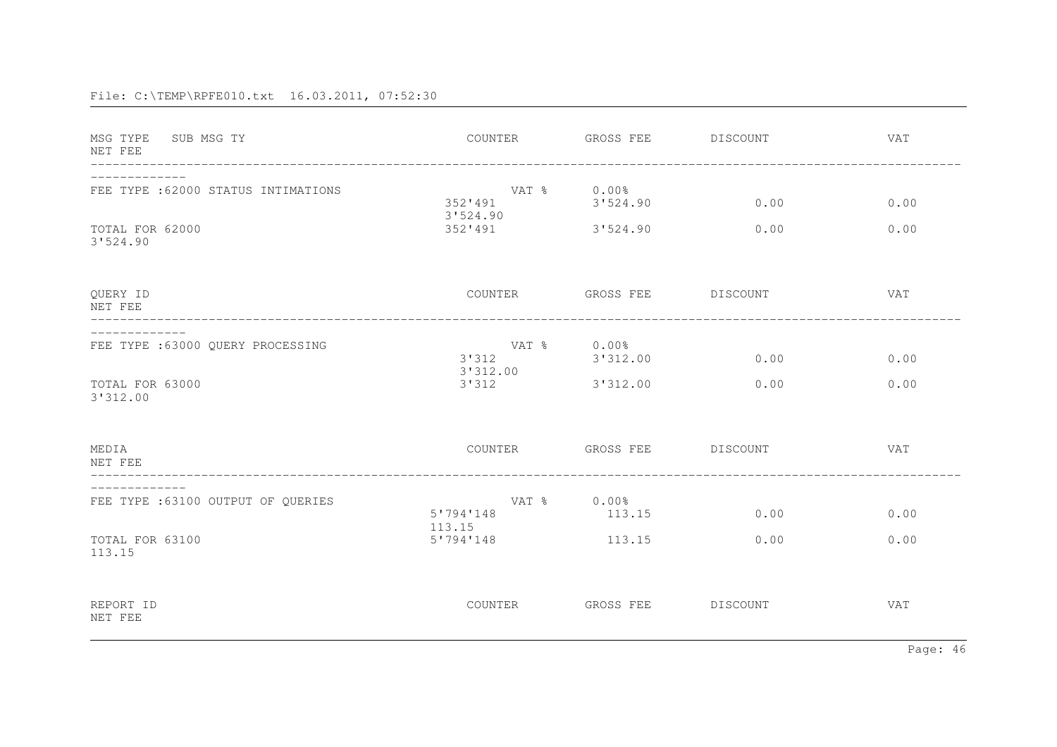| MSG TYPE SUB MSG TY<br>NET FEE<br>____________________________ |                                    | COUNTER GROSS FEE DISCOUNT |          | <b>VAT</b> |
|----------------------------------------------------------------|------------------------------------|----------------------------|----------|------------|
| FEE TYPE : 62000 STATUS INTIMATIONS                            | VAT % 0.00%<br>352'491<br>3'524.90 | 3'524.90                   | 0.00     | 0.00       |
| TOTAL FOR 62000<br>3'524.90                                    | 352'491 3'524.90                   |                            | 0.00     | 0.00       |
| QUERY ID<br>NET FEE<br>_________________________________       |                                    | COUNTER GROSS FEE DISCOUNT |          | VAT        |
| FEE TYPE :63000 QUERY PROCESSING                               | 3'312<br>3'312.00                  | VAT % 0.00%<br>3'312.00    | 0.00     | 0.00       |
| TOTAL FOR 63000<br>3'312.00                                    | 3'312                              | 3'312.00                   | 0.00     | 0.00       |
| MEDIA<br>NET FEE                                               |                                    | COUNTER GROSS FEE DISCOUNT |          | VAT        |
| FEE TYPE : 63100 OUTPUT OF OUERIES                             | 5'794'148<br>113.15                | VAT % 0.00%<br>113.15      | 0.00     | 0.00       |
| TOTAL FOR 63100<br>113.15                                      | 5'794'148                          | 113.15                     | 0.00     | 0.00       |
| REPORT ID<br>NET FEE                                           | COUNTER                            | GROSS FEE                  | DISCOUNT | VAT        |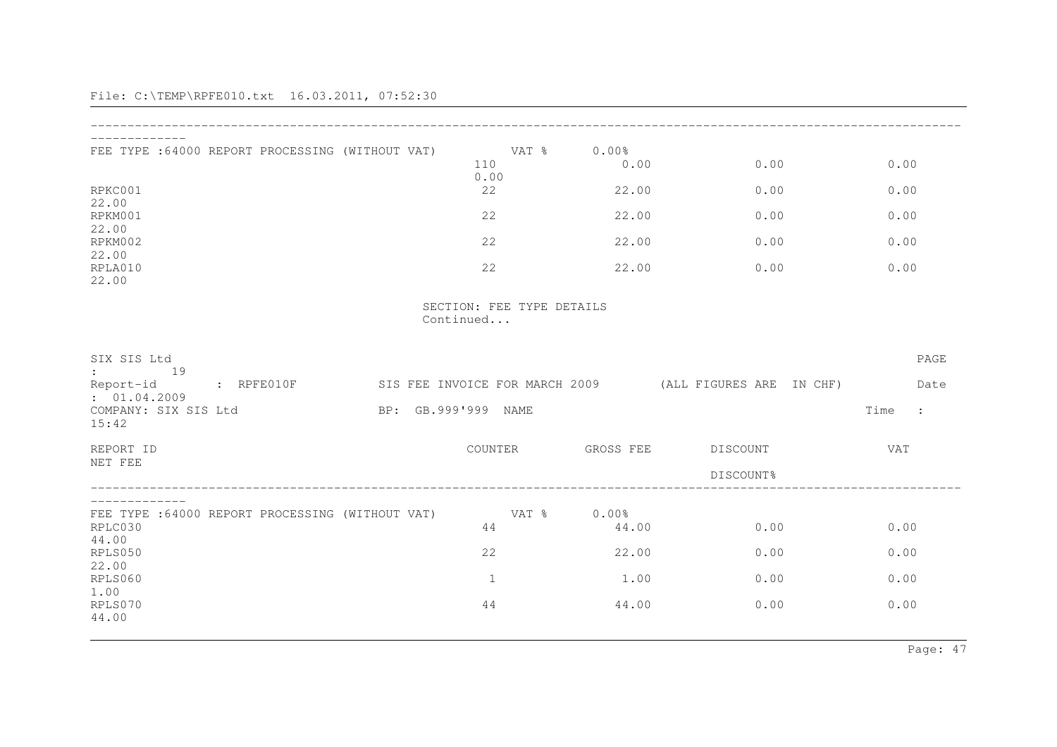| FEE TYPE :64000 REPORT PROCESSING (WITHOUT VAT)                     | 110                 | VAT %<br>0.00             | 0.00%<br>0.00  | 0.00                                                    | 0.00                   |
|---------------------------------------------------------------------|---------------------|---------------------------|----------------|---------------------------------------------------------|------------------------|
| RPKC001                                                             |                     | 22                        | 22.00          | 0.00                                                    | 0.00                   |
| 22.00<br>RPKM001                                                    |                     | 22                        | 22.00          | 0.00                                                    | 0.00                   |
| 22.00<br>RPKM002                                                    |                     | 22                        | 22.00          | 0.00                                                    | 0.00                   |
| 22.00<br>RPLA010<br>22.00                                           |                     | 22                        | 22.00          | 0.00                                                    | 0.00                   |
|                                                                     | Continued           | SECTION: FEE TYPE DETAILS |                |                                                         |                        |
| SIX SIS Ltd<br>19                                                   |                     |                           |                |                                                         | PAGE                   |
| Report-id<br>$R$ $R$ $P$ $F$ $E$ $0$ $1$ $0$ $F$<br>: 01.04.2009    |                     |                           |                | SIS FEE INVOICE FOR MARCH 2009 (ALL FIGURES ARE IN CHF) | Date                   |
| COMPANY: SIX SIS Ltd<br>15:42                                       | BP: GB.999'999 NAME |                           |                |                                                         | Time<br>$\ddot{\cdot}$ |
| REPORT ID                                                           |                     | COUNTER                   | GROSS FEE      | DISCOUNT                                                | <b>VAT</b>             |
| NET FEE                                                             |                     |                           |                | DISCOUNT%                                               |                        |
| FEE TYPE :64000 REPORT PROCESSING (WITHOUT VAT)<br>RPLC030<br>44.00 |                     | VAT %<br>44               | 0.00%<br>44.00 | 0.00                                                    | 0.00                   |
| RPLS050                                                             |                     | 22                        | 22.00          | 0.00                                                    | 0.00                   |
| 22.00<br>RPLS060                                                    |                     | $\mathbf{1}$              | 1.00           | 0.00                                                    | 0.00                   |
| 1.00<br>RPLS070<br>44.00                                            |                     | 44                        | 44.00          | 0.00                                                    | 0.00                   |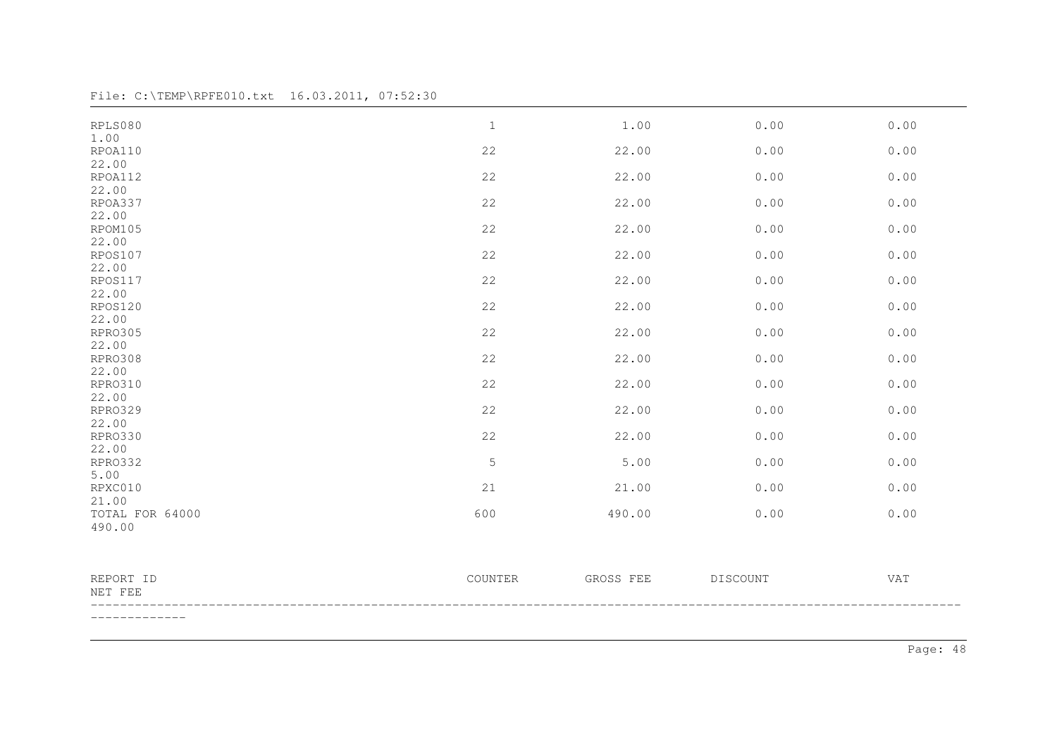File: C:\TEMP\RPFE010.txt 16.03.2011, 07:52:30

| RPLS080              | $1\,$       | 1.00      | 0.00            | 0.00 |
|----------------------|-------------|-----------|-----------------|------|
| 1.00                 |             |           |                 |      |
| RPOA110              | 22          | 22.00     | 0.00            | 0.00 |
| 22.00                |             |           |                 |      |
| RPOA112              | 22          | 22.00     | 0.00            | 0.00 |
| 22.00                |             |           |                 |      |
| RPOA337              | 22          | 22.00     | 0.00            | 0.00 |
| 22.00                |             |           |                 |      |
| RPOM105              | 22          | 22.00     | 0.00            | 0.00 |
| 22.00                |             |           |                 |      |
| RPOS107              | 22          | 22.00     | 0.00            | 0.00 |
| 22.00                |             |           |                 |      |
| RPOS117              | 22          | 22.00     | 0.00            | 0.00 |
| 22.00                |             |           |                 |      |
| RPOS120              | 22          | 22.00     | 0.00            | 0.00 |
| 22.00                |             |           |                 |      |
| RPRO305<br>22.00     | 22          | 22.00     | 0.00            | 0.00 |
| RPRO308              | 22          | 22.00     | 0.00            | 0.00 |
| 22.00                |             |           |                 |      |
| RPRO310              | 22          | 22.00     | 0.00            | 0.00 |
| 22.00                |             |           |                 |      |
| RPR0329              | 22          | 22.00     | 0.00            | 0.00 |
| 22.00                |             |           |                 |      |
| RPR0330              | 22          | 22.00     | 0.00            | 0.00 |
| 22.00                |             |           |                 |      |
| RPR0332              | $\mathsf S$ | 5.00      | 0.00            | 0.00 |
| 5.00                 |             |           |                 |      |
| RPXC010              | 21          | 21.00     | 0.00            | 0.00 |
| 21.00                |             |           |                 |      |
| TOTAL FOR 64000      | 600         | 490.00    | 0.00            | 0.00 |
| 490.00               |             |           |                 |      |
|                      |             |           |                 |      |
| REPORT ID<br>NET FEE | COUNTER     | GROSS FEE | <b>DISCOUNT</b> | VAT  |
| ------------         |             |           |                 |      |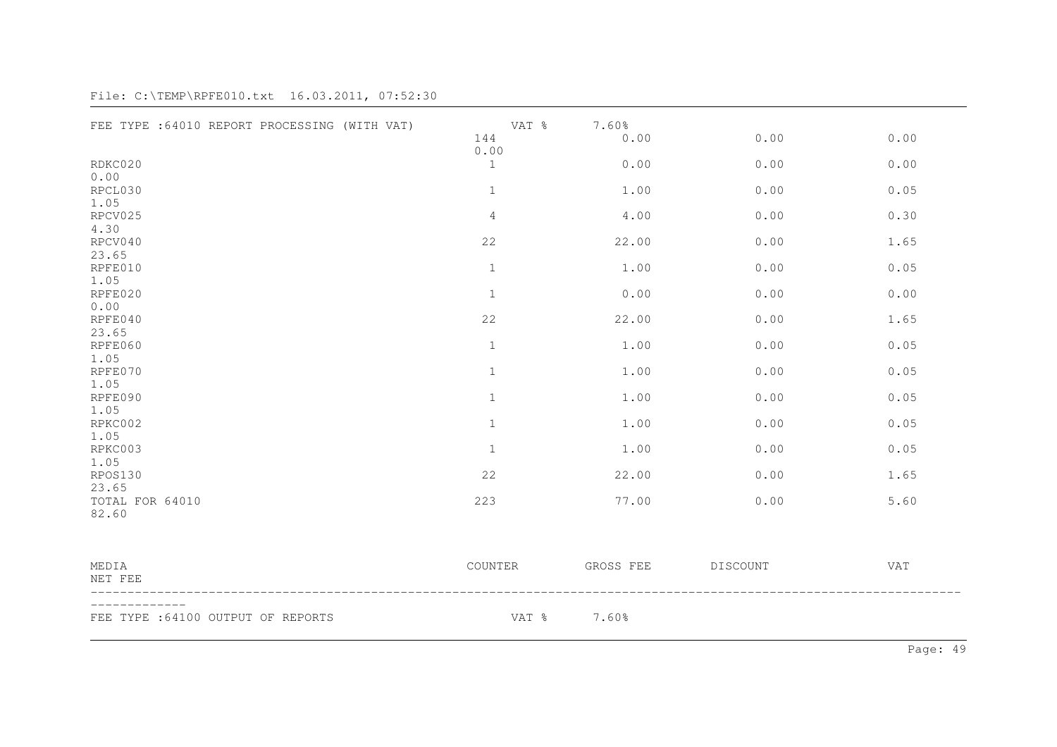| FEE TYPE : 64010 REPORT PROCESSING (WITH VAT) | VAT %<br>144         | 7.60%<br>0.00 | 0.00     | 0.00 |
|-----------------------------------------------|----------------------|---------------|----------|------|
| RDKC020<br>0.00                               | 0.00<br>$\mathbf{1}$ | 0.00          | 0.00     | 0.00 |
| RPCL030<br>1.05                               | $\mathbf{1}$         | 1.00          | 0.00     | 0.05 |
| RPCV025<br>4.30                               | $\sqrt{4}$           | 4.00          | 0.00     | 0.30 |
| RPCV040<br>23.65                              | 22                   | 22.00         | 0.00     | 1.65 |
| RPFE010<br>1.05                               | $\mathbf{1}$         | 1.00          | 0.00     | 0.05 |
| RPFE020<br>0.00                               | $\mathbf{1}$         | 0.00          | 0.00     | 0.00 |
| RPFE040<br>23.65                              | 22                   | 22.00         | 0.00     | 1.65 |
| RPFE060<br>1.05                               | $1\,$                | 1.00          | 0.00     | 0.05 |
| RPFE070<br>1.05                               | $\mathbf{1}$         | 1.00          | 0.00     | 0.05 |
| RPFE090<br>1.05                               | $\,1\,$              | 1.00          | 0.00     | 0.05 |
| RPKC002<br>1.05                               | $\mathbf 1$          | 1.00          | 0.00     | 0.05 |
| RPKC003<br>1.05                               | $\mathbf{1}$         | 1.00          | 0.00     | 0.05 |
| RPOS130<br>23.65                              | 22                   | 22.00         | 0.00     | 1.65 |
| TOTAL FOR 64010<br>82.60                      | 223                  | 77.00         | 0.00     | 5.60 |
| MEDIA<br>NET FEE                              | COUNTER              | GROSS FEE     | DISCOUNT | VAT  |
| FEE TYPE : 64100 OUTPUT OF REPORTS            | VAT %                | 7.60%         |          |      |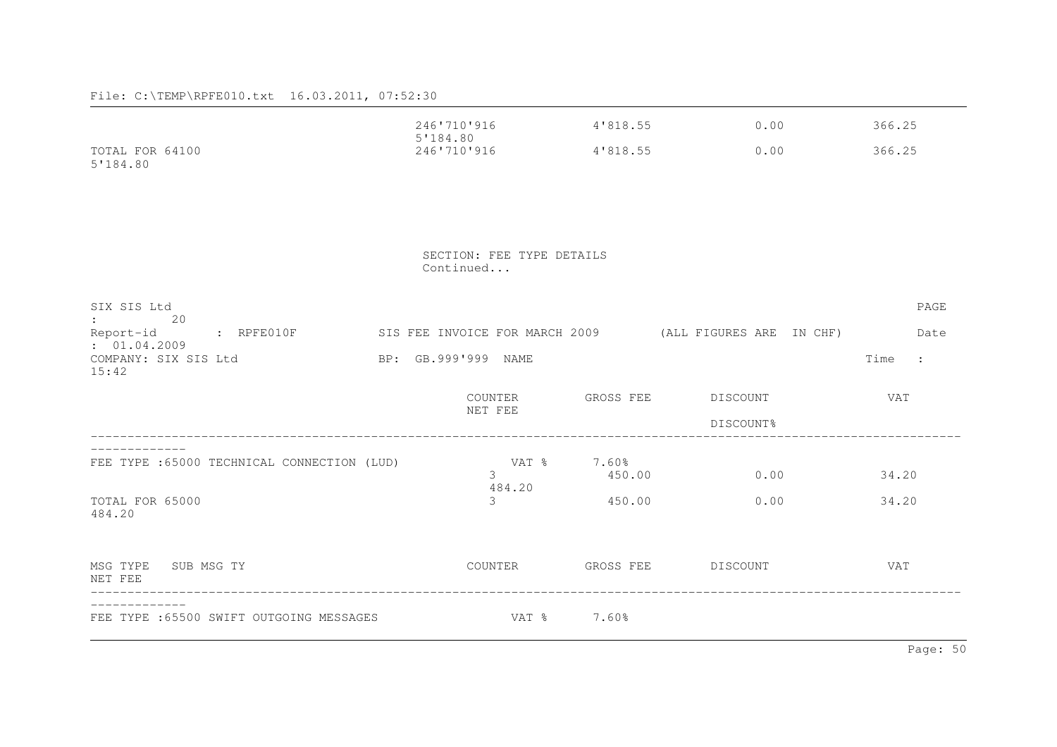|                                                           | 246'710'916<br>5'184.80   | 4'818.55        | 0.00                                                    | 366.25            |
|-----------------------------------------------------------|---------------------------|-----------------|---------------------------------------------------------|-------------------|
| TOTAL FOR 64100<br>5'184.80                               | 246'710'916               | 4'818.55        | 0.00                                                    | 366.25            |
|                                                           |                           |                 |                                                         |                   |
|                                                           | SECTION: FEE TYPE DETAILS |                 |                                                         |                   |
|                                                           | Continued                 |                 |                                                         |                   |
| SIX SIS Ltd<br>20                                         |                           |                 |                                                         | PAGE              |
| <b>Experience</b><br>Report-id : RPFE010F<br>: 01.04.2009 |                           |                 | SIS FEE INVOICE FOR MARCH 2009 (ALL FIGURES ARE IN CHF) | Date              |
| COMPANY: SIX SIS Ltd<br>15:42                             | BP: GB.999'999 NAME       |                 |                                                         | Time<br>$\sim$ 1. |
|                                                           | COUNTER<br>NET FEE        | GROSS FEE       | DISCOUNT                                                | VAT               |
|                                                           |                           |                 | DISCOUNT%                                               |                   |
| FEE TYPE : 65000 TECHNICAL CONNECTION (LUD)               | VAT %<br>$\mathcal{E}$    | 7.60%<br>450.00 | 0.00                                                    | 34.20             |
| TOTAL FOR 65000<br>484.20                                 | 484.20<br>3               | 450.00          | 0.00                                                    | 34.20             |
| MSG TYPE SUB MSG TY<br>NET FEE                            | COUNTER                   |                 | GROSS FEE DISCOUNT                                      | <b>VAT</b>        |
| FEE TYPE : 65500 SWIFT OUTGOING MESSAGES                  | VAT %                     | 7.60%           |                                                         |                   |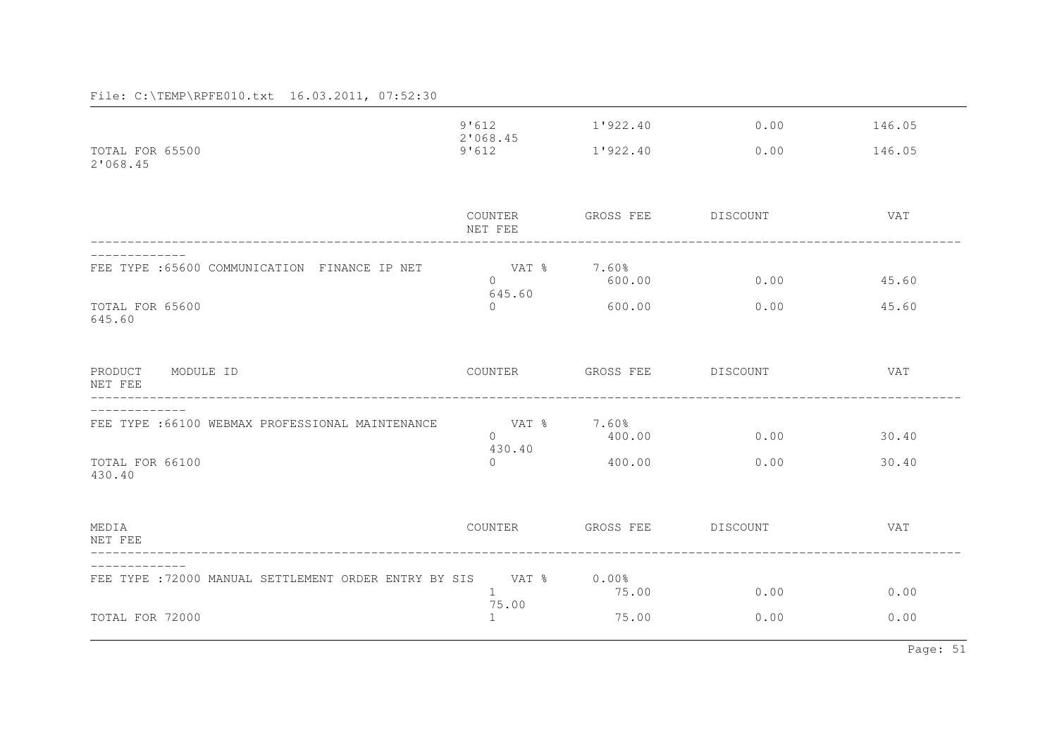|                                                       | 9'612                         | 1'922.40           | 0.00     | 146.05     |
|-------------------------------------------------------|-------------------------------|--------------------|----------|------------|
| TOTAL FOR 65500<br>2'068.45                           | 2'068.45<br>9'612             | 1'922.40           | 0.00     | 146.05     |
|                                                       | COUNTER<br>NET FEE            | GROSS FEE          | DISCOUNT | VAT        |
| FEE TYPE : 65600 COMMUNICATION FINANCE IP NET         | ा VAT %<br>$\Omega$<br>645.60 | 7.60%<br>600.00    | 0.00     | 45.60      |
| TOTAL FOR 65600<br>645.60                             | $\circ$                       | 600.00             | 0.00     | 45.60      |
| PRODUCT<br>MODULE ID<br>NET FEE                       | COUNTER                       | GROSS FEE DISCOUNT |          | <b>VAT</b> |
| FEE TYPE : 66100 WEBMAX PROFESSIONAL MAINTENANCE      | ा VAT %<br>$\Omega$<br>430.40 | 7.60%<br>400.00    | 0.00     | 30.40      |
| TOTAL FOR 66100<br>430.40                             | $\circ$                       | 400.00             | 0.00     | 30.40      |
| MEDIA<br>NET FEE                                      | COUNTER                       | GROSS FEE          | DISCOUNT | <b>VAT</b> |
| FEE TYPE : 72000 MANUAL SETTLEMENT ORDER ENTRY BY SIS | VAT %<br>$\mathbf{1}$         | $0.00\%$<br>75.00  | 0.00     | 0.00       |
| TOTAL FOR 72000                                       | 75.00<br>$\mathbf{1}$         | 75.00              | 0.00     | 0.00       |

Page: 51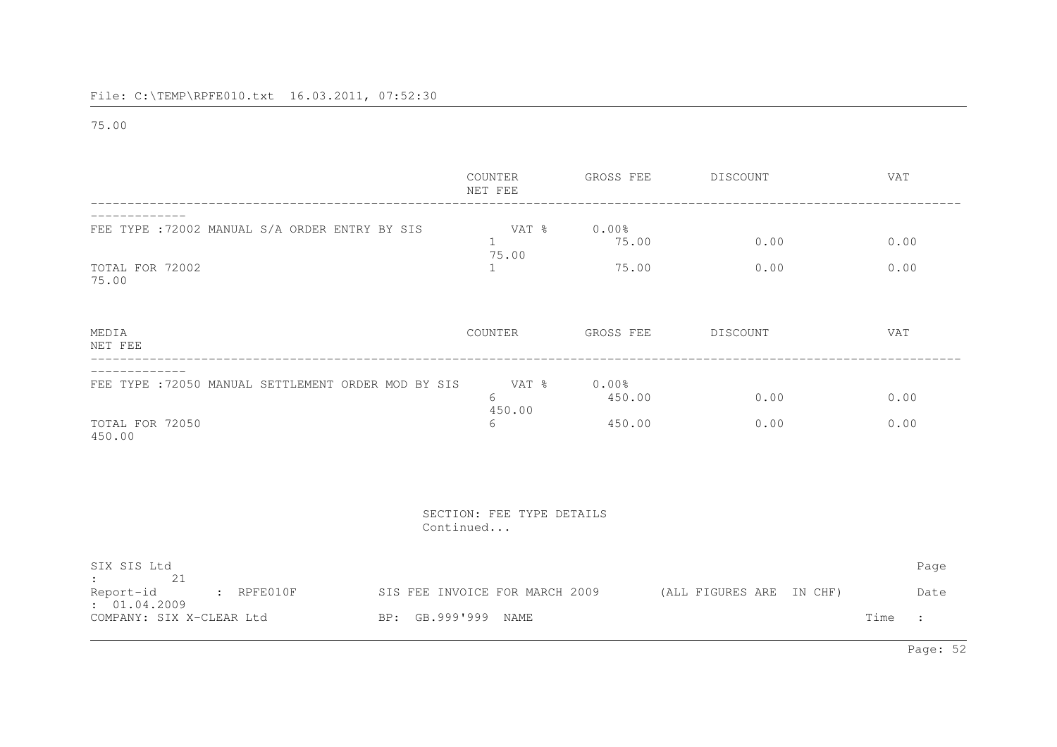75.00

|                                                                                                                                                                     | COUNTER<br>NET FEE                             | GROSS FEE                    | DISCOUNT                 | VAT                                    |
|---------------------------------------------------------------------------------------------------------------------------------------------------------------------|------------------------------------------------|------------------------------|--------------------------|----------------------------------------|
| FEE TYPE : 72002 MANUAL S/A ORDER ENTRY BY SIS<br>TOTAL FOR 72002                                                                                                   | VAT %<br>$\mathbf{1}$<br>75.00<br>$\mathbf{1}$ | $0.00\%$<br>75.00<br>75.00   | 0.00<br>0.00             | 0.00<br>0.00                           |
| 75.00<br>MEDIA<br>NET FEE                                                                                                                                           | COUNTER                                        | GROSS FEE                    | DISCOUNT                 | VAT                                    |
| FEE TYPE : 72050 MANUAL SETTLEMENT ORDER MOD BY SIS<br>TOTAL FOR 72050<br>450.00                                                                                    | VAT %<br>6<br>450.00<br>6                      | $0.00\%$<br>450.00<br>450.00 | 0.00<br>0.00             | 0.00<br>0.00                           |
|                                                                                                                                                                     | SECTION: FEE TYPE DETAILS<br>Continued         |                              |                          |                                        |
| SIX SIS Ltd<br>21<br>$\mathbf{1}$ and $\mathbf{1}$ and $\mathbf{1}$<br>$:$ RPFE010F<br>Report-id<br>: 01.04.2009<br>BP: GB.999'999 NAME<br>COMPANY: SIX X-CLEAR Ltd | SIS FEE INVOICE FOR MARCH 2009                 |                              | (ALL FIGURES ARE IN CHF) | Page<br>Date<br>Time<br>$\ddot{\cdot}$ |
|                                                                                                                                                                     |                                                |                              |                          |                                        |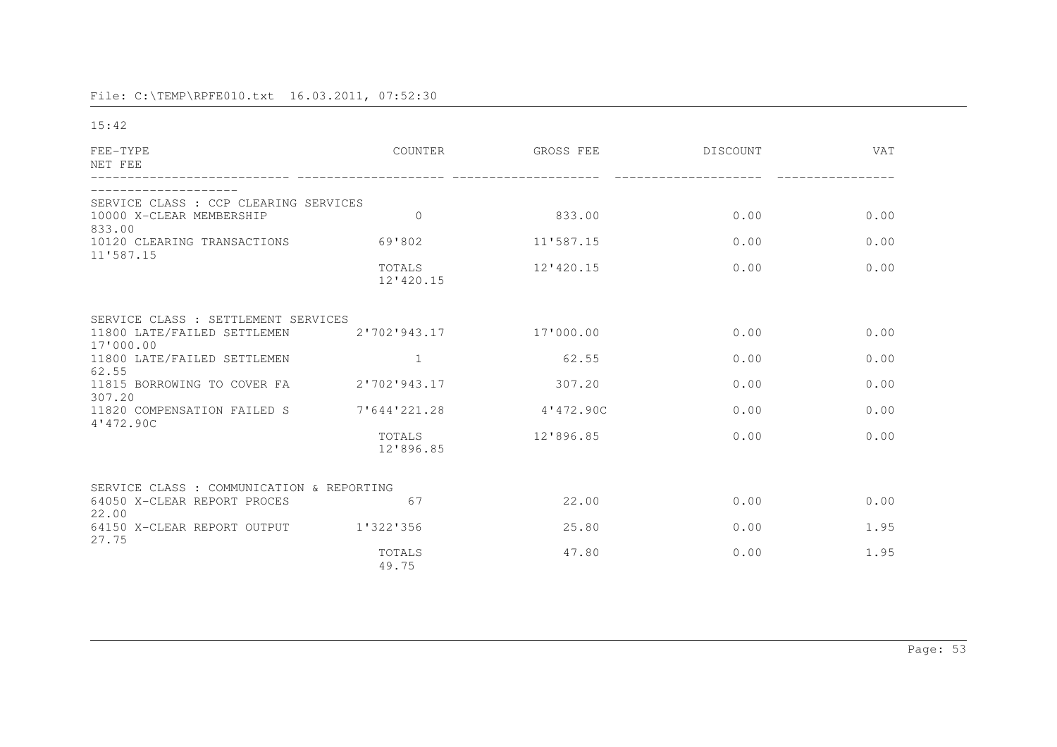15:42

| FEE-TYPE<br>NET FEE                       | COUNTER             | GROSS FEE | DISCOUNT | <b>VAT</b> |
|-------------------------------------------|---------------------|-----------|----------|------------|
| SERVICE CLASS : CCP CLEARING SERVICES     |                     |           |          |            |
| 10000 X-CLEAR MEMBERSHIP<br>833.00        | $\mathbf{0}$        | 833.00    | 0.00     | 0.00       |
| 10120 CLEARING TRANSACTIONS<br>11'587.15  | 69'802              | 11'587.15 | 0.00     | 0.00       |
|                                           | TOTALS<br>12'420.15 | 12'420.15 | 0.00     | 0.00       |
| SERVICE CLASS : SETTLEMENT SERVICES       |                     |           |          |            |
| 11800 LATE/FAILED SETTLEMEN<br>17'000.00  | 2'702'943.17        | 17'000.00 | 0.00     | 0.00       |
| 11800 LATE/FAILED SETTLEMEN<br>62.55      | 1                   | 62.55     | 0.00     | 0.00       |
| 11815 BORROWING TO COVER FA<br>307.20     | 2'702'943.17        | 307.20    | 0.00     | 0.00       |
| 11820 COMPENSATION FAILED S<br>4'472.90C  | 7'644'221.28        | 4'472.90C | 0.00     | 0.00       |
|                                           | TOTALS<br>12'896.85 | 12'896.85 | 0.00     | 0.00       |
| SERVICE CLASS : COMMUNICATION & REPORTING |                     |           |          |            |
| 64050 X-CLEAR REPORT PROCES<br>22.00      | 67                  | 22.00     | 0.00     | 0.00       |
| 64150 X-CLEAR REPORT OUTPUT<br>27.75      | 1'322'356           | 25.80     | 0.00     | 1.95       |
|                                           | TOTALS<br>49.75     | 47.80     | 0.00     | 1.95       |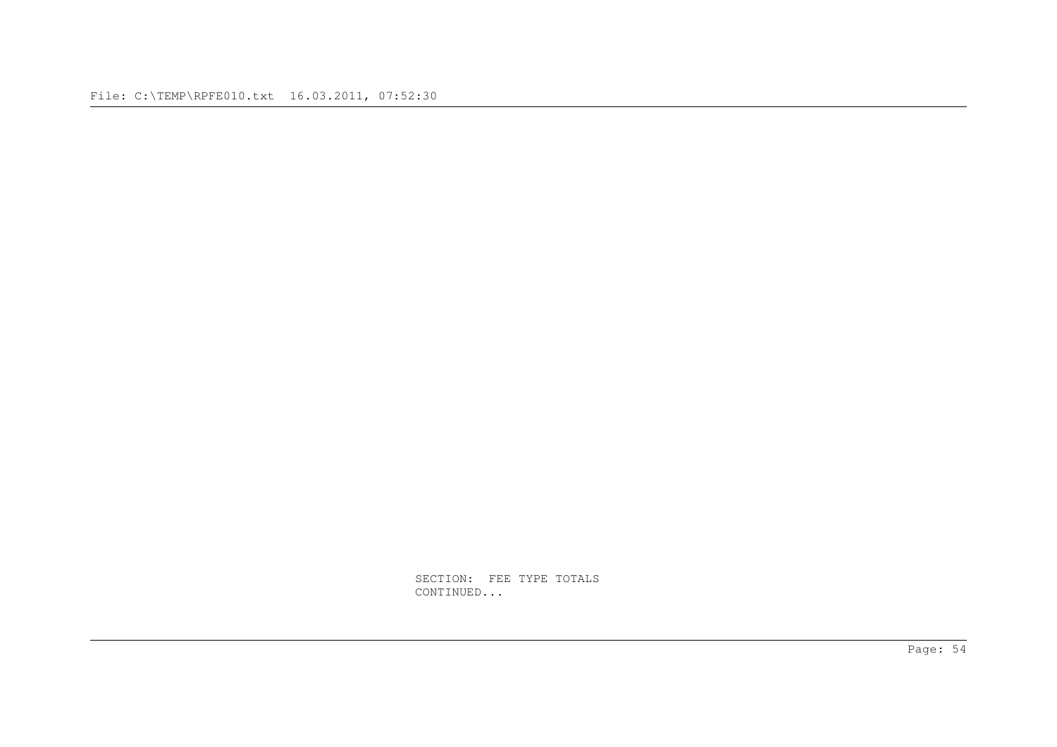SECTION: FEE TYPE TOTALS CONTINUED...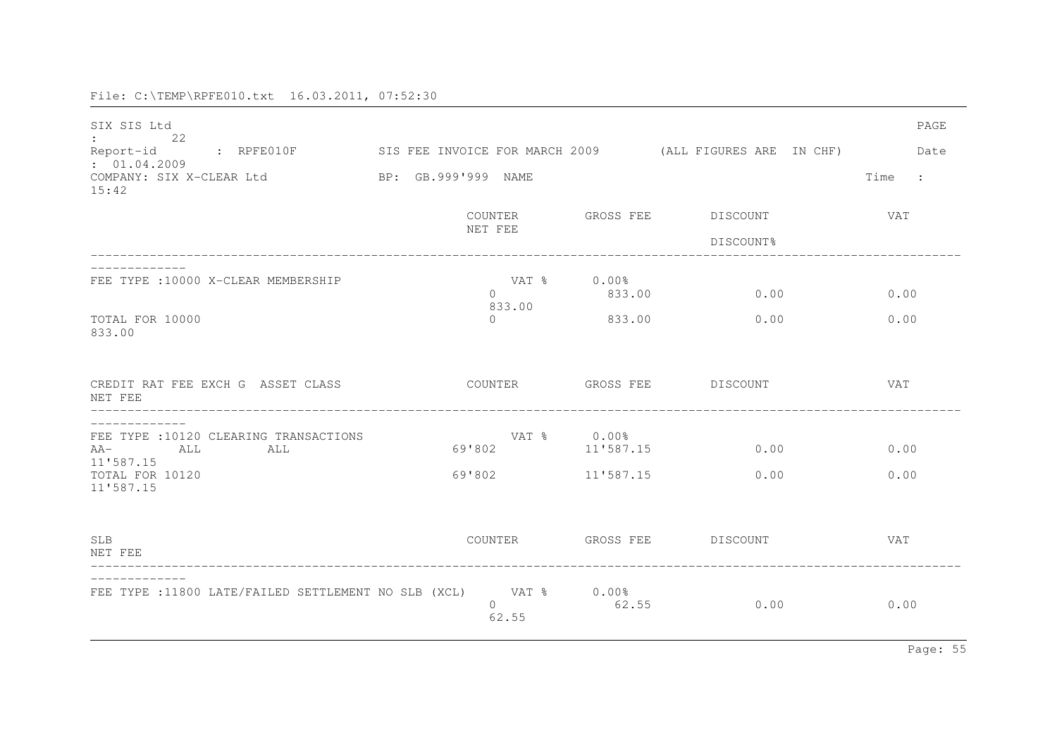| SIX SIS Ltd<br>22<br>Report-id : RPFE010F                                  | SIS FEE INVOICE FOR MARCH 2009 (ALL FIGURES ARE IN CHF) |                          |                                 | PAGE<br>Date |
|----------------------------------------------------------------------------|---------------------------------------------------------|--------------------------|---------------------------------|--------------|
| : 01.04.2009<br>COMPANY: SIX X-CLEAR Ltd<br>15:42                          | BP: GB.999'999 NAME                                     |                          |                                 | Time :       |
|                                                                            | COUNTER<br>NET FEE                                      |                          | GROSS FEE DISCOUNT<br>DISCOUNT% | VAT          |
| FEE TYPE : 10000 X-CLEAR MEMBERSHIP                                        | VAT %<br>$\Omega$<br>833.00                             | $0.00\%$<br>833.00       | 0.00                            | 0.00         |
| TOTAL FOR 10000<br>833.00                                                  | $\Omega$                                                | 833.00                   | 0.00                            | 0.00         |
| CREDIT RAT FEE EXCH G ASSET CLASS<br>NET FEE                               | COUNTER                                                 |                          | GROSS FEE DISCOUNT              | <b>VAT</b>   |
| FEE TYPE : 10120 CLEARING TRANSACTIONS<br>$AA-$<br>ALL<br>ALL<br>11'587.15 | 69'802                                                  | VAT % 0.00%<br>11'587.15 | 0.00                            | 0.00         |
| TOTAL FOR 10120<br>11'587.15                                               | 69'802                                                  | 11'587.15                | 0.00                            | 0.00         |
| <b>SLB</b><br>NET FEE                                                      | COUNTER                                                 |                          | GROSS FEE DISCOUNT              | VAT          |
| FEE TYPE :11800 LATE/FAILED SETTLEMENT NO SLB (XCL) VAT % 0.00%            | $\Omega$<br>62.55                                       | 62.55                    | 0.00                            | 0.00         |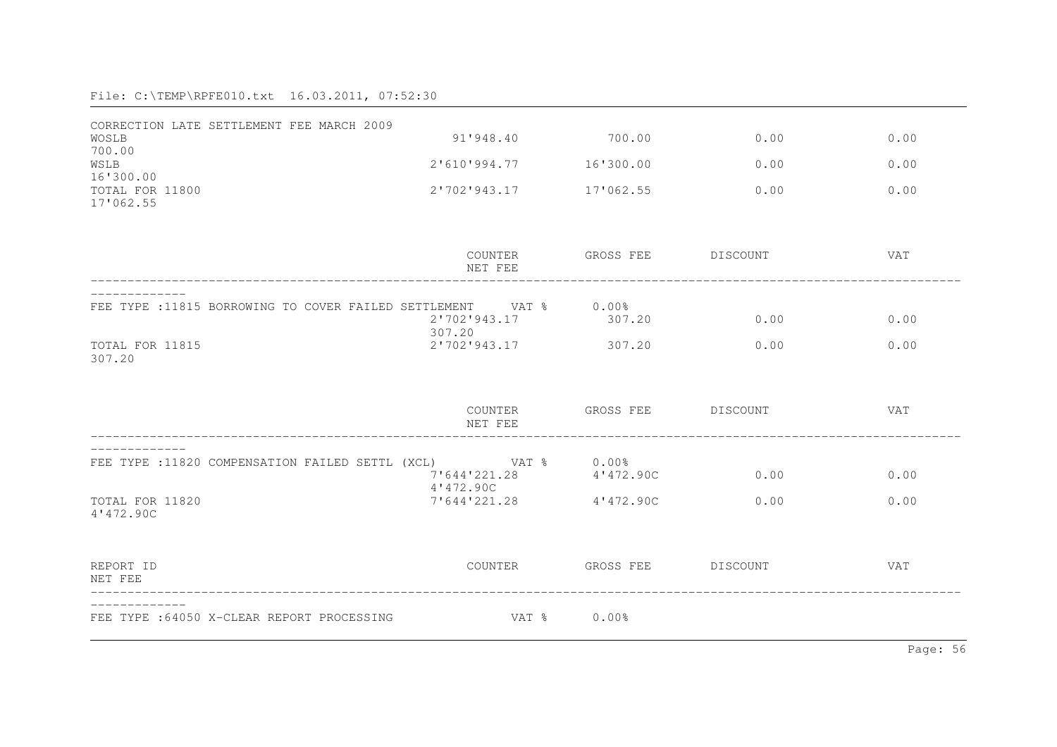| CORRECTION LATE SETTLEMENT FEE MARCH 2009                        |                           |                    |      |            |
|------------------------------------------------------------------|---------------------------|--------------------|------|------------|
| WOSLB<br>700.00                                                  | 91'948.40                 | 700.00             | 0.00 | 0.00       |
| WSLB<br>16'300.00                                                | 2'610'994.77              | 16'300.00          | 0.00 | 0.00       |
| TOTAL FOR 11800                                                  | 2'702'943.17              | 17'062.55          | 0.00 | 0.00       |
| 17'062.55                                                        |                           |                    |      |            |
|                                                                  | COUNTER<br>NET FEE        | GROSS FEE DISCOUNT |      | VAT        |
| FEE TYPE :11815 BORROWING TO COVER FAILED SETTLEMENT VAT % 0.00% | 2'702'943.17              | 307.20             | 0.00 | 0.00       |
| TOTAL FOR 11815<br>307.20                                        | 307.20<br>2'702'943.17    | 307.20             | 0.00 | 0.00       |
|                                                                  | COUNTER<br>NET FEE        | GROSS FEE DISCOUNT |      | <b>VAT</b> |
| FEE TYPE :11820 COMPENSATION FAILED SETTL (XCL) VAT % 0.00%      | 7'644'221.28              | 4'472.90C          | 0.00 | 0.00       |
| TOTAL FOR 11820<br>4'472.90C                                     | 4'472.90C<br>7'644'221.28 | 4'472.90C          | 0.00 | 0.00       |
| REPORT ID<br>NET FEE                                             | COUNTER                   | GROSS FEE DISCOUNT |      | <b>VAT</b> |
| FEE TYPE : 64050 X-CLEAR REPORT PROCESSING                       | VAT %                     | $0.00\%$           |      |            |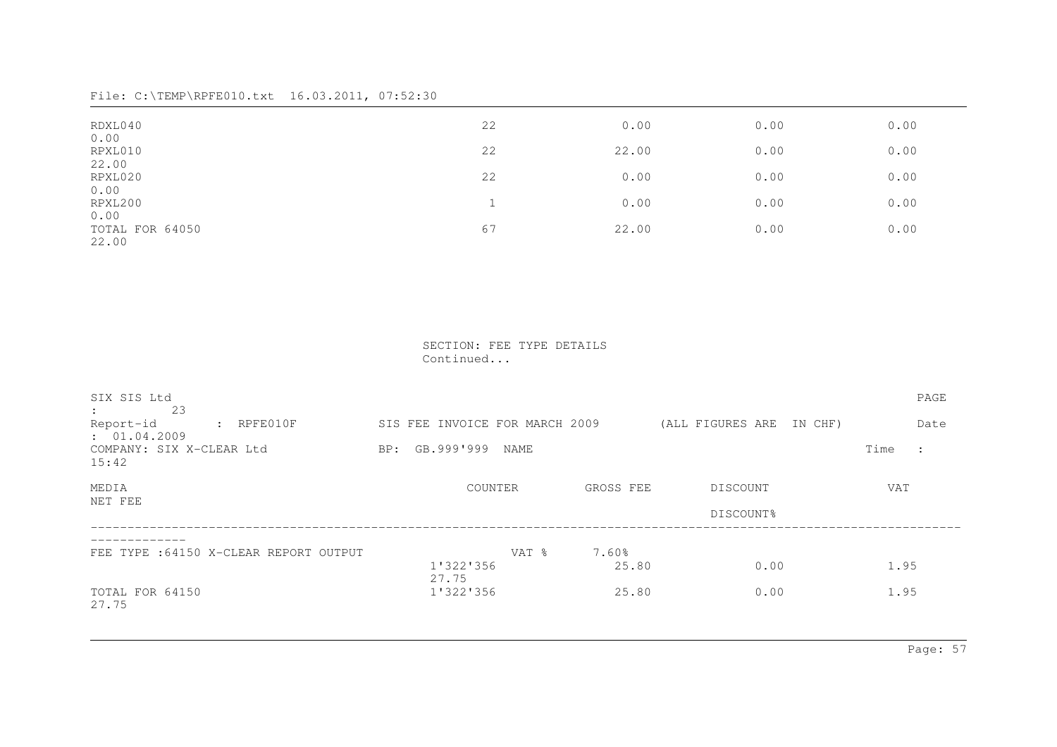| RDXL040                          | 22 | 0.00  | 0.00 | 0.00 |
|----------------------------------|----|-------|------|------|
| 0.00<br>RPXL010                  | 22 | 22.00 | 0.00 | 0.00 |
| 22.00                            |    |       |      |      |
| RPXL020<br>0.00                  | 22 | 0.00  | 0.00 | 0.00 |
| RPXL200                          |    | 0.00  | 0.00 | 0.00 |
| 0.00<br>TOTAL FOR 64050<br>22.00 | 67 | 22.00 | 0.00 | 0.00 |

 SECTION: FEE TYPE DETAILS Continued...

| SIX SIS Ltd<br>23<br>$\ddot{\phantom{a}}$<br>$:$ RPFE010F<br>Report-id | SIS FEE INVOICE FOR MARCH 2009 |                | (ALL FIGURES ARE IN CHF) | PAGE<br>Date           |
|------------------------------------------------------------------------|--------------------------------|----------------|--------------------------|------------------------|
| : 01.04.2009<br>COMPANY: SIX X-CLEAR Ltd<br>15:42                      | BP: GB.999'999<br>NAME         |                |                          | Time<br>$\ddot{\cdot}$ |
| MEDIA                                                                  | COUNTER                        | GROSS FEE      | DISCOUNT                 | <b>VAT</b>             |
| NET FEE                                                                |                                |                | DISCOUNT%                |                        |
| FEE TYPE : 64150 X-CLEAR REPORT OUTPUT                                 | VAT %<br>1'322'356             | 7.60%<br>25.80 | 0.00                     | 1.95                   |
| TOTAL FOR 64150<br>27.75                                               | 27.75<br>1'322'356             | 25.80          | 0.00                     | 1.95                   |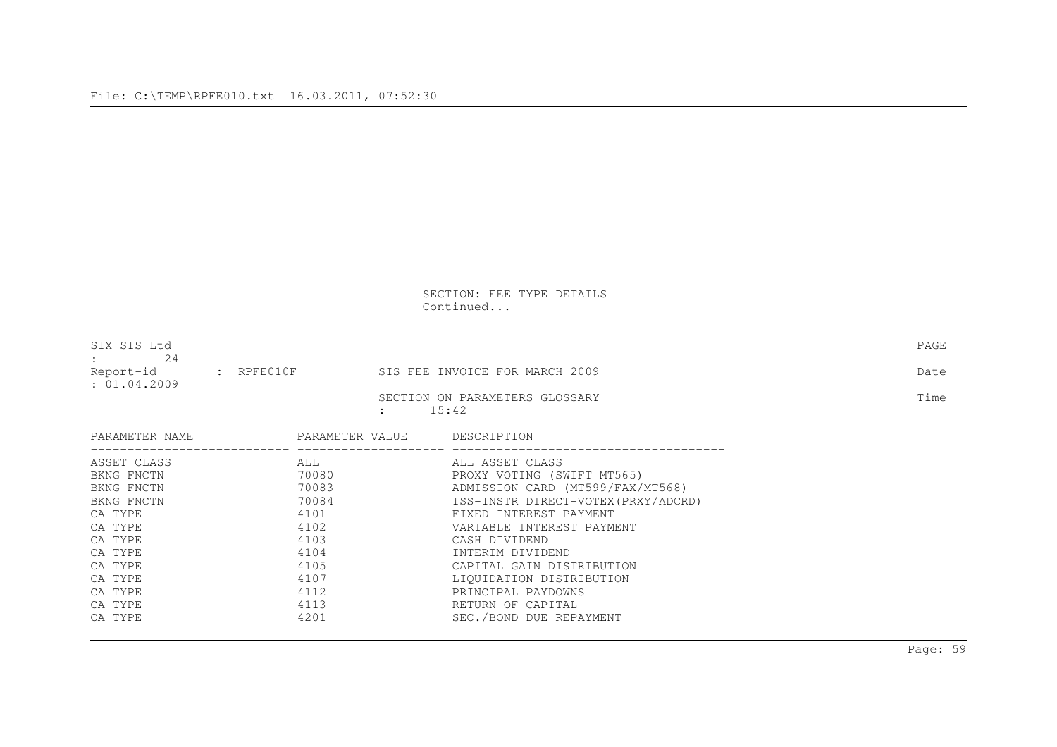SECTION: FEE TYPE DETAILS Continued...

| SIX SIS Ltd<br>2.4<br>$\mathbf{1}$ |                     |                                                      | PAGE |
|------------------------------------|---------------------|------------------------------------------------------|------|
| Report-id<br>: 01.04.2009          | $\,:\quad$ RPFE010F | SIS FEE INVOICE FOR MARCH 2009                       | Date |
|                                    |                     | SECTION ON PARAMETERS GLOSSARY<br>15:42<br>$\bullet$ | Time |

| PARAMETER NAME | PARAMETER VALUE | DESCRIPTION                        |
|----------------|-----------------|------------------------------------|
| ASSET CLASS    | ALL             | ALL ASSET CLASS                    |
| BKNG FNCTN     | 70080           | PROXY VOTING (SWIFT MT565)         |
| BKNG FNCTN     | 70083           | ADMISSION CARD (MT599/FAX/MT568)   |
| BKNG FNCTN     | 70084           | ISS-INSTR DIRECT-VOTEX(PRXY/ADCRD) |
| CA TYPE        | 4101            | FIXED INTEREST PAYMENT             |
| CA TYPE        | 4102            | VARIABLE INTEREST PAYMENT          |
| CA TYPE        | 4103            | CASH DIVIDEND                      |
| CA TYPE        | 4104            | INTERIM DIVIDEND                   |
| CA TYPE        | 4105            | CAPITAL GAIN DISTRIBUTION          |
| CA TYPE        | 4107            | LIQUIDATION DISTRIBUTION           |
| CA TYPE        | 4112            | PRINCIPAL PAYDOWNS                 |
| CA TYPE        | 4113            | RETURN OF CAPITAL                  |
| CA TYPE        | 4201            | SEC./BOND DUE REPAYMENT            |
|                |                 |                                    |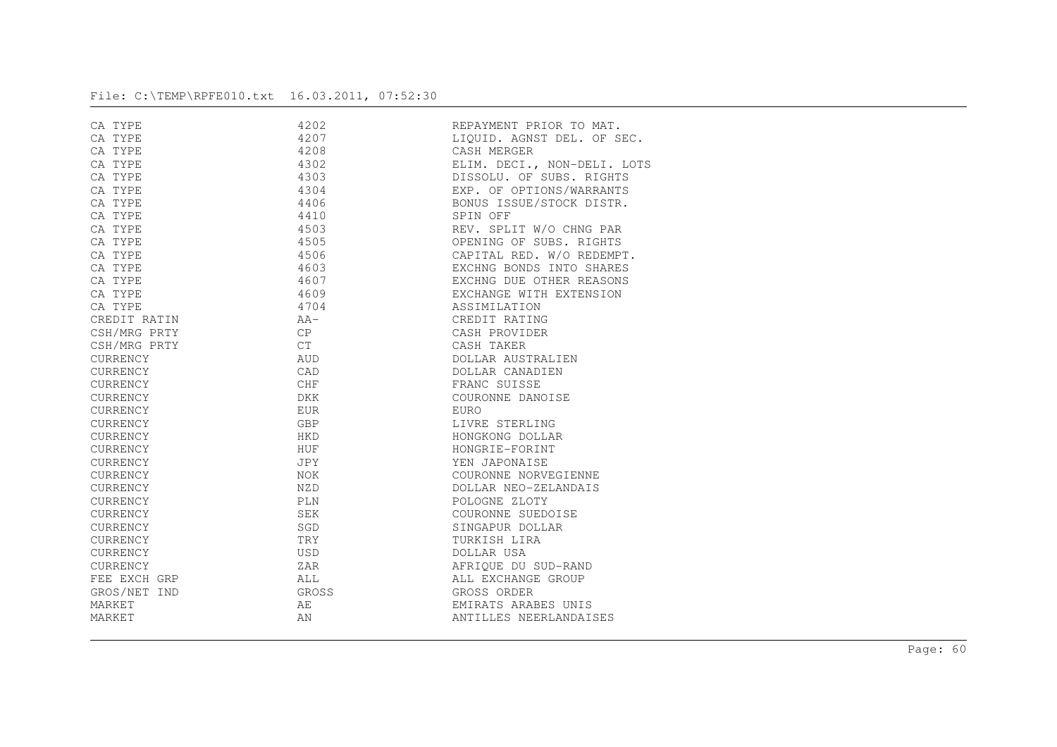| CA TYPE      | 4202       | REPAYMENT PRIOR TO MAT.     |
|--------------|------------|-----------------------------|
| CA TYPE      | 4207       | LIOUID. AGNST DEL. OF SEC.  |
| CA TYPE      | 4208       | CASH MERGER                 |
| CA TYPE      | 4302       | ELIM. DECI., NON-DELI. LOTS |
| CA TYPE      | 4303       | DISSOLU. OF SUBS. RIGHTS    |
| CA TYPE      | 4304       | EXP. OF OPTIONS/WARRANTS    |
| CA TYPE      | 4406       | BONUS ISSUE/STOCK DISTR.    |
| CA TYPE      | 4410       | SPIN OFF                    |
| CA TYPE      | 4503       | REV. SPLIT W/O CHNG PAR     |
| CA TYPE      | 4505       | OPENING OF SUBS. RIGHTS     |
| CA TYPE      | 4506       | CAPITAL RED. W/O REDEMPT.   |
| CA TYPE      | 4603       | EXCHNG BONDS INTO SHARES    |
| CA TYPE      | 4607       | EXCHNG DUE OTHER REASONS    |
| CA TYPE      | 4609       | EXCHANGE WITH EXTENSION     |
| CA TYPE      | 4704       | ASSIMILATION                |
| CREDIT RATIN | $AA-$      | CREDIT RATING               |
| CSH/MRG PRTY | CP         | CASH PROVIDER               |
| CSH/MRG PRTY | <b>CT</b>  | CASH TAKER                  |
| CURRENCY     | <b>AUD</b> | DOLLAR AUSTRALIEN           |
| CURRENCY     | CAD        | DOLLAR CANADIEN             |
| CURRENCY     | CHF        | FRANC SUISSE                |
| CURRENCY     | DKK        | COURONNE DANOISE            |
| CURRENCY     | <b>EUR</b> | EURO                        |
| CURRENCY     | GBP        | LIVRE STERLING              |
| CURRENCY     | <b>HKD</b> | HONGKONG DOLLAR             |
| CURRENCY     | HUF        | HONGRIE-FORINT              |
| CURRENCY     | JPY        | YEN JAPONAISE               |
| CURRENCY     | NOK        | COURONNE NORVEGIENNE        |
| CURRENCY     | NZD        | DOLLAR NEO-ZELANDAIS        |
| CURRENCY     | <b>PLN</b> | POLOGNE ZLOTY               |
| CURRENCY     | SEK        | COURONNE SUEDOISE           |
| CURRENCY     | SGD        | SINGAPUR DOLLAR             |
| CURRENCY     | <b>TRY</b> | TURKISH LIRA                |
| CURRENCY     | <b>USD</b> | DOLLAR USA                  |
| CURRENCY     | ZAR        | AFRIOUE DU SUD-RAND         |
| FEE EXCH GRP | ALL        | ALL EXCHANGE GROUP          |
| GROS/NET IND | GROSS      | GROSS ORDER                 |
| MARKET       | AE         | EMIRATS ARABES UNIS         |
| MARKET       | ΆN         | ANTILLES NEERLANDAISES      |
|              |            |                             |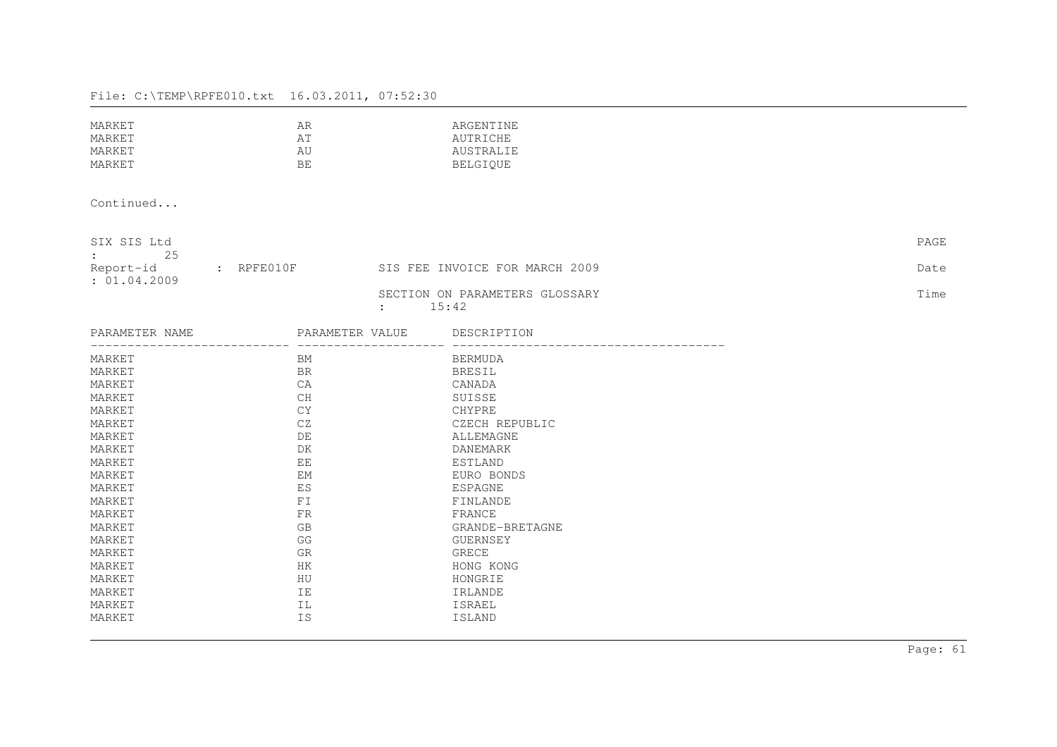| MARKET | AR  | ARGENTINE |
|--------|-----|-----------|
| MARKET | ΆT  | AUTRICHE  |
| MARKET | AU  | AUSTRALIE |
| MARKET | BE. | BELGIOUE  |

Continued...

| SIX SIS Ltd<br>-25<br>$\sim$ 100 $\sim$ 100 $\sim$ |               |                                                 | PAGE |
|----------------------------------------------------|---------------|-------------------------------------------------|------|
| Report-id<br>: 01.04.2009                          | : $R$ PFE010F | SIS FEE INVOICE FOR MARCH 2009                  | Date |
|                                                    |               | SECTION ON PARAMETERS GLOSSARY<br>$\sim$ $\sim$ | Time |

: 15:42

| PARAMETER NAME | PARAMETER VALUE | DESCRIPTION     |
|----------------|-----------------|-----------------|
| MARKET         | BM              | BERMUDA         |
| MARKET         | <b>BR</b>       | <b>BRESIL</b>   |
| MARKET         | CA              | CANADA          |
| MARKET         | CH              | SUISSE          |
| MARKET         | CY              | CHYPRE          |
| MARKET         | CZ              | CZECH REPUBLIC  |
| MARKET         | DE              | ALLEMAGNE       |
| MARKET         | DK              | DANEMARK        |
| MARKET         | EE              | ESTLAND         |
| MARKET         | <b>EM</b>       | EURO BONDS      |
| MARKET         | ES              | ESPAGNE         |
| MARKET         | FI              | FINLANDE        |
| MARKET         | <b>FR</b>       | FRANCE          |
| MARKET         | <b>GB</b>       | GRANDE-BRETAGNE |
| MARKET         | GG              | GUERNSEY        |
| MARKET         | <b>GR</b>       | GRECE           |
| MARKET         | HK              | HONG KONG       |
| MARKET         | HU              | HONGRIE         |
| MARKET         | IE              | IRLANDE         |
| MARKET         | ΙL              | ISRAEL          |
| MARKET         | IS              | <b>ISLAND</b>   |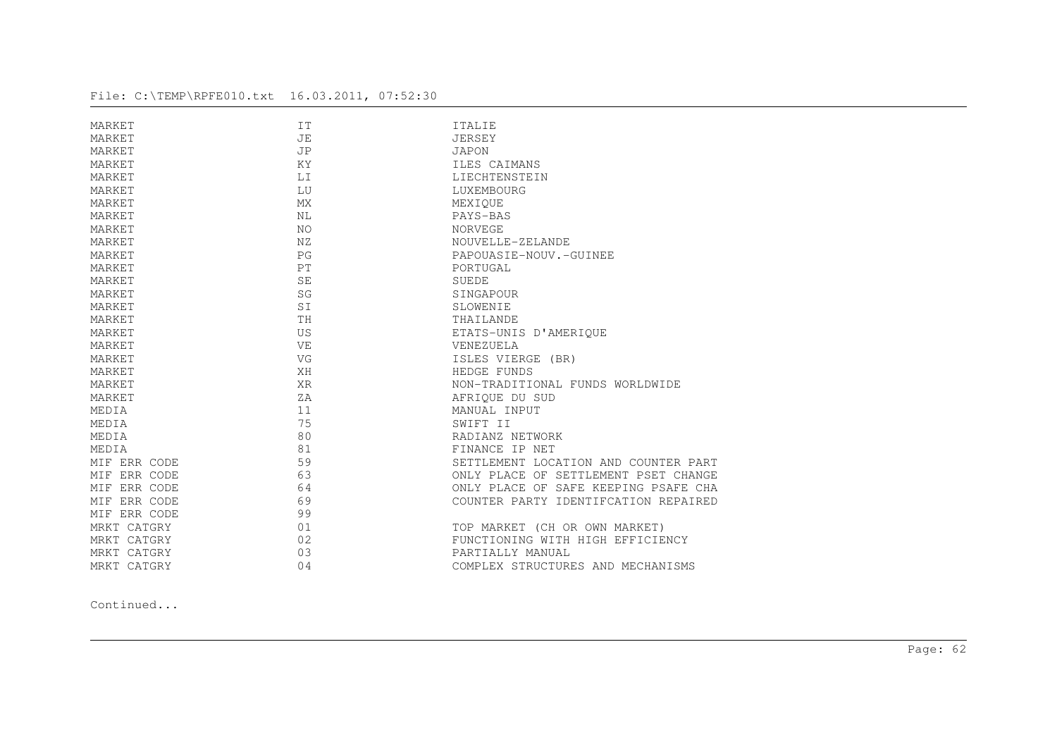| MARKET       | IT        | <b>ITALIE</b>                        |
|--------------|-----------|--------------------------------------|
| MARKET       | JE        | <b>JERSEY</b>                        |
| MARKET       | <b>JP</b> | JAPON                                |
| MARKET       | KY        | ILES CAIMANS                         |
| MARKET       | LI        | LIECHTENSTEIN                        |
| MARKET       | LU        | LUXEMBOURG                           |
| MARKET       | <b>MX</b> | MEXIQUE                              |
| MARKET       | NL        | PAYS-BAS                             |
| MARKET       | NO        | NORVEGE                              |
| MARKET       | NZ        | NOUVELLE-ZELANDE                     |
| MARKET       | PG        | PAPOUASIE-NOUV.-GUINEE               |
| MARKET       | PT        | PORTUGAL                             |
| MARKET       | <b>SE</b> | <b>SUEDE</b>                         |
| MARKET       | SG        | SINGAPOUR                            |
| MARKET       | SI        | SLOWENIE                             |
| MARKET       | TH        | THAILANDE                            |
| MARKET       | US        | ETATS-UNIS D'AMERIQUE                |
| MARKET       | VE        | VENEZUELA                            |
| MARKET       | VG        | ISLES VIERGE (BR)                    |
| MARKET       | XH        | HEDGE FUNDS                          |
| MARKET       | <b>XR</b> | NON-TRADITIONAL FUNDS WORLDWIDE      |
| MARKET       | ZA        | AFRIQUE DU SUD                       |
| MEDIA        | 11        | MANUAL INPUT                         |
| MEDIA        | 75        | SWIFT II                             |
| MEDIA        | 80        | RADIANZ NETWORK                      |
| MEDIA        | 81        | FINANCE IP NET                       |
| MIF ERR CODE | 59        | SETTLEMENT LOCATION AND COUNTER PART |
| MIF ERR CODE | 63        | ONLY PLACE OF SETTLEMENT PSET CHANGE |
| MIF ERR CODE | 64        | ONLY PLACE OF SAFE KEEPING PSAFE CHA |
| MIF ERR CODE | 69        | COUNTER PARTY IDENTIFCATION REPAIRED |
| MIF ERR CODE | 99        |                                      |
| MRKT CATGRY  | 01        | TOP MARKET (CH OR OWN MARKET)        |
| MRKT CATGRY  | 02        | FUNCTIONING WITH HIGH EFFICIENCY     |
| MRKT CATGRY  | 03        | PARTIALLY MANUAL                     |
| MRKT CATGRY  | 04        | COMPLEX STRUCTURES AND MECHANISMS    |
|              |           |                                      |

Continued...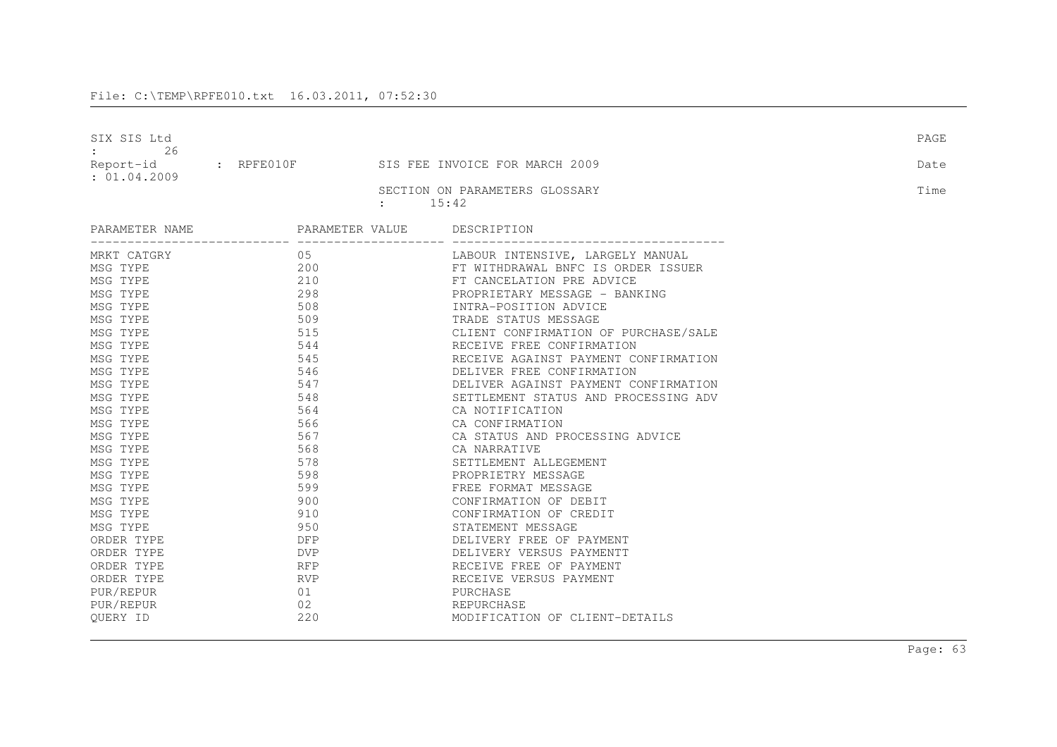| SIX SIS Ltd<br>26<br>Report-id | $\,:\quad$ RPFE010F | SIS FEE INVOICE FOR MARCH 2009                                           | PAGE<br>Date |
|--------------------------------|---------------------|--------------------------------------------------------------------------|--------------|
| : 01.04.2009                   |                     | SECTION ON PARAMETERS GLOSSARY<br>15:42<br>$\mathbf{1}$ and $\mathbf{1}$ | Time         |
| PARAMETER NAME                 | PARAMETER VALUE     | DESCRIPTION                                                              |              |
| MRKT CATGRY                    | 05                  | LABOUR INTENSIVE, LARGELY MANUAL                                         |              |
| MSG TYPE                       | 200                 | FT WITHDRAWAL BNFC IS ORDER ISSUER                                       |              |
| MSG TYPE                       | 210                 | FT CANCELATION PRE ADVICE                                                |              |
| MSG TYPE                       | 298                 | PROPRIETARY MESSAGE - BANKING                                            |              |
| MSG TYPE                       | 508                 | INTRA-POSITION ADVICE                                                    |              |
| MSG TYPE                       | 509                 | TRADE STATUS MESSAGE                                                     |              |
| MSG TYPE                       | 515                 | CLIENT CONFIRMATION OF PURCHASE/SALE                                     |              |
| MSG TYPE                       | 544                 | RECEIVE FREE CONFIRMATION                                                |              |
| MSG TYPE                       | 545                 | RECEIVE AGAINST PAYMENT CONFIRMATION                                     |              |
| MSG TYPE                       | 546                 | DELIVER FREE CONFIRMATION                                                |              |
| MSG TYPE                       | 547                 | DELIVER AGAINST PAYMENT CONFIRMATION                                     |              |
| MSG TYPE                       | 548                 | SETTLEMENT STATUS AND PROCESSING ADV                                     |              |
| MSG TYPE                       | 564                 | CA NOTIFICATION                                                          |              |
| MSG TYPE                       | 566                 | CA CONFIRMATION                                                          |              |
| MSG TYPE                       | 567                 | CA STATUS AND PROCESSING ADVICE                                          |              |
| MSG TYPE                       | 568                 | CA NARRATIVE                                                             |              |
| MSG TYPE                       | 578                 | SETTLEMENT ALLEGEMENT                                                    |              |
| MSG TYPE                       | 598                 | PROPRIETRY MESSAGE                                                       |              |
| MSG TYPE                       | 599                 | FREE FORMAT MESSAGE                                                      |              |
| MSG TYPE                       | 900                 | CONFIRMATION OF DEBIT                                                    |              |
| MSG TYPE                       | 910                 | CONFIRMATION OF CREDIT                                                   |              |
| MSG TYPE                       | 950                 | STATEMENT MESSAGE                                                        |              |
| ORDER TYPE                     | <b>DFP</b>          | DELIVERY FREE OF PAYMENT                                                 |              |
| ORDER TYPE                     | <b>DVP</b>          | DELIVERY VERSUS PAYMENTT                                                 |              |
| ORDER TYPE                     | <b>RFP</b>          | RECEIVE FREE OF PAYMENT                                                  |              |
| ORDER TYPE                     | <b>RVP</b>          | RECEIVE VERSUS PAYMENT                                                   |              |
| PUR/REPUR                      | 01                  | PURCHASE                                                                 |              |
| PUR/REPUR                      | 02                  | REPURCHASE                                                               |              |
| OUERY ID                       | 220                 | MODIFICATION OF CLIENT-DETAILS                                           |              |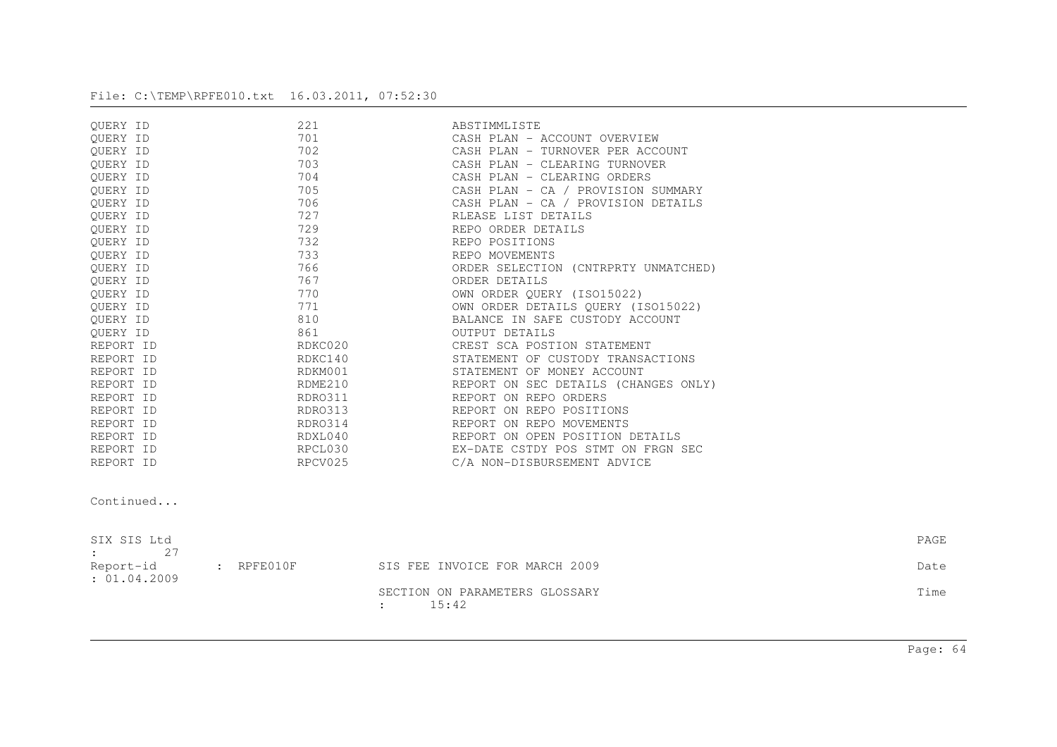| OUERY ID  | 221     | ABSTIMMLISTE                         |
|-----------|---------|--------------------------------------|
| OUERY ID  | 701     | CASH PLAN - ACCOUNT OVERVIEW         |
| OUERY ID  | 702     | CASH PLAN - TURNOVER PER ACCOUNT     |
| OUERY ID  | 703     | CASH PLAN - CLEARING TURNOVER        |
| OUERY ID  | 704     | CASH PLAN - CLEARING ORDERS          |
| OUERY ID  | 705     | CASH PLAN - CA / PROVISION SUMMARY   |
| QUERY ID  | 706     | CASH PLAN - CA / PROVISION DETAILS   |
| OUERY ID  | 727     | RLEASE LIST DETAILS                  |
| OUERY ID  | 729     | REPO ORDER DETAILS                   |
| OUERY ID  | 732     | REPO POSITIONS                       |
| OUERY ID  | 733     | REPO MOVEMENTS                       |
| OUERY ID  | 766     | ORDER SELECTION (CNTRPRTY UNMATCHED) |
| OUERY ID  | 767     | ORDER DETAILS                        |
| OUERY ID  | 770     | OWN ORDER QUERY (ISO15022)           |
| OUERY ID  | 771     | OWN ORDER DETAILS OUERY (ISO15022)   |
| OUERY ID  | 810     | BALANCE IN SAFE CUSTODY ACCOUNT      |
| OUERY ID  | 861     | OUTPUT DETAILS                       |
| REPORT ID | RDKC020 | CREST SCA POSTION STATEMENT          |
| REPORT ID | RDKC140 | STATEMENT OF CUSTODY TRANSACTIONS    |
| REPORT ID | RDKM001 | STATEMENT OF MONEY ACCOUNT           |
| REPORT ID | RDME210 | REPORT ON SEC DETAILS (CHANGES ONLY) |
| REPORT ID | RDRO311 | REPORT ON REPO ORDERS                |
| REPORT ID | RDRO313 | REPORT ON REPO POSITIONS             |
| REPORT ID | RDRO314 | REPORT ON REPO MOVEMENTS             |
| REPORT ID | RDXL040 | REPORT ON OPEN POSITION DETAILS      |
| REPORT ID | RPCL030 | EX-DATE CSTDY POS STMT ON FRGN SEC   |
| REPORT ID | RPCV025 | C/A NON-DISBURSEMENT ADVICE          |

Continued...

| SIX SIS Ltd<br>2.7<br>$\Delta \sim 100$ km s $^{-1}$ |                                                         | PAGE |
|------------------------------------------------------|---------------------------------------------------------|------|
| Report-id : RPFE010F<br>: 01.04.2009                 | SIS FEE INVOICE FOR MARCH 2009                          | Date |
|                                                      | SECTION ON PARAMETERS GLOSSARY<br>15:42<br>$\mathbf{r}$ | Time |

Page: 64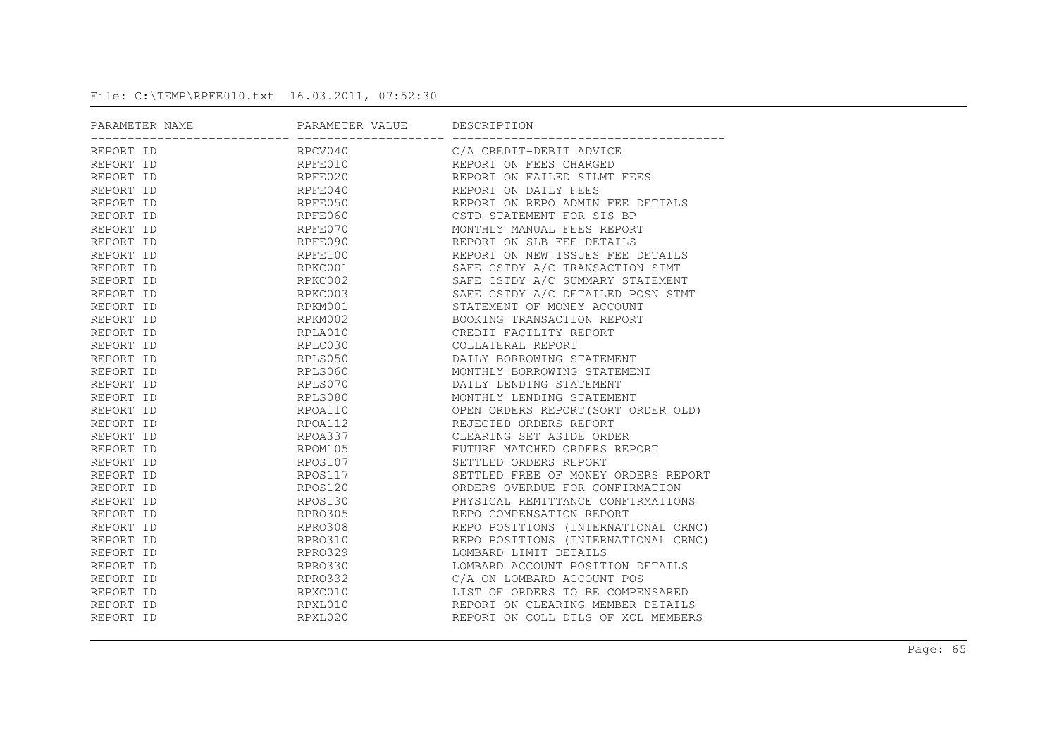| PARAMETER NAME | PARAMETER VALUE DESCRIPTION |                                     |
|----------------|-----------------------------|-------------------------------------|
| REPORT ID      | RPCV040                     | C/A CREDIT-DEBIT ADVICE             |
| REPORT ID      |                             | RPFE010 REPORT ON FEES CHARGED      |
| REPORT ID      | RPFE020                     | REPORT ON FAILED STLMT FEES         |
| REPORT ID      | RPFE040                     | REPORT ON DAILY FEES                |
| REPORT ID      | RPFE050                     | REPORT ON REPO ADMIN FEE DETIALS    |
| REPORT ID      | RPFE060                     | CSTD STATEMENT FOR SIS BP           |
| REPORT ID      | RPFE070                     | MONTHLY MANUAL FEES REPORT          |
| REPORT ID      | RPFE090                     | REPORT ON SLB FEE DETAILS           |
| REPORT ID      | RPFE100                     | REPORT ON NEW ISSUES FEE DETAILS    |
| REPORT ID      | RPKC001                     | SAFE CSTDY A/C TRANSACTION STMT     |
| REPORT ID      | RPKC002                     | SAFE CSTDY A/C SUMMARY STATEMENT    |
| REPORT ID      | RPKC003                     | SAFE CSTDY A/C DETAILED POSN STMT   |
| REPORT ID      | RPKM001                     | STATEMENT OF MONEY ACCOUNT          |
| REPORT ID      | RPKM002                     | BOOKING TRANSACTION REPORT          |
| REPORT ID      | RPLA010                     | CREDIT FACILITY REPORT              |
| REPORT ID      | RPLC030                     | COLLATERAL REPORT                   |
| REPORT ID      | RPLS050                     | DAILY BORROWING STATEMENT           |
| REPORT ID      | RPLS060                     | MONTHLY BORROWING STATEMENT         |
| REPORT ID      | RPLS070                     | DAILY LENDING STATEMENT             |
| REPORT ID      | RPLS080                     | MONTHLY LENDING STATEMENT           |
| REPORT ID      | RPOA110                     | OPEN ORDERS REPORT (SORT ORDER OLD) |
| REPORT ID      | RPOA112                     | REJECTED ORDERS REPORT              |
| REPORT ID      | RPOA337                     | CLEARING SET ASIDE ORDER            |
| REPORT ID      | RPOM105                     | FUTURE MATCHED ORDERS REPORT        |
| REPORT ID      |                             | RPOS107 SETTLED ORDERS REPORT       |
| REPORT ID      | RPOS117                     | SETTLED FREE OF MONEY ORDERS REPORT |
| REPORT ID      | RPOS120                     | ORDERS OVERDUE FOR CONFIRMATION     |
| REPORT ID      | RPOS130                     | PHYSICAL REMITTANCE CONFIRMATIONS   |
| REPORT ID      | RPRO305                     | REPO COMPENSATION REPORT            |
| REPORT ID      | RPRO308                     | REPO POSITIONS (INTERNATIONAL CRNC) |
| REPORT ID      | RPR0310                     | REPO POSITIONS (INTERNATIONAL CRNC) |
| REPORT ID      | RPR0329                     | LOMBARD LIMIT DETAILS               |
| REPORT ID      | RPR0330                     | LOMBARD ACCOUNT POSITION DETAILS    |
| REPORT ID      | RPR0332                     | C/A ON LOMBARD ACCOUNT POS          |
| REPORT ID      | RPXC010                     | LIST OF ORDERS TO BE COMPENSARED    |
| REPORT ID      | RPXL010                     | REPORT ON CLEARING MEMBER DETAILS   |
| REPORT ID      | RPXL020                     | REPORT ON COLL DTLS OF XCL MEMBERS  |